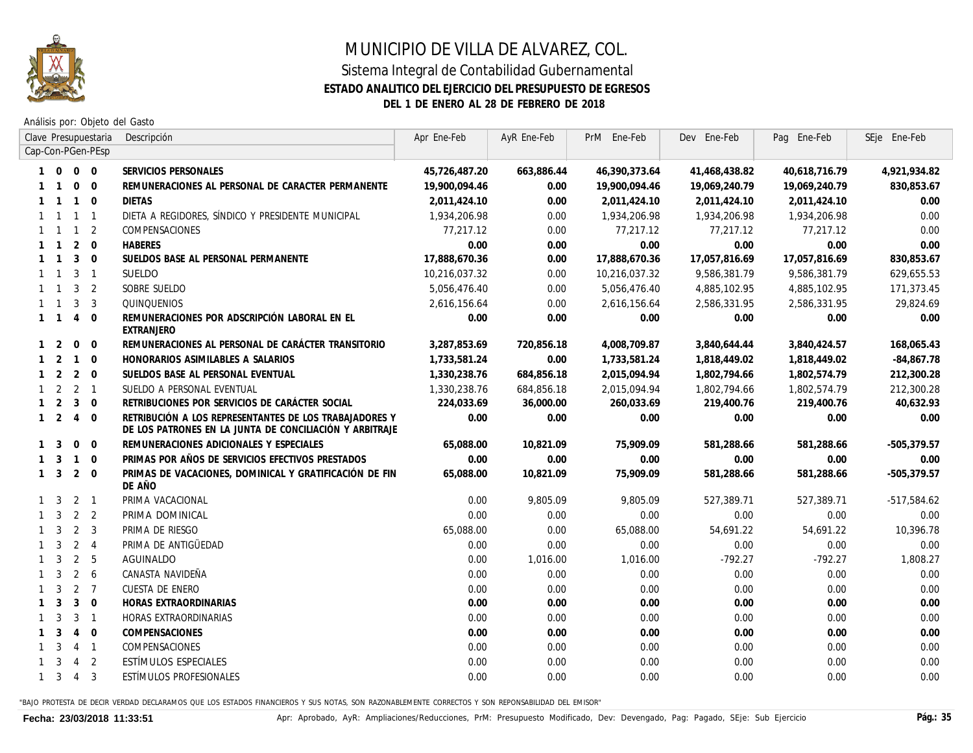

#### Sistema Integral de Contabilidad Gubernamental **ESTADO ANALITICO DEL EJERCICIO DEL PRESUPUESTO DE EGRESOS DEL 1 DE ENERO AL 28 DE FEBRERO DE 2018**

Análisis por: Objeto del Gasto

|              |                |                | Clave Presupuestaria | Descripción                                                                                                       | Apr Ene-Feb   | AyR Ene-Feb | PrM Ene-Feb   | Dev Ene-Feb   | Pag Ene-Feb   | SEje Ene-Feb  |
|--------------|----------------|----------------|----------------------|-------------------------------------------------------------------------------------------------------------------|---------------|-------------|---------------|---------------|---------------|---------------|
|              |                |                | Cap-Con-PGen-PEsp    |                                                                                                                   |               |             |               |               |               |               |
| $\mathbf{1}$ | $\overline{0}$ |                | $0\quad 0$           | SERVICIOS PERSONALES                                                                                              | 45,726,487.20 | 663,886.44  | 46,390,373.64 | 41,468,438.82 | 40,618,716.79 | 4,921,934.82  |
|              |                | $\mathbf 0$    | $\overline{0}$       | REMUNERACIONES AL PERSONAL DE CARACTER PERMANENTE                                                                 | 19,900,094.46 | 0.00        | 19,900,094.46 | 19,069,240.79 | 19,069,240.79 | 830,853.67    |
|              | $1 \quad 1$    | $\overline{1}$ | $\overline{0}$       | <b>DIETAS</b>                                                                                                     | 2,011,424.10  | 0.00        | 2,011,424.10  | 2,011,424.10  | 2,011,424.10  | 0.00          |
|              |                | $\overline{1}$ | $\overline{1}$       | DIETA A REGIDORES, SÍNDICO Y PRESIDENTE MUNICIPAL                                                                 | 1,934,206.98  | 0.00        | 1,934,206.98  | 1,934,206.98  | 1,934,206.98  | 0.00          |
|              |                | $\overline{1}$ | 2                    | COMPENSACIONES                                                                                                    | 77,217.12     | 0.00        | 77,217.12     | 77,217.12     | 77,217.12     | 0.00          |
|              |                | 2              | $\Omega$             | <b>HABERES</b>                                                                                                    | 0.00          | 0.00        | 0.00          | 0.00          | 0.00          | 0.00          |
|              |                | 3              | $\Omega$             | SUELDOS BASE AL PERSONAL PERMANENTE                                                                               | 17,888,670.36 | 0.00        | 17,888,670.36 | 17,057,816.69 | 17,057,816.69 | 830,853.67    |
|              | $1 \quad 1$    | $\mathbf{3}$   | $\overline{1}$       | SUELDO                                                                                                            | 10,216,037.32 | 0.00        | 10,216,037.32 | 9,586,381.79  | 9,586,381.79  | 629,655.53    |
|              |                | 3              | 2                    | SOBRE SUELDO                                                                                                      | 5,056,476.40  | 0.00        | 5,056,476.40  | 4,885,102.95  | 4,885,102.95  | 171,373.45    |
|              | $1 \quad 1$    | 3              | 3                    | QUINQUENIOS                                                                                                       | 2,616,156.64  | 0.00        | 2,616,156.64  | 2,586,331.95  | 2,586,331.95  | 29,824.69     |
|              | 1 1            | $\overline{4}$ | $\Omega$             | REMUNERACIONES POR ADSCRIPCIÓN LABORAL EN EL<br><b>EXTRANJERO</b>                                                 | 0.00          | 0.00        | 0.00          | 0.00          | 0.00          | 0.00          |
|              | $1\quad 2$     | $\overline{0}$ | $\mathbf 0$          | REMUNERACIONES AL PERSONAL DE CARÁCTER TRANSITORIO                                                                | 3,287,853.69  | 720,856.18  | 4,008,709.87  | 3,840,644.44  | 3,840,424.57  | 168,065.43    |
| $\mathbf{1}$ | 2              | $\overline{1}$ | $\Omega$             | HONORARIOS ASIMILABLES A SALARIOS                                                                                 | 1,733,581.24  | 0.00        | 1,733,581.24  | 1,818,449.02  | 1,818,449.02  | $-84,867.78$  |
| $\mathbf{1}$ | 2              | 2              | $\Omega$             | SUELDOS BASE AL PERSONAL EVENTUAL                                                                                 | 1,330,238.76  | 684,856.18  | 2,015,094.94  | 1,802,794.66  | 1,802,574.79  | 212,300.28    |
| $\mathbf{1}$ | 2              | $2 \quad 1$    |                      | SUELDO A PERSONAL EVENTUAL                                                                                        | 1,330,238.76  | 684,856.18  | 2,015,094.94  | 1,802,794.66  | 1,802,574.79  | 212,300.28    |
|              | $\overline{2}$ | 3              | $\Omega$             | RETRIBUCIONES POR SERVICIOS DE CARÁCTER SOCIAL                                                                    | 224,033.69    | 36,000.00   | 260,033.69    | 219,400.76    | 219,400.76    | 40,632.93     |
|              | $1\quad 2$     | $\overline{4}$ | $\overline{0}$       | RETRIBUCIÓN A LOS REPRESENTANTES DE LOS TRABAJADORES Y<br>DE LOS PATRONES EN LA JUNTA DE CONCILIACIÓN Y ARBITRAJE | 0.00          | 0.00        | 0.00          | 0.00          | 0.00          | 0.00          |
|              | $1 \quad 3$    | $\mathbf{0}$   | $\mathbf 0$          | REMUNERACIONES ADICIONALES Y ESPECIALES                                                                           | 65,088.00     | 10,821.09   | 75,909.09     | 581,288.66    | 581,288.66    | $-505,379.57$ |
|              | $1 \quad 3$    | $\overline{1}$ | $\Omega$             | PRIMAS POR AÑOS DE SERVICIOS EFECTIVOS PRESTADOS                                                                  | 0.00          | 0.00        | 0.00          | 0.00          | 0.00          | 0.00          |
|              | $1 \quad 3$    | 2              | $\mathbf 0$          | PRIMAS DE VACACIONES, DOMINICAL Y GRATIFICACIÓN DE FIN<br>DE AÑO                                                  | 65,088.00     | 10,821.09   | 75,909.09     | 581,288.66    | 581,288.66    | $-505,379.57$ |
|              | $1 \quad 3$    |                | $2 \quad 1$          | PRIMA VACACIONAL                                                                                                  | 0.00          | 9,805.09    | 9,805.09      | 527,389.71    | 527,389.71    | $-517,584.62$ |
|              | $1 \quad 3$    |                | 2 <sub>2</sub>       | PRIMA DOMINICAL                                                                                                   | 0.00          | 0.00        | 0.00          | 0.00          | 0.00          | 0.00          |
|              | $1 \quad 3$    | 2              | 3                    | PRIMA DE RIESGO                                                                                                   | 65,088.00     | 0.00        | 65,088.00     | 54,691.22     | 54,691.22     | 10,396.78     |
| $\mathbf{1}$ | 3              | $\overline{2}$ | $\overline{4}$       | PRIMA DE ANTIGÜEDAD                                                                                               | 0.00          | 0.00        | 0.00          | 0.00          | 0.00          | 0.00          |
| $\mathbf{1}$ | 3              | 2              | 5                    | AGUINALDO                                                                                                         | 0.00          | 1,016.00    | 1,016.00      | $-792.27$     | $-792.27$     | 1,808.27      |
| $\mathbf{1}$ | 3              | 2              | 6                    | CANASTA NAVIDEÑA                                                                                                  | 0.00          | 0.00        | 0.00          | 0.00          | 0.00          | 0.00          |
| $\mathbf{1}$ | 3              | $\overline{2}$ | $\overline{7}$       | CUESTA DE ENERO                                                                                                   | 0.00          | 0.00        | 0.00          | 0.00          | 0.00          | 0.00          |
|              | -3             |                | $3 \quad 0$          | HORAS EXTRAORDINARIAS                                                                                             | 0.00          | 0.00        | 0.00          | 0.00          | 0.00          | 0.00          |
|              | $\overline{3}$ |                | $3 \quad 1$          | HORAS EXTRAORDINARIAS                                                                                             | 0.00          | 0.00        | 0.00          | 0.00          | 0.00          | 0.00          |
|              | $1 \quad 3$    |                | $4 \quad 0$          | <b>COMPENSACIONES</b>                                                                                             | 0.00          | 0.00        | 0.00          | 0.00          | 0.00          | 0.00          |
|              | $1 \quad 3$    | $\overline{4}$ | $\overline{1}$       | COMPENSACIONES                                                                                                    | 0.00          | 0.00        | 0.00          | 0.00          | 0.00          | 0.00          |
|              | $1 \quad 3$    | $\overline{4}$ | 2                    | ESTÍMULOS ESPECIALES                                                                                              | 0.00          | 0.00        | 0.00          | 0.00          | 0.00          | 0.00          |
|              | $1 \quad 3$    | $\overline{4}$ | 3                    | ESTÍMULOS PROFESIONALES                                                                                           | 0.00          | 0.00        | 0.00          | 0.00          | 0.00          | 0.00          |
|              |                |                |                      |                                                                                                                   |               |             |               |               |               |               |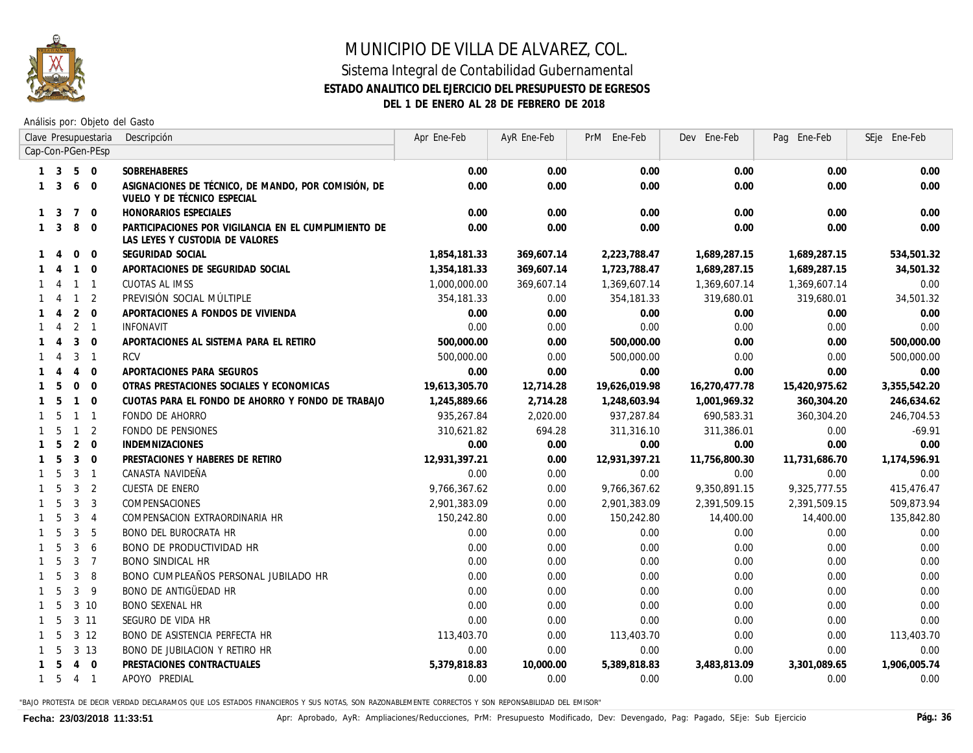

### Sistema Integral de Contabilidad Gubernamental **ESTADO ANALITICO DEL EJERCICIO DEL PRESUPUESTO DE EGRESOS DEL 1 DE ENERO AL 28 DE FEBRERO DE 2018**

Análisis por: Objeto del Gasto

|                   |                |                | Clave Presupuestaria | Descripción                                                                             | Apr Ene-Feb   | AyR Ene-Feb | PrM Ene-Feb   | Dev Ene-Feb   | Pag Ene-Feb   | SEje Ene-Feb |
|-------------------|----------------|----------------|----------------------|-----------------------------------------------------------------------------------------|---------------|-------------|---------------|---------------|---------------|--------------|
| Cap-Con-PGen-PEsp |                |                |                      |                                                                                         |               |             |               |               |               |              |
| $1 \quad 3$       |                | 5              | $\overline{0}$       | <b>SOBREHABERES</b>                                                                     | 0.00          | 0.00        | 0.00          | 0.00          | 0.00          | 0.00         |
| $\mathbf{1}$      | 3              | 6              | $\Omega$             | ASIGNACIONES DE TÉCNICO, DE MANDO, POR COMISIÓN, DE<br>VUELO Y DE TÉCNICO ESPECIAL      | 0.00          | 0.00        | 0.00          | 0.00          | 0.00          | 0.00         |
| 1                 | -3             | 7              | $\Omega$             | HONORARIOS ESPECIALES                                                                   | 0.00          | 0.00        | 0.00          | 0.00          | 0.00          | 0.00         |
| $\mathbf{1}$      | 3              | 8              | $\Omega$             | PARTICIPACIONES POR VIGILANCIA EN EL CUMPLIMIENTO DE<br>LAS LEYES Y CUSTODIA DE VALORES | 0.00          | 0.00        | 0.00          | 0.00          | 0.00          | 0.00         |
|                   | 4              | $\mathbf 0$    | $\overline{0}$       | SEGURIDAD SOCIAL                                                                        | 1,854,181.33  | 369,607.14  | 2,223,788.47  | 1,689,287.15  | 1,689,287.15  | 534,501.32   |
|                   | 4              | $\mathbf{1}$   | $\overline{0}$       | APORTACIONES DE SEGURIDAD SOCIAL                                                        | 1,354,181.33  | 369,607.14  | 1,723,788.47  | 1,689,287.15  | 1,689,287.15  | 34,501.32    |
|                   | -4             | $\mathbf{1}$   | $\overline{1}$       | CUOTAS AL IMSS                                                                          | 1,000,000.00  | 369,607.14  | 1,369,607.14  | 1,369,607.14  | 1,369,607.14  | 0.00         |
|                   | $\overline{A}$ | $\mathbf{1}$   | $\overline{2}$       | PREVISIÓN SOCIAL MÚLTIPLE                                                               | 354,181.33    | 0.00        | 354,181.33    | 319,680.01    | 319,680.01    | 34,501.32    |
|                   | $\overline{A}$ | 2              | $\Omega$             | APORTACIONES A FONDOS DE VIVIENDA                                                       | 0.00          | 0.00        | 0.00          | 0.00          | 0.00          | 0.00         |
|                   | -4             | 2 <sub>1</sub> |                      | INFONAVIT                                                                               | 0.00          | 0.00        | 0.00          | 0.00          | 0.00          | 0.00         |
|                   | 4              | 3              | $\mathbf{0}$         | APORTACIONES AL SISTEMA PARA EL RETIRO                                                  | 500,000.00    | 0.00        | 500,000.00    | 0.00          | 0.00          | 500,000.00   |
|                   | 4              | 3              | $\overline{1}$       | RCV                                                                                     | 500,000.00    | 0.00        | 500,000.00    | 0.00          | 0.00          | 500,000.00   |
|                   |                | $\overline{4}$ | $\Omega$             | APORTACIONES PARA SEGUROS                                                               | 0.00          | 0.00        | 0.00          | 0.00          | 0.00          | 0.00         |
|                   | 5              | $\mathbf{0}$   | $\overline{0}$       | OTRAS PRESTACIONES SOCIALES Y ECONOMICAS                                                | 19,613,305.70 | 12,714.28   | 19,626,019.98 | 16,270,477.78 | 15,420,975.62 | 3,355,542.20 |
| 1                 | -5             | $\mathbf{1}$   | $\overline{0}$       | CUOTAS PARA EL FONDO DE AHORRO Y FONDO DE TRABAJO                                       | 1,245,889.66  | 2,714.28    | 1,248,603.94  | 1,001,969.32  | 360,304.20    | 246,634.62   |
| 1                 | 5              | $\mathbf{1}$   | $\overline{1}$       | FONDO DE AHORRO                                                                         | 935,267.84    | 2,020.00    | 937,287.84    | 690,583.31    | 360,304.20    | 246,704.53   |
| $\mathbf{1}$      | 5              | $\mathbf{1}$   | $\overline{2}$       | FONDO DE PENSIONES                                                                      | 310,621.82    | 694.28      | 311,316.10    | 311,386.01    | 0.00          | $-69.91$     |
| $\mathbf{1}$      | 5              | $\overline{2}$ | $\overline{0}$       | INDEMNIZACIONES                                                                         | 0.00          | 0.00        | 0.00          | 0.00          | 0.00          | 0.00         |
|                   | 5              | 3              | $\mathbf{0}$         | PRESTACIONES Y HABERES DE RETIRO                                                        | 12,931,397.21 | 0.00        | 12,931,397.21 | 11,756,800.30 | 11,731,686.70 | 1,174,596.91 |
|                   | 5              | 3              | $\overline{1}$       | CANASTA NAVIDEÑA                                                                        | 0.00          | 0.00        | 0.00          | 0.00          | 0.00          | 0.00         |
|                   | 5              | 3              | 2                    | CUESTA DE ENERO                                                                         | 9,766,367.62  | 0.00        | 9,766,367.62  | 9,350,891.15  | 9,325,777.55  | 415,476.47   |
|                   | 5              | $\mathbf{3}$   | 3                    | COMPENSACIONES                                                                          | 2,901,383.09  | 0.00        | 2,901,383.09  | 2,391,509.15  | 2,391,509.15  | 509,873.94   |
|                   | -5             | 3              | $\overline{4}$       | COMPENSACION EXTRAORDINARIA HR                                                          | 150,242.80    | 0.00        | 150,242.80    | 14,400.00     | 14,400.00     | 135,842.80   |
|                   | -5             | 3              | 5                    | <b>BONO DEL BUROCRATA HR</b>                                                            | 0.00          | 0.00        | 0.00          | 0.00          | 0.00          | 0.00         |
|                   | 5              | 3              | 6                    | <b>BONO DE PRODUCTIVIDAD HR</b>                                                         | 0.00          | 0.00        | 0.00          | 0.00          | 0.00          | 0.00         |
| $\mathbf{1}$      | 5              | 3              | $\overline{7}$       | <b>BONO SINDICAL HR</b>                                                                 | 0.00          | 0.00        | 0.00          | 0.00          | 0.00          | 0.00         |
|                   | 5              | 3              | 8                    | BONO CUMPLEAÑOS PERSONAL JUBILADO HR                                                    | 0.00          | 0.00        | 0.00          | 0.00          | 0.00          | 0.00         |
| $\mathbf{1}$      | 5              | 3              | 9                    | <b>BONO DE ANTIGÜEDAD HR</b>                                                            | 0.00          | 0.00        | 0.00          | 0.00          | 0.00          | 0.00         |
|                   | 5              | $3 \t10$       |                      | <b>BONO SEXENAL HR</b>                                                                  | 0.00          | 0.00        | 0.00          | 0.00          | 0.00          | 0.00         |
| $\mathbf{1}$      | 5              | $3 \; 11$      |                      | SEGURO DE VIDA HR                                                                       | 0.00          | 0.00        | 0.00          | 0.00          | 0.00          | 0.00         |
|                   | 5              | 3 12           |                      | <b>BONO DE ASISTENCIA PERFECTA HR</b>                                                   | 113,403.70    | 0.00        | 113,403.70    | 0.00          | 0.00          | 113,403.70   |
|                   | -5             | 3 1 3          |                      | <b>BONO DE JUBILACION Y RETIRO HR</b>                                                   | 0.00          | 0.00        | 0.00          | 0.00          | 0.00          | 0.00         |
|                   | 5              | $\overline{4}$ | $\overline{0}$       | PRESTACIONES CONTRACTUALES                                                              | 5,379,818.83  | 10,000.00   | 5,389,818.83  | 3,483,813.09  | 3,301,089.65  | 1,906,005.74 |
| $\mathbf{1}$      | 5              | 4 1            |                      | APOYO PREDIAL                                                                           | 0.00          | 0.00        | 0.00          | 0.00          | 0.00          | 0.00         |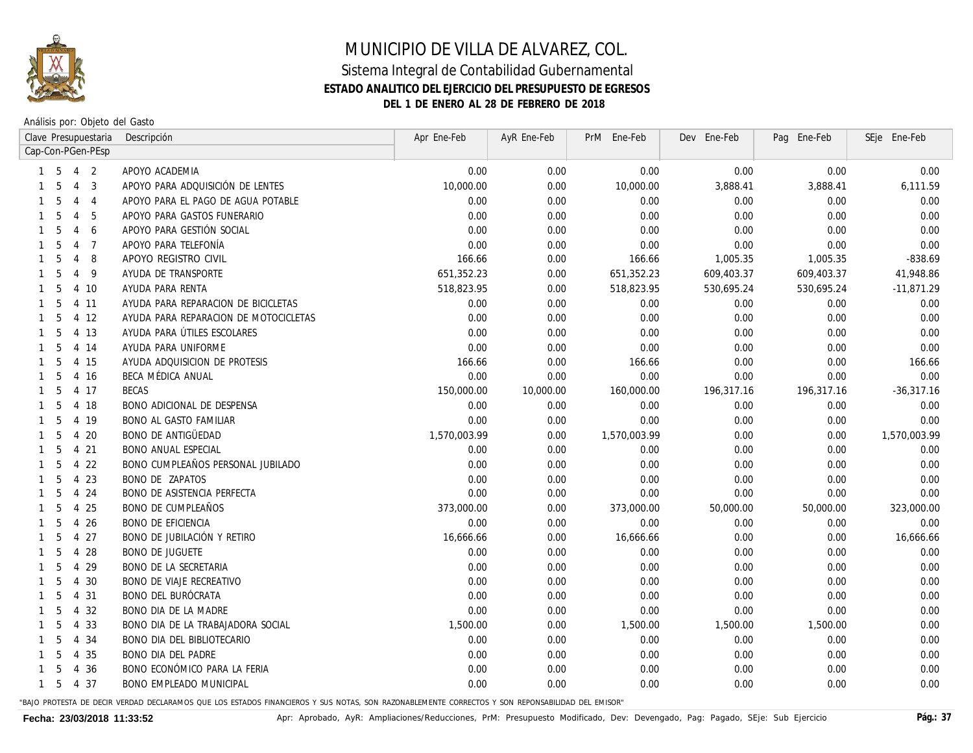

### Sistema Integral de Contabilidad Gubernamental **ESTADO ANALITICO DEL EJERCICIO DEL PRESUPUESTO DE EGRESOS DEL 1 DE ENERO AL 28 DE FEBRERO DE 2018**

Análisis por: Objeto del Gasto

|                                                |    |                             | Clave Presupuestaria | Descripción                           | Apr Ene-Feb  | AyR Ene-Feb | PrM Ene-Feb  | Dev Ene-Feb | Pag Ene-Feb | SEje Ene-Feb  |
|------------------------------------------------|----|-----------------------------|----------------------|---------------------------------------|--------------|-------------|--------------|-------------|-------------|---------------|
| Cap-Con-PGen-PEsp<br>2<br>-5<br>$\overline{4}$ |    |                             |                      |                                       |              |             |              |             |             |               |
|                                                |    |                             |                      | APOYO ACADEMIA                        | 0.00         | 0.00        | 0.00         | 0.00        | 0.00        | 0.00          |
|                                                | 5  | $\overline{4}$              | -3                   | APOYO PARA ADQUISICIÓN DE LENTES      | 10,000.00    | 0.00        | 10,000.00    | 3,888.41    | 3,888.41    | 6, 111.59     |
|                                                | 5  | $\overline{4}$              | $\overline{4}$       | APOYO PARA EL PAGO DE AGUA POTABLE    | 0.00         | 0.00        | 0.00         | 0.00        | 0.00        | 0.00          |
|                                                | 5  | $\boldsymbol{\vartriangle}$ | 5                    | APOYO PARA GASTOS FUNERARIO           | 0.00         | 0.00        | 0.00         | 0.00        | 0.00        | 0.00          |
|                                                | 5  | $\overline{4}$              | 6                    | APOYO PARA GESTIÓN SOCIAL             | 0.00         | 0.00        | 0.00         | 0.00        | 0.00        | 0.00          |
|                                                | 5  | $\overline{4}$              | $\overline{7}$       | APOYO PARA TELEFONÍA                  | 0.00         | 0.00        | 0.00         | 0.00        | 0.00        | 0.00          |
|                                                | 5  | $\overline{4}$              | 8                    | APOYO REGISTRO CIVIL                  | 166.66       | 0.00        | 166.66       | 1,005.35    | 1,005.35    | -838.69       |
|                                                | 5  | $\overline{4}$              | 9                    | AYUDA DE TRANSPORTE                   | 651,352.23   | 0.00        | 651,352.23   | 609,403.37  | 609,403.37  | 41,948.86     |
|                                                | 5  | 4                           | 10                   | AYUDA PARA RENTA                      | 518,823.95   | 0.00        | 518,823.95   | 530,695.24  | 530,695.24  | $-11,871.29$  |
|                                                | 5  | 4                           | -11                  | AYUDA PARA REPARACION DE BICICLETAS   | 0.00         | 0.00        | 0.00         | 0.00        | 0.00        | 0.00          |
|                                                | 5  | $\overline{4}$              | -12                  | AYUDA PARA REPARACION DE MOTOCICLETAS | 0.00         | 0.00        | 0.00         | 0.00        | 0.00        | 0.00          |
|                                                | 5  | $\overline{4}$              | -13                  | AYUDA PARA ÚTILES ESCOLARES           | 0.00         | 0.00        | 0.00         | 0.00        | 0.00        | 0.00          |
|                                                | 5  |                             | 4 14                 | AYUDA PARA UNIFORME                   | 0.00         | 0.00        | 0.00         | 0.00        | 0.00        | 0.00          |
|                                                | 5  |                             | 4 15                 | AYUDA ADQUISICION DE PROTESIS         | 166.66       | 0.00        | 166.66       | 0.00        | 0.00        | 166.66        |
|                                                | 5  |                             | 4 16                 | BECA MÉDICA ANUAL                     | 0.00         | 0.00        | 0.00         | 0.00        | 0.00        | 0.00          |
|                                                | 5  |                             | 4 17                 | BECAS                                 | 150,000.00   | 10,000.00   | 160,000.00   | 196,317.16  | 196,317.16  | $-36, 317.16$ |
|                                                | 5  |                             | 4 18                 | <b>BONO ADICIONAL DE DESPENSA</b>     | 0.00         | 0.00        | 0.00         | 0.00        | 0.00        | 0.00          |
|                                                | 5  |                             | 4 19                 | <b>BONO AL GASTO FAMILIAR</b>         | 0.00         | 0.00        | 0.00         | 0.00        | 0.00        | 0.00          |
|                                                | 5  | $\overline{4}$              | 20                   | BONO DE ANTIGÜEDAD                    | 1,570,003.99 | 0.00        | 1,570,003.99 | 0.00        | 0.00        | 1,570,003.99  |
| -1                                             | 5  | $\overline{4}$              | 21                   | <b>BONO ANUAL ESPECIAL</b>            | 0.00         | 0.00        | 0.00         | 0.00        | 0.00        | 0.00          |
|                                                | 5  | $\overline{4}$              | 22                   | BONO CUMPLEAÑOS PERSONAL JUBILADO     | 0.00         | 0.00        | 0.00         | 0.00        | 0.00        | 0.00          |
|                                                | 5  | $\overline{4}$              | 23                   | <b>BONO DE ZAPATOS</b>                | 0.00         | 0.00        | 0.00         | 0.00        | 0.00        | 0.00          |
| 1                                              | .5 | 4                           | 24                   | <b>BONO DE ASISTENCIA PERFECTA</b>    | 0.00         | 0.00        | 0.00         | 0.00        | 0.00        | 0.00          |
|                                                | 5  | $\overline{4}$              | 25                   | BONO DE CUMPLEAÑOS                    | 373,000.00   | 0.00        | 373,000.00   | 50,000.00   | 50,000.00   | 323,000.00    |
|                                                | .5 | $\overline{4}$              | 26                   | <b>BONO DE EFICIENCIA</b>             | 0.00         | 0.00        | 0.00         | 0.00        | 0.00        | 0.00          |
|                                                | 5  | $\overline{4}$              | 27                   | <b>BONO DE JUBILACIÓN Y RETIRO</b>    | 16,666.66    | 0.00        | 16,666.66    | 0.00        | 0.00        | 16,666.66     |
|                                                | 5  | 4                           | 28                   | <b>BONO DE JUGUETE</b>                | 0.00         | 0.00        | 0.00         | 0.00        | 0.00        | 0.00          |
|                                                | 5  | 4                           | 29                   | <b>BONO DE LA SECRETARIA</b>          | 0.00         | 0.00        | 0.00         | 0.00        | 0.00        | 0.00          |
|                                                |    | 4                           | 30                   | <b>BONO DE VIAJE RECREATIVO</b>       | 0.00         | 0.00        | 0.00         | 0.00        | 0.00        | 0.00          |
|                                                | 5  |                             | 4 31                 | BONO DEL BURÓCRATA                    | 0.00         | 0.00        | 0.00         | 0.00        | 0.00        | 0.00          |
|                                                | 5  |                             | 4 3 2                | BONO DIA DE LA MADRE                  | 0.00         | 0.00        | 0.00         | 0.00        | 0.00        | 0.00          |
|                                                |    | 4                           | 33                   | BONO DIA DE LA TRABAJADORA SOCIAL     | 1,500.00     | 0.00        | 1,500.00     | 1,500.00    | 1,500.00    | 0.00          |
|                                                |    | $\overline{4}$              | 34                   | <b>BONO DIA DEL BIBLIOTECARIO</b>     | 0.00         | 0.00        | 0.00         | 0.00        | 0.00        | 0.00          |
|                                                | 5  | $\overline{4}$              | -35                  | <b>BONO DIA DEL PADRE</b>             | 0.00         | 0.00        | 0.00         | 0.00        | 0.00        | 0.00          |
|                                                |    | 4                           | 36                   | BONO ECONÓMICO PARA LA FERIA          | 0.00         | 0.00        | 0.00         | 0.00        | 0.00        | 0.00          |
| $\mathbf{1}$                                   | -5 |                             | 4 37                 | <b>BONO EMPLEADO MUNICIPAL</b>        | 0.00         | 0.00        | 0.00         | 0.00        | 0.00        | 0.00          |
|                                                |    |                             |                      |                                       |              |             |              |             |             |               |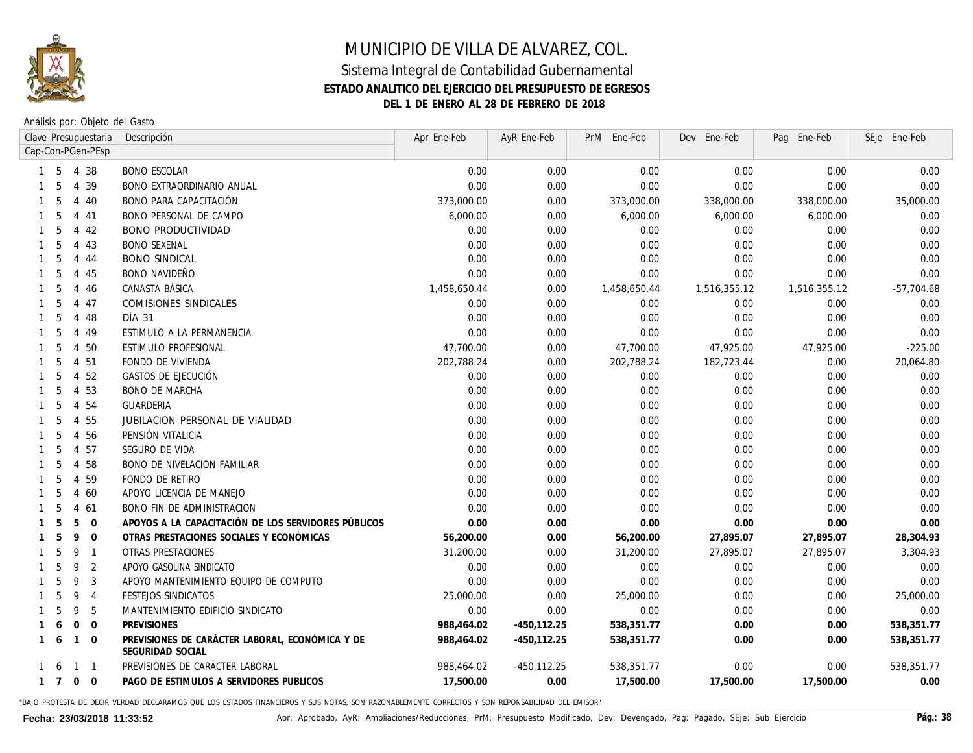

### Sistema Integral de Contabilidad Gubernamental **ESTADO ANALITICO DEL EJERCICIO DEL PRESUPUESTO DE EGRESOS DEL 1 DE ENERO AL 28 DE FEBRERO DE 2018**

Análisis por: Objeto del Gasto

|             |                                 |                | Clave Presupuestaria | Descripción                                                         | Apr Ene-Feb  | AyR Ene-Feb    | PrM Ene-Feb  | Dev Ene-Feb  | Pag Ene-Feb  | SEje Ene-Feb |
|-------------|---------------------------------|----------------|----------------------|---------------------------------------------------------------------|--------------|----------------|--------------|--------------|--------------|--------------|
|             | Cap-Con-PGen-PEsp<br>4 38<br>-5 |                |                      |                                                                     |              |                |              |              |              |              |
|             |                                 |                |                      | <b>BONO ESCOLAR</b>                                                 | 0.00         | 0.00           | 0.00         | 0.00         | 0.00         | 0.00         |
|             | 5                               |                | 4 3 9                | <b>BONO EXTRAORDINARIO ANUAL</b>                                    | 0.00         | 0.00           | 0.00         | 0.00         | 0.00         | 0.00         |
|             | 5                               |                | 4 40                 | BONO PARA CAPACITACIÓN                                              | 373,000.00   | 0.00           | 373,000.00   | 338,000.00   | 338,000.00   | 35,000.00    |
|             | 5                               |                | 4 4 1                | <b>BONO PERSONAL DE CAMPO</b>                                       | 6,000.00     | 0.00           | 6,000.00     | 6,000.00     | 6,000.00     | 0.00         |
|             | 5                               | $\overline{4}$ | 42                   | <b>BONO PRODUCTIVIDAD</b>                                           | 0.00         | 0.00           | 0.00         | 0.00         | 0.00         | 0.00         |
|             | 5                               | $\overline{4}$ | 43                   | <b>BONO SEXENAL</b>                                                 | 0.00         | 0.00           | 0.00         | 0.00         | 0.00         | 0.00         |
|             | 5                               | 4              | 44                   | <b>BONO SINDICAL</b>                                                | 0.00         | 0.00           | 0.00         | 0.00         | 0.00         | 0.00         |
|             | 5                               |                | 4 45                 | BONO NAVIDEÑO                                                       | 0.00         | 0.00           | 0.00         | 0.00         | 0.00         | 0.00         |
|             | 5                               |                | 4 4 6                | CANASTA BÁSICA                                                      | 1,458,650.44 | 0.00           | 1,458,650.44 | 1,516,355.12 | 1,516,355.12 | $-57,704.68$ |
|             | 5                               |                | 4 47                 | COMISIONES SINDICALES                                               | 0.00         | 0.00           | 0.00         | 0.00         | 0.00         | 0.00         |
|             | 5                               |                | 4 48                 | DIA 31                                                              | 0.00         | 0.00           | 0.00         | 0.00         | 0.00         | 0.00         |
|             | 5                               |                | 4 4 9                | ESTIMULO A LA PERMANENCIA                                           | 0.00         | 0.00           | 0.00         | 0.00         | 0.00         | 0.00         |
|             | 5                               | $\overline{4}$ | 50                   | ESTIMULO PROFESIONAL                                                | 47,700.00    | 0.00           | 47,700.00    | 47,925.00    | 47,925.00    | $-225.00$    |
|             | 5                               | $\overline{4}$ | 51                   | FONDO DE VIVIENDA                                                   | 202,788.24   | 0.00           | 202,788.24   | 182, 723.44  | 0.00         | 20,064.80    |
|             | 5                               |                | 4 52                 | GASTOS DE EJECUCIÓN                                                 | 0.00         | 0.00           | 0.00         | 0.00         | 0.00         | 0.00         |
|             |                                 | 4              | 53                   | <b>BONO DE MARCHA</b>                                               | 0.00         | 0.00           | 0.00         | 0.00         | 0.00         | 0.00         |
|             |                                 | 4              | -54                  | GUARDERIA                                                           | 0.00         | 0.00           | 0.00         | 0.00         | 0.00         | 0.00         |
|             | 5                               | 4              | 55                   | JUBILACIÓN PERSONAL DE VIALIDAD                                     | 0.00         | 0.00           | 0.00         | 0.00         | 0.00         | 0.00         |
|             | 5                               | 4              | -56                  | PENSIÓN VITALICIA                                                   | 0.00         | 0.00           | 0.00         | 0.00         | 0.00         | 0.00         |
|             | .5                              | 4              | 57                   | SEGURO DE VIDA                                                      | 0.00         | 0.00           | 0.00         | 0.00         | 0.00         | 0.00         |
|             | 5                               | $\overline{4}$ | 58                   | <b>BONO DE NIVELACION FAMILIAR</b>                                  | 0.00         | 0.00           | 0.00         | 0.00         | 0.00         | 0.00         |
|             | 5                               | 4              | 59                   | FONDO DE RETIRO                                                     | 0.00         | 0.00           | 0.00         | 0.00         | 0.00         | 0.00         |
|             | 5                               | $\overline{4}$ | 60                   | APOYO LICENCIA DE MANEJO                                            | 0.00         | 0.00           | 0.00         | 0.00         | 0.00         | 0.00         |
|             | 5                               | 4              | 61                   | <b>BONO FIN DE ADMINISTRACION</b>                                   | 0.00         | 0.00           | 0.00         | 0.00         | 0.00         | 0.00         |
|             | 5                               | 5              | $\overline{0}$       | APOYOS A LA CAPACITACIÓN DE LOS SERVIDORES PÚBLICOS                 | 0.00         | 0.00           | 0.00         | 0.00         | 0.00         | 0.00         |
|             | 5                               | 9              | $\overline{0}$       | OTRAS PRESTACIONES SOCIALES Y ECONÓMICAS                            | 56,200.00    | 0.00           | 56,200.00    | 27,895.07    | 27,895.07    | 28,304.93    |
|             | 5                               | 9              | $\overline{1}$       | OTRAS PRESTACIONES                                                  | 31,200.00    | 0.00           | 31,200.00    | 27,895.07    | 27,895.07    | 3,304.93     |
|             | 5                               | 9              | $\overline{2}$       | APOYO GASOLINA SINDICATO                                            | 0.00         | 0.00           | 0.00         | 0.00         | 0.00         | 0.00         |
|             | 5                               | 9              | 3                    | APOYO MANTENIMIENTO EQUIPO DE COMPUTO                               | 0.00         | 0.00           | 0.00         | 0.00         | 0.00         | 0.00         |
|             | 5                               | 9              | $\overline{4}$       | FESTEJOS SINDICATOS                                                 | 25,000.00    | 0.00           | 25,000.00    | 0.00         | 0.00         | 25,000.00    |
|             | -5                              | 9              | -5                   | MANTENIMIENTO EDIFICIO SINDICATO                                    | 0.00         | 0.00           | 0.00         | 0.00         | 0.00         | 0.00         |
|             | 6                               | $\mathbf 0$    | $\overline{0}$       | <b>PREVISIONES</b>                                                  | 988,464.02   | $-450, 112.25$ | 538,351.77   | 0.00         | 0.00         | 538,351.77   |
|             | -6                              | $\mathbf{1}$   | $\overline{0}$       | PREVISIONES DE CARÁCTER LABORAL, ECONÓMICA Y DE<br>SEGURIDAD SOCIAL | 988,464.02   | $-450, 112.25$ | 538,351.77   | 0.00         | 0.00         | 538,351.77   |
|             |                                 | -1             | $\overline{1}$       | PREVISIONES DE CARÁCTER LABORAL                                     | 988,464.02   | -450,112.25    | 538,351.77   | 0.00         | 0.00         | 538,351.77   |
| $1 \quad 7$ |                                 | $\overline{0}$ | $\overline{0}$       | PAGO DE ESTIMULOS A SERVIDORES PUBLICOS                             | 17,500.00    | 0.00           | 17,500.00    | 17,500.00    | 17,500.00    | 0.00         |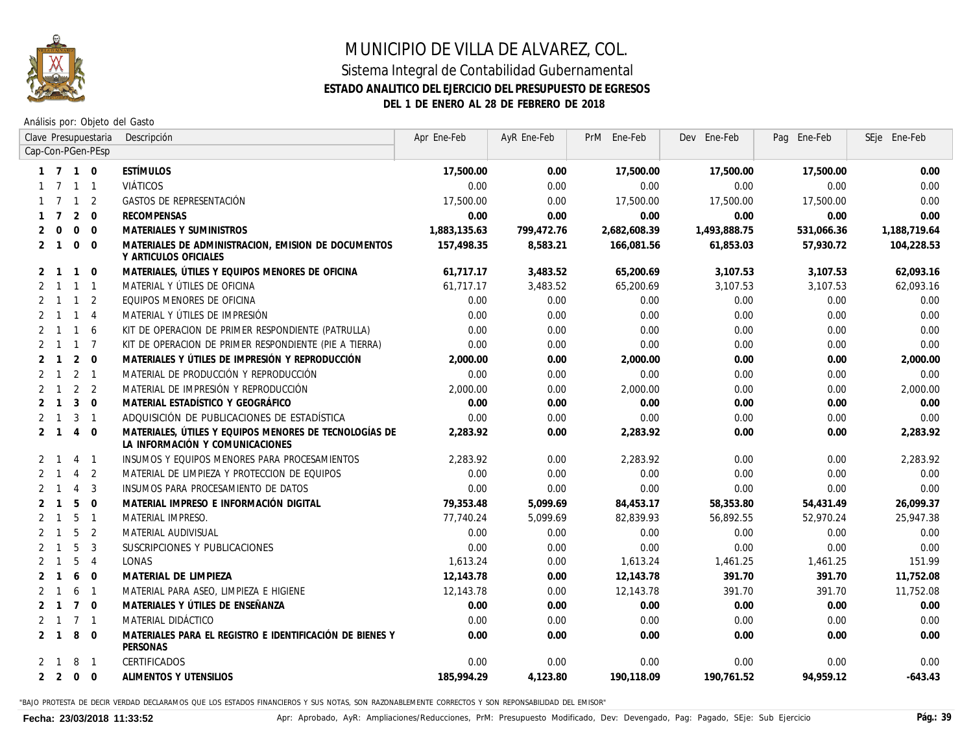

### Sistema Integral de Contabilidad Gubernamental **ESTADO ANALITICO DEL EJERCICIO DEL PRESUPUESTO DE EGRESOS DEL 1 DE ENERO AL 28 DE FEBRERO DE 2018**

Análisis por: Objeto del Gasto

|                   |                |                   | Clave Presupuestaria | Descripción                                                                               | Apr Ene-Feb  | AyR Ene-Feb | PrM Ene-Feb  | Dev Ene-Feb  | Pag Ene-Feb | SEje Ene-Feb |
|-------------------|----------------|-------------------|----------------------|-------------------------------------------------------------------------------------------|--------------|-------------|--------------|--------------|-------------|--------------|
| Cap-Con-PGen-PEsp |                |                   |                      |                                                                                           |              |             |              |              |             |              |
|                   |                | 1 7 1 0           |                      | <b>ESTÍMULOS</b>                                                                          | 17,500.00    | 0.00        | 17,500.00    | 17,500.00    | 17,500.00   | 0.00         |
|                   |                |                   | $1 \quad 1$          | <i>VIÁTICOS</i>                                                                           | 0.00         | 0.00        | 0.00         | 0.00         | 0.00        | 0.00         |
|                   |                | $\mathbf{1}$      | $\overline{2}$       | GASTOS DE REPRESENTACIÓN                                                                  | 17,500.00    | 0.00        | 17,500.00    | 17,500.00    | 17,500.00   | 0.00         |
|                   | $\overline{7}$ | 2                 | $\Omega$             | <b>RECOMPENSAS</b>                                                                        | 0.00         | 0.00        | 0.00         | 0.00         | 0.00        | 0.00         |
| 2                 | $\Omega$       | $\Omega$          | $\Omega$             | MATERIALES Y SUMINISTROS                                                                  | 1,883,135.63 | 799,472.76  | 2,682,608.39 | 1,493,888.75 | 531,066.36  | 1,188,719.64 |
| $\mathbf{2}$      | $\overline{1}$ | $\mathbf 0$       | $\Omega$             | MATERIALES DE ADMINISTRACION, EMISION DE DOCUMENTOS<br>Y ARTICULOS OFICIALES              | 157,498.35   | 8,583.21    | 166,081.56   | 61,853.03    | 57,930.72   | 104,228.53   |
|                   | $2 \quad 1$    | $\mathbf{1}$      | $\Omega$             | MATERIALES, ÚTILES Y EQUIPOS MENORES DE OFICINA                                           | 61,717.17    | 3,483.52    | 65,200.69    | 3,107.53     | 3,107.53    | 62,093.16    |
| 2                 | $\overline{1}$ | $\mathbf{1}$      | $\overline{1}$       | MATERIAL Y ÚTILES DE OFICINA                                                              | 61.717.17    | 3,483.52    | 65,200.69    | 3,107.53     | 3,107.53    | 62,093.16    |
| 2                 | $\overline{1}$ | $\mathbf{1}$      | 2                    | EQUIPOS MENORES DE OFICINA                                                                | 0.00         | 0.00        | 0.00         | 0.00         | 0.00        | 0.00         |
| 2                 |                | $\mathbf{1}$      | $\overline{4}$       | MATERIAL Y ÚTILES DE IMPRESIÓN                                                            | 0.00         | 0.00        | 0.00         | 0.00         | 0.00        | 0.00         |
| 2                 |                | $\mathbf{1}$      | 6                    | KIT DE OPERACION DE PRIMER RESPONDIENTE (PATRULLA)                                        | 0.00         | 0.00        | 0.00         | 0.00         | 0.00        | 0.00         |
| 2                 | -1             | $\mathbf{1}$      | $\overline{7}$       | KIT DE OPERACION DE PRIMER RESPONDIENTE (PIE A TIERRA)                                    | 0.00         | 0.00        | 0.00         | 0.00         | 0.00        | 0.00         |
| 2                 | -1             | 2                 | $\mathbf{0}$         | MATERIALES Y ÚTILES DE IMPRESIÓN Y REPRODUCCIÓN                                           | 2,000.00     | 0.00        | 2,000.00     | 0.00         | 0.00        | 2,000.00     |
| 2                 | $\mathbf{1}$   | 2                 | $\overline{1}$       | MATERIAL DE PRODUCCIÓN Y REPRODUCCIÓN                                                     | 0.00         | 0.00        | 0.00         | 0.00         | 0.00        | 0.00         |
| 2                 | $\mathbf{1}$   |                   | 2 <sub>2</sub>       | MATERIAL DE IMPRESIÓN Y REPRODUCCIÓN                                                      | 2,000.00     | 0.00        | 2,000.00     | 0.00         | 0.00        | 2,000.00     |
| 2                 | $\mathbf{1}$   | $\mathbf{3}$      | $\overline{0}$       | MATERIAL ESTADÍSTICO Y GEOGRÁFICO                                                         | 0.00         | 0.00        | 0.00         | 0.00         | 0.00        | 0.00         |
| 2                 | $\overline{1}$ | 3                 | $\overline{1}$       | ADQUISICIÓN DE PUBLICACIONES DE ESTADÍSTICA                                               | 0.00         | 0.00        | 0.00         | 0.00         | 0.00        | 0.00         |
| $\overline{2}$    | $\overline{1}$ | $\overline{4}$    | $\Omega$             | MATERIALES, ÚTILES Y EQUIPOS MENORES DE TECNOLOGÍAS DE<br>LA INFORMACIÓN Y COMUNICACIONES | 2,283.92     | 0.00        | 2,283.92     | 0.00         | 0.00        | 2,283.92     |
| $\mathbf{2}$      | -1             | $\overline{4}$    | $\overline{1}$       | INSUMOS Y EQUIPOS MENORES PARA PROCESAMIENTOS                                             | 2,283.92     | 0.00        | 2,283.92     | 0.00         | 0.00        | 2,283.92     |
| 2                 |                | $\overline{4}$    | 2                    | MATERIAL DE LIMPIEZA Y PROTECCION DE EQUIPOS                                              | 0.00         | 0.00        | 0.00         | 0.00         | 0.00        | 0.00         |
|                   |                | $\overline{4}$    | 3                    | INSUMOS PARA PROCESAMIENTO DE DATOS                                                       | 0.00         | 0.00        | 0.00         | 0.00         | 0.00        | 0.00         |
| 2                 |                | 5                 | $\mathbf{0}$         | MATERIAL IMPRESO E INFORMACIÓN DIGITAL                                                    | 79,353.48    | 5,099.69    | 84,453.17    | 58,353.80    | 54,431.49   | 26,099.37    |
|                   | -1             | 5                 | $\overline{1}$       | MATERIAL IMPRESO.                                                                         | 77,740.24    | 5,099.69    | 82,839.93    | 56,892.55    | 52,970.24   | 25,947.38    |
|                   | -1             | 5                 | 2                    | MATERIAL AUDIVISUAL                                                                       | 0.00         | 0.00        | 0.00         | 0.00         | 0.00        | 0.00         |
|                   | $\overline{1}$ | 5                 | 3                    | SUSCRIPCIONES Y PUBLICACIONES                                                             | 0.00         | 0.00        | 0.00         | 0.00         | 0.00        | 0.00         |
| 2                 | $\mathbf{1}$   | 5                 | $\overline{4}$       | LONAS                                                                                     | 1,613.24     | 0.00        | 1,613.24     | 1,461.25     | 1,461.25    | 151.99       |
| 2                 | $\mathbf{1}$   | 6                 | $\mathbf{0}$         | MATERIAL DE LIMPIEZA                                                                      | 12,143.78    | 0.00        | 12,143.78    | 391.70       | 391.70      | 11,752.08    |
| 2                 | -1             | 6                 | $\overline{1}$       | MATERIAL PARA ASEO, LIMPIEZA E HIGIENE                                                    | 12,143.78    | 0.00        | 12,143.78    | 391.70       | 391.70      | 11,752.08    |
|                   | $2 \quad 1$    | $\overline{7}$    | $\Omega$             | MATERIALES Y ÚTILES DE ENSEÑANZA                                                          | 0.00         | 0.00        | 0.00         | 0.00         | 0.00        | 0.00         |
| 2                 | $\overline{1}$ | $\overline{7}$    | $\overline{1}$       | MATERIAL DIDÁCTICO                                                                        | 0.00         | 0.00        | 0.00         | 0.00         | 0.00        | 0.00         |
|                   | $2 \quad 1$    | 8                 | $\Omega$             | MATERIALES PARA EL REGISTRO E IDENTIFICACIÓN DE BIENES Y<br><b>PERSONAS</b>               | 0.00         | 0.00        | 0.00         | 0.00         | 0.00        | 0.00         |
| 2                 | $\overline{1}$ | 8                 | $\overline{1}$       | CERTIFICADOS                                                                              | 0.00         | 0.00        | 0.00         | 0.00         | 0.00        | 0.00         |
|                   |                | $2\quad 2\quad 0$ | $\overline{0}$       | ALIMENTOS Y UTENSILIOS                                                                    | 185,994.29   | 4,123.80    | 190.118.09   | 190.761.52   | 94.959.12   | $-643.43$    |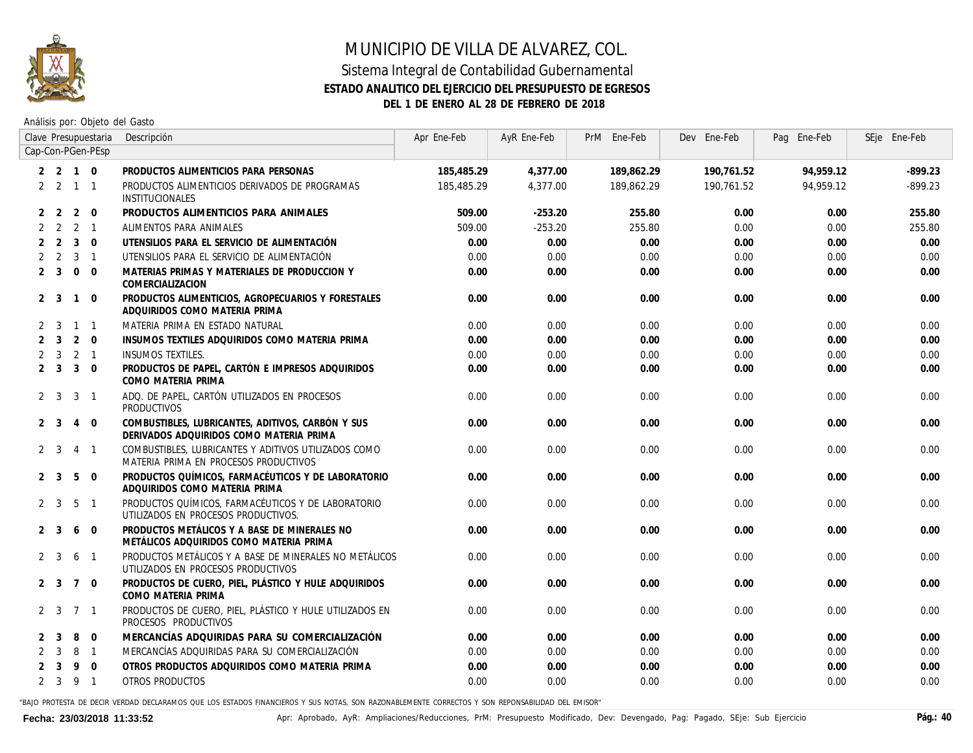

### Sistema Integral de Contabilidad Gubernamental **ESTADO ANALITICO DEL EJERCICIO DEL PRESUPUESTO DE EGRESOS DEL 1 DE ENERO AL 28 DE FEBRERO DE 2018**

Análisis por: Objeto del Gasto

|                |                |                             | Clave Presupuestaria | Descripción                                                                                   | Apr Ene-Feb | AyR Ene-Feb | PrM Ene-Feb | Dev Ene-Feb | Pag Ene-Feb | SEje Ene-Feb |
|----------------|----------------|-----------------------------|----------------------|-----------------------------------------------------------------------------------------------|-------------|-------------|-------------|-------------|-------------|--------------|
|                |                |                             | Cap-Con-PGen-PEsp    |                                                                                               |             |             |             |             |             |              |
|                |                | $2 \quad 2 \quad 1 \quad 0$ |                      | PRODUCTOS ALIMENTICIOS PARA PERSONAS                                                          | 185,485.29  | 4,377.00    | 189,862.29  | 190,761.52  | 94,959.12   | $-899.23$    |
|                |                | $2 \quad 2 \quad 1 \quad 1$ |                      | PRODUCTOS ALIMENTICIOS DERIVADOS DE PROGRAMAS<br>INSTITUCIONALES                              | 185,485,29  | 4,377,00    | 189.862.29  | 190.761.52  | 94,959,12   | -899.23      |
|                | 2 <sub>2</sub> | 2                           | $\overline{0}$       | PRODUCTOS ALIMENTICIOS PARA ANIMALES                                                          | 509.00      | $-253.20$   | 255.80      | 0.00        | 0.00        | 255.80       |
|                |                | $2 \t2 \t2 \t1$             |                      | ALIMENTOS PARA ANIMALES                                                                       | 509.00      | -253.20     | 255.80      | 0.00        | 0.00        | 255.80       |
|                | 2 <sub>2</sub> | $\overline{3}$              | $\mathbf 0$          | UTENSILIOS PARA EL SERVICIO DE ALIMENTACIÓN                                                   | 0.00        | 0.00        | 0.00        | 0.00        | 0.00        | 0.00         |
|                | $2\quad 2$     | $\overline{3}$              | $\overline{1}$       | UTENSILIOS PARA EL SERVICIO DE ALIMENTACIÓN                                                   | 0.00        | 0.00        | 0.00        | 0.00        | 0.00        | 0.00         |
|                | $2 \quad 3$    | $\Omega$                    | $\Omega$             | MATERIAS PRIMAS Y MATERIALES DE PRODUCCION Y<br>COMERCIALIZACION                              | 0.00        | 0.00        | 0.00        | 0.00        | 0.00        | 0.00         |
|                | 2 <sup>3</sup> | $\overline{1}$              | $\mathbf 0$          | PRODUCTOS ALIMENTICIOS, AGROPECUARIOS Y FORESTALES<br>ADQUIRIDOS COMO MATERIA PRIMA           | 0.00        | 0.00        | 0.00        | 0.00        | 0.00        | 0.00         |
| 2              | 3              | $\overline{1}$              | $\overline{1}$       | MATERIA PRIMA EN ESTADO NATURAL                                                               | 0.00        | 0.00        | 0.00        | 0.00        | 0.00        | 0.00         |
|                | 2 <sup>3</sup> | 2                           | $\Omega$             | INSUMOS TEXTILES ADQUIRIDOS COMO MATERIA PRIMA                                                | 0.00        | 0.00        | 0.00        | 0.00        | 0.00        | 0.00         |
| $\overline{2}$ | $\overline{3}$ | $\overline{2}$              | $\overline{1}$       | <b>INSUMOS TEXTILES.</b>                                                                      | 0.00        | 0.00        | 0.00        | 0.00        | 0.00        | 0.00         |
|                | 2 <sup>3</sup> | $\mathbf{3}$                | $\mathbf 0$          | PRODUCTOS DE PAPEL, CARTÓN E IMPRESOS ADQUIRIDOS<br>COMO MATERIA PRIMA                        | 0.00        | 0.00        | 0.00        | 0.00        | 0.00        | 0.00         |
|                | 2 <sup>3</sup> | 3                           | $\overline{1}$       | ADO. DE PAPEL, CARTÓN UTILIZADOS EN PROCESOS<br>PRODUCTIVOS                                   | 0.00        | 0.00        | 0.00        | 0.00        | 0.00        | 0.00         |
|                | 2 <sup>3</sup> | $\overline{4}$              | $\Omega$             | COMBUSTIBLES, LUBRICANTES, ADITIVOS, CARBÓN Y SUS<br>DERIVADOS ADQUIRIDOS COMO MATERIA PRIMA  | 0.00        | 0.00        | 0.00        | 0.00        | 0.00        | 0.00         |
|                | $2 \quad 3$    | $\overline{4}$              | $\overline{1}$       | COMBUSTIBLES, LUBRICANTES Y ADITIVOS UTILIZADOS COMO<br>MATERIA PRIMA EN PROCESOS PRODUCTIVOS | 0.00        | 0.00        | 0.00        | 0.00        | 0.00        | 0.00         |
|                | 2 <sup>3</sup> | 5                           | $\mathbf{0}$         | PRODUCTOS QUÍMICOS, FARMACÉUTICOS Y DE LABORATORIO<br>ADQUIRIDOS COMO MATERIA PRIMA           | 0.00        | 0.00        | 0.00        | 0.00        | 0.00        | 0.00         |
|                | $2 \quad 3$    | 5                           | $\overline{1}$       | PRODUCTOS QUÍMICOS, FARMACÉUTICOS Y DE LABORATORIO<br>UTILIZADOS EN PROCESOS PRODUCTIVOS.     | 0.00        | 0.00        | 0.00        | 0.00        | 0.00        | 0.00         |
|                | 2 <sup>3</sup> | 6                           | $\Omega$             | PRODUCTOS METÁLICOS Y A BASE DE MINERALES NO<br>METÁLICOS ADQUIRIDOS COMO MATERIA PRIMA       | 0.00        | 0.00        | 0.00        | 0.00        | 0.00        | 0.00         |
|                | 2 3            | 6                           | $\overline{1}$       | PRODUCTOS METÁLICOS Y A BASE DE MINERALES NO METÁLICOS<br>UTILIZADOS EN PROCESOS PRODUCTIVOS  | 0.00        | 0.00        | 0.00        | 0.00        | 0.00        | 0.00         |
|                | 2 <sup>3</sup> | $7\overline{ }$             | $\mathbf 0$          | PRODUCTOS DE CUERO, PIEL, PLÁSTICO Y HULE ADQUIRIDOS<br>COMO MATERIA PRIMA                    | 0.00        | 0.00        | 0.00        | 0.00        | 0.00        | 0.00         |
|                | 2 <sup>3</sup> | $\overline{7}$              | $\overline{1}$       | PRODUCTOS DE CUERO, PIEL, PLÁSTICO Y HULE UTILIZADOS EN<br>PROCESOS PRODUCTIVOS               | 0.00        | 0.00        | 0.00        | 0.00        | 0.00        | 0.00         |
| $\overline{2}$ | 3              | 8                           | $\Omega$             | MERCANCÍAS ADQUIRIDAS PARA SU COMERCIALIZACIÓN                                                | 0.00        | 0.00        | 0.00        | 0.00        | 0.00        | 0.00         |
|                | 3              | 8                           | $\overline{1}$       | MERCANCÍAS ADQUIRIDAS PARA SU COMERCIALIZACIÓN                                                | 0.00        | 0.00        | 0.00        | 0.00        | 0.00        | 0.00         |
|                | 3              | 9                           | $\mathbf 0$          | OTROS PRODUCTOS ADQUIRIDOS COMO MATERIA PRIMA                                                 | 0.00        | 0.00        | 0.00        | 0.00        | 0.00        | 0.00         |
|                | $2 \quad 3$    | - 9                         | $\overline{1}$       | OTROS PRODUCTOS                                                                               | 0.00        | 0.00        | 0.00        | 0.00        | 0.00        | 0.00         |
|                |                |                             |                      |                                                                                               |             |             |             |             |             |              |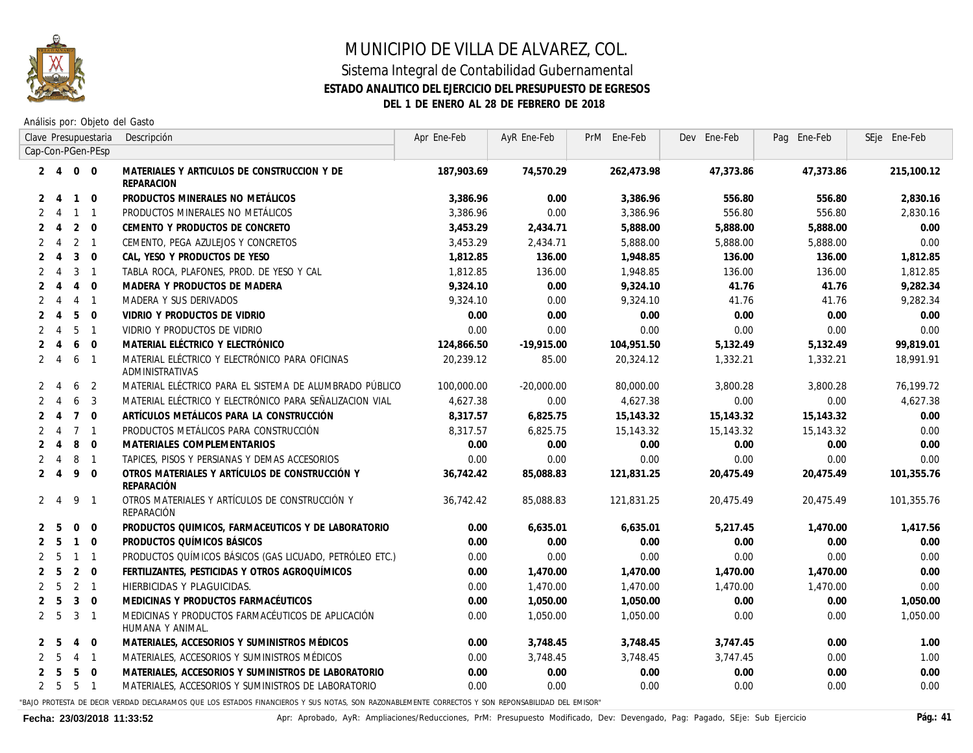

## MUNICIPIO DE VILLA DE ALVAREZ, COL. Sistema Integral de Contabilidad Gubernamental

#### **ESTADO ANALITICO DEL EJERCICIO DEL PRESUPUESTO DE EGRESOS DEL 1 DE ENERO AL 28 DE FEBRERO DE 2018**

Análisis por: Objeto del Gasto

|                |                |                 | Clave Presupuestaria     | Descripción                                                           | Apr Ene-Feb | AyR Ene-Feb  | PrM Ene-Feb | Dev Ene-Feb | Pag Ene-Feb | SEje Ene-Feb |
|----------------|----------------|-----------------|--------------------------|-----------------------------------------------------------------------|-------------|--------------|-------------|-------------|-------------|--------------|
|                |                |                 | Cap-Con-PGen-PEsp        |                                                                       |             |              |             |             |             |              |
|                | $2 \quad 4$    | $\overline{0}$  | $\Omega$                 | MATERIALES Y ARTICULOS DE CONSTRUCCION Y DE<br>REPARACION             | 187,903.69  | 74,570.29    | 262,473.98  | 47,373.86   | 47,373.86   | 215,100.12   |
|                | $2 \quad 4$    | $\mathbf{1}$    | $\Omega$                 | PRODUCTOS MINERALES NO METÁLICOS                                      | 3,386.96    | 0.00         | 3,386.96    | 556.80      | 556.80      | 2,830.16     |
|                | $2 \quad 4$    | $1 \quad 1$     |                          | PRODUCTOS MINERALES NO METÁLICOS                                      | 3,386.96    | 0.00         | 3,386.96    | 556.80      | 556.80      | 2,830.16     |
|                | $2 \quad 4$    | $2 \quad 0$     |                          | CEMENTO Y PRODUCTOS DE CONCRETO                                       | 3,453.29    | 2,434.71     | 5,888.00    | 5,888.00    | 5,888.00    | 0.00         |
|                | $2 \quad 4$    | 2               | $\overline{\phantom{0}}$ | CEMENTO, PEGA AZULEJOS Y CONCRETOS                                    | 3,453.29    | 2,434.71     | 5,888.00    | 5,888.00    | 5,888.00    | 0.00         |
| $\overline{2}$ | $\overline{4}$ | $\mathbf{3}$    | $\Omega$                 | CAL, YESO Y PRODUCTOS DE YESO                                         | 1,812.85    | 136.00       | 1,948.85    | 136.00      | 136.00      | 1,812.85     |
| 2              | $\overline{4}$ | 3               | $\overline{1}$           | TABLA ROCA. PLAFONES. PROD. DE YESO Y CAL                             | 1.812.85    | 136.00       | 1.948.85    | 136.00      | 136.00      | 1.812.85     |
| 2              | 4              | $\overline{4}$  | $\mathbf 0$              | MADERA Y PRODUCTOS DE MADERA                                          | 9,324.10    | 0.00         | 9,324.10    | 41.76       | 41.76       | 9,282.34     |
| $\overline{2}$ | $\overline{4}$ | $\overline{4}$  | $\overline{1}$           | MADERA Y SUS DERIVADOS                                                | 9,324.10    | 0.00         | 9,324.10    | 41.76       | 41.76       | 9,282.34     |
| 2              | $\overline{4}$ | 5               | $\Omega$                 | VIDRIO Y PRODUCTOS DE VIDRIO                                          | 0.00        | 0.00         | 0.00        | 0.00        | 0.00        | 0.00         |
|                | $2 \quad 4$    | 5               | $\overline{1}$           | VIDRIO Y PRODUCTOS DE VIDRIO                                          | 0.00        | 0.00         | 0.00        | 0.00        | 0.00        | 0.00         |
| $\overline{2}$ | $\overline{4}$ | 6               | $\Omega$                 | MATERIAL ELÉCTRICO Y ELECTRÓNICO                                      | 124,866.50  | $-19,915.00$ | 104,951.50  | 5,132.49    | 5,132.49    | 99,819.01    |
|                | $2 \quad 4$    | 6               | $\overline{1}$           | MATERIAL ELÉCTRICO Y ELECTRÓNICO PARA OFICINAS<br>ADMINISTRATIVAS     | 20,239.12   | 85.00        | 20,324.12   | 1,332.21    | 1,332.21    | 18,991.91    |
|                | $2 \quad 4$    | 6               | 2                        | MATERIAL ELÉCTRICO PARA EL SISTEMA DE ALUMBRADO PÚBLICO               | 100,000.00  | -20,000.00   | 80,000.00   | 3,800.28    | 3,800.28    | 76,199.72    |
| 2              | $\overline{A}$ | 6               | 3                        | MATERIAL ELÉCTRICO Y ELECTRÓNICO PARA SEÑALIZACION VIAL               | 4,627.38    | 0.00         | 4,627.38    | 0.00        | 0.00        | 4.627.38     |
|                | $2 \quad 4$    | $7\overline{ }$ | $\Omega$                 | ARTÍCULOS METÁLICOS PARA LA CONSTRUCCIÓN                              | 8,317.57    | 6,825.75     | 15,143.32   | 15,143.32   | 15,143.32   | 0.00         |
|                | $2 \quad 4$    | $7\overline{ }$ | $\overline{1}$           | PRODUCTOS METÁLICOS PARA CONSTRUCCIÓN                                 | 8.317.57    | 6,825.75     | 15,143.32   | 15,143.32   | 15,143.32   | 0.00         |
| 2              | $\overline{4}$ | 8               | $\mathbf{0}$             | MATERIALES COMPLEMENTARIOS                                            | 0.00        | $0.00\,$     | 0.00        | 0.00        | 0.00        | 0.00         |
| 2              | $\overline{4}$ | 8               | $\overline{1}$           | TAPICES. PISOS Y PERSIANAS Y DEMAS ACCESORIOS                         | 0.00        | 0.00         | 0.00        | 0.00        | 0.00        | 0.00         |
| 2              | $\overline{4}$ | 9               | $\Omega$                 | OTROS MATERIALES Y ARTÍCULOS DE CONSTRUCCIÓN Y<br>REPARACIÓN          | 36,742.42   | 85,088.83    | 121,831.25  | 20,475.49   | 20,475.49   | 101,355.76   |
|                | 2 <sub>1</sub> | 9               | $\overline{1}$           | OTROS MATERIALES Y ARTÍCULOS DE CONSTRUCCIÓN Y<br>REPARACIÓN          | 36,742.42   | 85,088.83    | 121,831.25  | 20.475.49   | 20,475.49   | 101,355.76   |
| 2              | .5             | $\Omega$        | $\Omega$                 | PRODUCTOS QUIMICOS, FARMACEUTICOS Y DE LABORATORIO                    | 0.00        | 6,635.01     | 6,635.01    | 5,217.45    | 1,470.00    | 1,417.56     |
| 2              | - 5            | $\overline{1}$  | $\Omega$                 | PRODUCTOS QUÍMICOS BÁSICOS                                            | 0.00        | 0.00         | 0.00        | 0.00        | 0.00        | 0.00         |
| 2              | 5              | $\overline{1}$  | $\overline{1}$           | PRODUCTOS QUÍMICOS BÁSICOS (GAS LICUADO, PETRÓLEO ETC.)               | 0.00        | 0.00         | 0.00        | 0.00        | 0.00        | 0.00         |
| 2              | 5              | 2               | $\mathbf{0}$             | FERTILIZANTES, PESTICIDAS Y OTROS AGROQUÍMICOS                        | 0.00        | 1,470.00     | 1,470.00    | 1,470.00    | 1,470.00    | 0.00         |
| $2^{\circ}$    | 5              | 2               | $\overline{1}$           | HIERBICIDAS Y PLAGUICIDAS.                                            | 0.00        | 1,470.00     | 1,470.00    | 1,470.00    | 1,470.00    | 0.00         |
| 2              | 5              | 3               | $\Omega$                 | MEDICINAS Y PRODUCTOS FARMACÉUTICOS                                   | 0.00        | 1,050.00     | 1,050.00    | 0.00        | 0.00        | 1,050.00     |
|                | 2 <sub>5</sub> | 3               | $\overline{1}$           | MEDICINAS Y PRODUCTOS FARMACÉUTICOS DE APLICACIÓN<br>HUMANA Y ANIMAL. | 0.00        | 1,050.00     | 1,050.00    | 0.00        | 0.00        | 1,050.00     |
|                | 2 5            | $\overline{4}$  | $\Omega$                 | MATERIALES, ACCESORIOS Y SUMINISTROS MÉDICOS                          | 0.00        | 3,748.45     | 3,748.45    | 3,747.45    | 0.00        | 1.00         |
| 2              | - 5            | $\overline{4}$  | $\overline{1}$           | MATERIALES, ACCESORIOS Y SUMINISTROS MÉDICOS                          | 0.00        | 3,748.45     | 3,748.45    | 3,747.45    | 0.00        | 7.00         |
| 2              | $\overline{5}$ | 5               | $\Omega$                 | MATERIALES, ACCESORIOS Y SUMINISTROS DE LABORATORIO                   | 0.00        | 0.00         | 0.00        | 0.00        | 0.00        | 0.00         |
|                | 2 5            | $5^{\circ}$     | $\overline{1}$           | MATERIALES, ACCESORIOS Y SUMINISTROS DE LABORATORIO                   | 0.00        | 0.00         | 0.00        | 0.00        | 0.00        | 0.00         |
|                |                |                 |                          |                                                                       |             |              |             |             |             |              |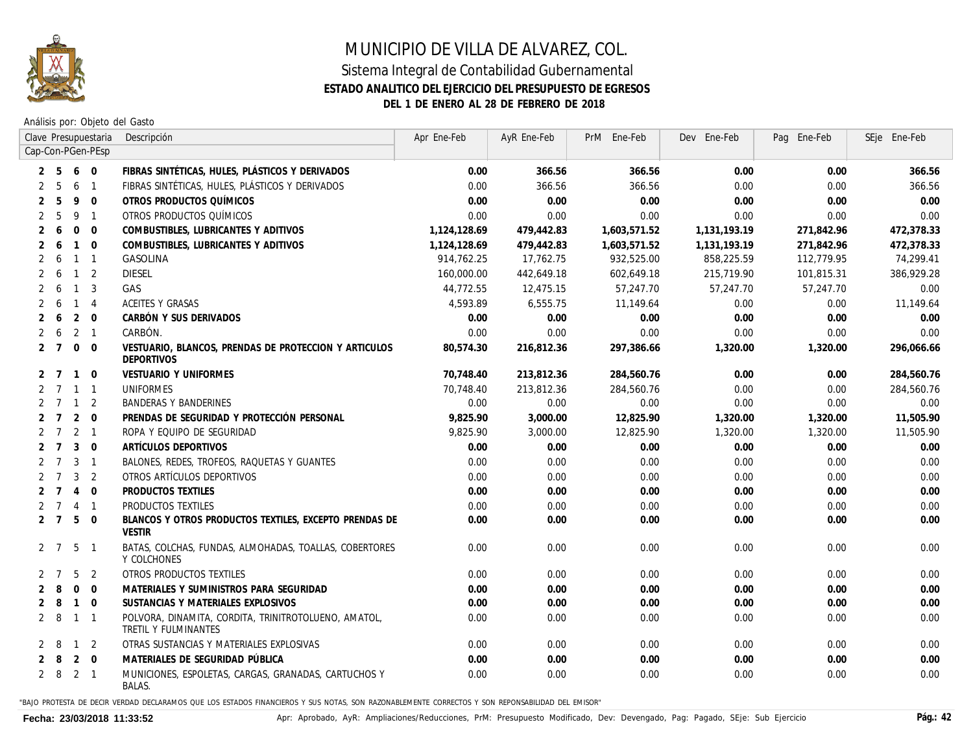

### Sistema Integral de Contabilidad Gubernamental **ESTADO ANALITICO DEL EJERCICIO DEL PRESUPUESTO DE EGRESOS DEL 1 DE ENERO AL 28 DE FEBRERO DE 2018**

Análisis por: Objeto del Gasto

|                |                  |                 | Clave Presupuestaria | Descripción                                                                  | Apr Ene-Feb  | AyR Ene-Feb | PrM Ene-Feb  | Dev Ene-Feb  | Pag Ene-Feb | SEje Ene-Feb |
|----------------|------------------|-----------------|----------------------|------------------------------------------------------------------------------|--------------|-------------|--------------|--------------|-------------|--------------|
|                |                  |                 | Cap-Con-PGen-PEsp    |                                                                              |              |             |              |              |             |              |
| 2              | 5                | 6               | $\overline{0}$       | FIBRAS SINTÉTICAS, HULES, PLÁSTICOS Y DERIVADOS                              | 0.00         | 366.56      | 366.56       | 0.00         | 0.00        | 366.56       |
|                | 5                | 6               | $\overline{1}$       | FIBRAS SINTÉTICAS, HULES, PLÁSTICOS Y DERIVADOS                              | 0.00         | 366.56      | 366.56       | 0.00         | 0.00        | 366.56       |
| 2              | 5                | 9               | $\Omega$             | OTROS PRODUCTOS QUÍMICOS                                                     | 0.00         | 0.00        | 0.00         | 0.00         | 0.00        | 0.00         |
| 2              | 5                | 9               | $\overline{1}$       | OTROS PRODUCTOS QUÍMICOS                                                     | 0.00         | 0.00        | 0.00         | 0.00         | 0.00        | 0.00         |
| $\overline{2}$ | 6                | $\mathbf{0}$    | $\Omega$             | COMBUSTIBLES, LUBRICANTES Y ADITIVOS                                         | 1,124,128.69 | 479,442.83  | 1,603,571.52 | 1,131,193.19 | 271,842.96  | 472,378.33   |
| $\overline{2}$ | 6                | $\mathbf{1}$    | $\Omega$             | COMBUSTIBLES, LUBRICANTES Y ADITIVOS                                         | 1,124,128.69 | 479,442.83  | 1,603,571.52 | 1,131,193.19 | 271.842.96  | 472,378.33   |
| 2              | 6                | $\mathbf{1}$    | $\overline{1}$       | GASOLINA                                                                     | 914,762.25   | 17,762.75   | 932,525.00   | 858,225.59   | 112,779.95  | 74,299.41    |
| $\overline{2}$ | -6               | $\mathbf{1}$    | $\overline{2}$       | DIESEL                                                                       | 160,000.00   | 442,649.18  | 602,649.18   | 215,719.90   | 101,815.31  | 386,929.28   |
| $\overline{2}$ | 6                | $\overline{1}$  | $\overline{3}$       | <b>GAS</b>                                                                   | 44,772.55    | 12,475.15   | 57,247.70    | 57,247.70    | 57,247.70   | 0.00         |
| 2              | 6                | $1 \quad 4$     |                      | ACEITES Y GRASAS                                                             | 4,593.89     | 6,555.75    | 11,149.64    | 0.00         | 0.00        | 11,149.64    |
| $\overline{2}$ | 6                | 2               | $\Omega$             | CARBÓN Y SUS DERIVADOS                                                       | 0.00         | 0.00        | 0.00         | 0.00         | 0.00        | 0.00         |
| $\mathbf{2}$   | 6                | $2 \quad 1$     |                      | CARBÓN.                                                                      | 0.00         | 0.00        | 0.00         | 0.00         | 0.00        | 0.00         |
|                | 2 7              | $\overline{0}$  | $\Omega$             | VESTUARIO, BLANCOS, PRENDAS DE PROTECCION Y ARTICULOS<br><b>DEPORTIVOS</b>   | 80,574.30    | 216,812.36  | 297,386.66   | 1,320.00     | 1,320.00    | 296,066.66   |
|                | $2 \overline{7}$ | $\overline{1}$  | $\overline{0}$       | <b>VESTUARIO Y UNIFORMES</b>                                                 | 70,748.40    | 213,812.36  | 284,560.76   | 0.00         | 0.00        | 284,560.76   |
|                |                  | $2 \t7 \t1 \t1$ |                      | UNIFORMES                                                                    | 70,748.40    | 213,812.36  | 284,560.76   | 0.00         | 0.00        | 284,560.76   |
|                | $\overline{7}$   | $\mathbf{1}$    | $\overline{2}$       | <b>BANDERAS Y BANDERINES</b>                                                 | 0.00         | 0.00        | 0.00         | 0.00         | 0.00        | 0.00         |
| 2              | $\overline{7}$   | 2               | $\overline{0}$       | PRENDAS DE SEGURIDAD Y PROTECCIÓN PERSONAL                                   | 9,825.90     | 3,000.00    | 12,825.90    | 1,320.00     | 1,320.00    | 11,505.90    |
|                | $\overline{7}$   | $\overline{2}$  | $\overline{1}$       | ROPA Y EQUIPO DE SEGURIDAD                                                   | 9,825.90     | 3,000.00    | 12,825.90    | 1,320.00     | 1,320.00    | 11,505.90    |
| 2              | $\overline{7}$   | 3               | $\Omega$             | ARTÍCULOS DEPORTIVOS                                                         | 0.00         | 0.00        | 0.00         | 0.00         | 0.00        | 0.00         |
|                | 7                | 3               | $\overline{1}$       | BALONES, REDES, TROFEOS, RAQUETAS Y GUANTES                                  | 0.00         | 0.00        | 0.00         | 0.00         | 0.00        | 0.00         |
|                | $\overline{7}$   | 3               | 2                    | OTROS ARTÍCULOS DEPORTIVOS                                                   | 0.00         | 0.00        | 0.00         | 0.00         | 0.00        | 0.00         |
|                | $2 \overline{7}$ | $\overline{4}$  | $\mathbf 0$          | PRODUCTOS TEXTILES                                                           | 0.00         | 0.00        | 0.00         | 0.00         | 0.00        | 0.00         |
|                | 7                | $\overline{4}$  | $\overline{1}$       | <b>PRODUCTOS TEXTILES</b>                                                    | 0.00         | 0.00        | 0.00         | 0.00         | 0.00        | 0.00         |
|                | 2 <sub>7</sub>   | 5               | $\mathbf{0}$         | BLANCOS Y OTROS PRODUCTOS TEXTILES, EXCEPTO PRENDAS DE<br><b>VESTIR</b>      | 0.00         | 0.00        | 0.00         | 0.00         | 0.00        | 0.00         |
|                | 2 7              | 5               | $\overline{1}$       | BATAS, COLCHAS, FUNDAS, ALMOHADAS, TOALLAS, COBERTORES<br>Y COLCHONES        | 0.00         | 0.00        | 0.00         | 0.00         | 0.00        | 0.00         |
|                | $\overline{7}$   | 5               | $\overline{2}$       | OTROS PRODUCTOS TEXTILES                                                     | 0.00         | 0.00        | 0.00         | 0.00         | 0.00        | 0.00         |
| $\overline{2}$ | 8                | $\mathbf 0$     | $\Omega$             | MATERIALES Y SUMINISTROS PARA SEGURIDAD                                      | 0.00         | 0.00        | 0.00         | 0.00         | 0.00        | 0.00         |
| $\overline{2}$ | 8                | $\mathbf{1}$    | $\Omega$             | SUSTANCIAS Y MATERIALES EXPLOSIVOS                                           | 0.00         | 0.00        | 0.00         | 0.00         | 0.00        | 0.00         |
| $\mathbf{2}$   | 8                | $\overline{1}$  | $\overline{1}$       | POLVORA, DINAMITA, CORDITA, TRINITROTOLUENO, AMATOL,<br>TRETIL Y FULMINANTES | 0.00         | 0.00        | 0.00         | 0.00         | 0.00        | 0.00         |
| 2              | 8                | $\mathbf{1}$    | 2                    | OTRAS SUSTANCIAS Y MATERIALES EXPLOSIVAS                                     | 0.00         | 0.00        | 0.00         | 0.00         | 0.00        | 0.00         |
| $\mathbf{2}$   | -8               | $\overline{2}$  | $\mathbf 0$          | MATERIALES DE SEGURIDAD PÚBLICA                                              | 0.00         | 0.00        | 0.00         | 0.00         | 0.00        | 0.00         |
|                | $2 \quad 8$      | $2 \quad 1$     |                      | MUNICIONES, ESPOLETAS, CARGAS, GRANADAS, CARTUCHOS Y<br><b>BALAS.</b>        | 0.00         | 0.00        | 0.00         | 0.00         | 0.00        | 0.00         |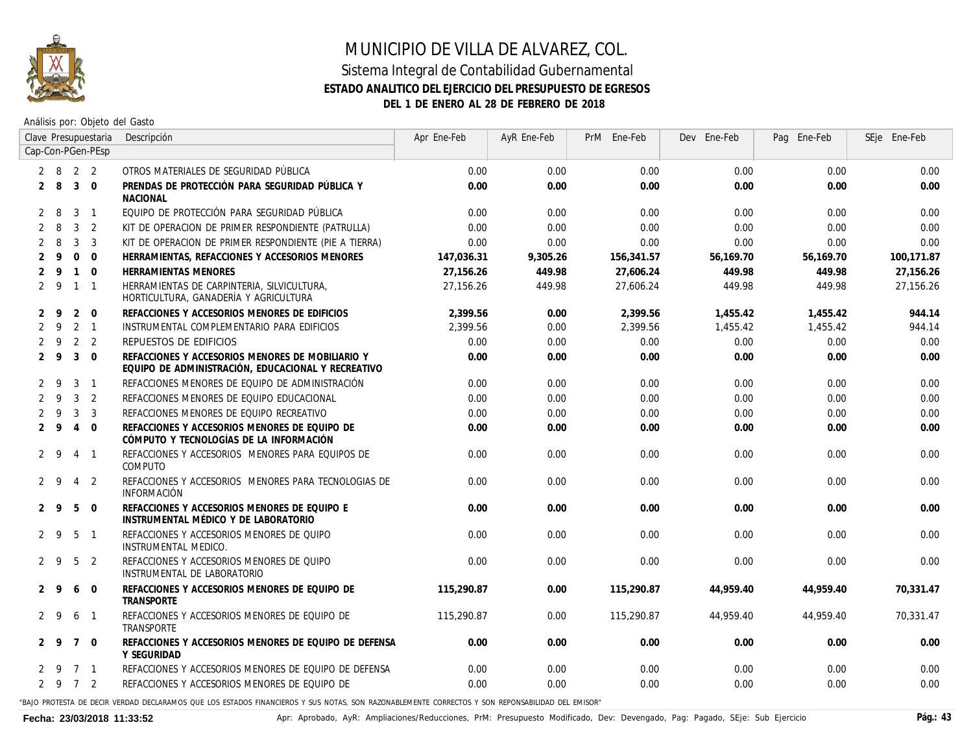

### Sistema Integral de Contabilidad Gubernamental **ESTADO ANALITICO DEL EJERCICIO DEL PRESUPUESTO DE EGRESOS DEL 1 DE ENERO AL 28 DE FEBRERO DE 2018**

Análisis por: Objeto del Gasto

|                |                                         |                | Clave Presupuestaria | Descripción                                                                                            | Apr Ene-Feb | AyR Ene-Feb | PrM Ene-Feb | Dev Ene-Feb | Pag Ene-Feb | SEje Ene-Feb |
|----------------|-----------------------------------------|----------------|----------------------|--------------------------------------------------------------------------------------------------------|-------------|-------------|-------------|-------------|-------------|--------------|
|                | Cap-Con-PGen-PEsp<br>2 2<br>$2 \quad 8$ |                |                      |                                                                                                        |             |             |             |             |             |              |
|                |                                         |                |                      | OTROS MATERIALES DE SEGURIDAD PÚBLICA                                                                  | 0.00        | 0.00        | 0.00        | 0.00        | 0.00        | 0.00         |
| $\mathbf{2}$   | -8                                      | $\mathbf{3}$   | $\overline{0}$       | PRENDAS DE PROTECCIÓN PARA SEGURIDAD PÚBLICA Y<br><b>NACIONAL</b>                                      | 0.00        | 0.00        | 0.00        | 0.00        | 0.00        | 0.00         |
| 2              | -8                                      | 3              | $\overline{1}$       | EQUIPO DE PROTECCIÓN PARA SEGURIDAD PÚBLICA                                                            | 0.00        | 0.00        | 0.00        | 0.00        | 0.00        | 0.00         |
| $\mathcal{P}$  | 8                                       | 3              | $\overline{2}$       | KIT DE OPERACION DE PRIMER RESPONDIENTE (PATRULLA)                                                     | 0.00        | 0.00        | 0.00        | 0.00        | 0.00        | 0.00         |
| 2              | 8                                       | 3              | 3                    | KIT DE OPERACION DE PRIMER RESPONDIENTE (PIE A TIERRA)                                                 | 0.00        | 0.00        | 0.00        | 0.00        | 0.00        | 0.00         |
| $\overline{2}$ | 9                                       | $\mathbf{0}$   | $\Omega$             | HERRAMIENTAS, REFACCIONES Y ACCESORIOS MENORES                                                         | 147,036.31  | 9,305.26    | 156,341.57  | 56,169.70   | 56,169.70   | 100.171.87   |
| 2              | -9                                      | $\mathbf{1}$   | $\overline{0}$       | HERRAMIENTAS MENORES                                                                                   | 27,156.26   | 449.98      | 27,606.24   | 449.98      | 449.98      | 27,156.26    |
|                | $2 \overline{9}$                        | $1\quad1$      |                      | HERRAMIENTAS DE CARPINTERIA. SILVICULTURA.<br>HORTICULTURA, GANADERÍA Y AGRICULTURA                    | 27,156.26   | 449.98      | 27.606.24   | 449.98      | 449.98      | 27,156.26    |
| 2              | -9                                      | 2              | $\Omega$             | REFACCIONES Y ACCESORIOS MENORES DE EDIFICIOS                                                          | 2.399.56    | 0.00        | 2,399.56    | 1,455.42    | 1,455.42    | 944.14       |
| $\overline{2}$ | 9                                       | $2 \quad 1$    |                      | INSTRUMENTAL COMPLEMENTARIO PARA EDIFICIOS                                                             | 2,399.56    | 0.00        | 2,399.56    | 1,455.42    | 1,455.42    | 944.14       |
| 2              | - 9                                     | 2 <sub>2</sub> |                      | <b>REPUESTOS DE EDIFICIOS</b>                                                                          | 0.00        | 0.00        | 0.00        | 0.00        | 0.00        | 0.00         |
| $\overline{2}$ | -9                                      | $\mathbf{3}$   | $\Omega$             | REFACCIONES Y ACCESORIOS MENORES DE MOBILIARIO Y<br>EQUIPO DE ADMINISTRACIÓN, EDUCACIONAL Y RECREATIVO | 0.00        | 0.00        | 0.00        | 0.00        | 0.00        | 0.00         |
| 2              | -9                                      | 3              | $\overline{1}$       | REFACCIONES MENORES DE EQUIPO DE ADMINISTRACIÓN                                                        | 0.00        | 0.00        | 0.00        | 0.00        | 0.00        | 0.00         |
|                | 9                                       | $\mathbf{3}$   | 2                    | REFACCIONES MENORES DE EQUIPO EDUCACIONAL                                                              | 0.00        | 0.00        | 0.00        | 0.00        | 0.00        | 0.00         |
| $\overline{2}$ | 9                                       | $\mathbf{3}$   | 3                    | REFACCIONES MENORES DE EQUIPO RECREATIVO                                                               | 0.00        | 0.00        | 0.00        | 0.00        | 0.00        | 0.00         |
| 2              | 9                                       | $\overline{4}$ | $\Omega$             | REFACCIONES Y ACCESORIOS MENORES DE EOUIPO DE<br>CÓMPUTO Y TECNOLOGÍAS DE LA INFORMACIÓN               | 0.00        | 0.00        | 0.00        | 0.00        | 0.00        | 0.00         |
|                | 2 9                                     | $\overline{4}$ | $\overline{1}$       | REFACCIONES Y ACCESORIOS MENORES PARA EQUIPOS DE<br>COMPUTO                                            | 0.00        | 0.00        | 0.00        | 0.00        | 0.00        | 0.00         |
| 2              | - 9                                     | 4              | 2                    | REFACCIONES Y ACCESORIOS MENORES PARA TECNOLOGIAS DE<br>INFORMACIÓN                                    | 0.00        | 0.00        | 0.00        | 0.00        | 0.00        | 0.00         |
| 2              | 9                                       | 5              | $\Omega$             | REFACCIONES Y ACCESORIOS MENORES DE EQUIPO E<br>INSTRUMENTAL MÉDICO Y DE LABORATORIO                   | 0.00        | 0.00        | 0.00        | 0.00        | 0.00        | 0.00         |
| 2              | -9                                      | 5 <sub>1</sub> |                      | REFACCIONES Y ACCESORIOS MENORES DE QUIPO<br>INSTRUMENTAL MEDICO.                                      | 0.00        | 0.00        | 0.00        | 0.00        | 0.00        | 0.00         |
| 2              | -9                                      | -5             | 2                    | REFACCIONES Y ACCESORIOS MENORES DE QUIPO<br>INSTRUMENTAL DE LABORATORIO                               | 0.00        | 0.00        | 0.00        | 0.00        | 0.00        | 0.00         |
|                | 2 9                                     | 6              | $\overline{0}$       | REFACCIONES Y ACCESORIOS MENORES DE EQUIPO DE<br><b>TRANSPORTE</b>                                     | 115,290.87  | 0.00        | 115,290.87  | 44,959.40   | 44,959.40   | 70,331.47    |
| $2^{\circ}$    | -9                                      | 6              | $\overline{1}$       | REFACCIONES Y ACCESORIOS MENORES DE EQUIPO DE<br>TRANSPORTE                                            | 115,290.87  | 0.00        | 115,290.87  | 44,959.40   | 44,959.40   | 70,331.47    |
|                | $2 \overline{9}$                        | $7^{\circ}$    | $\overline{0}$       | REFACCIONES Y ACCESORIOS MENORES DE EQUIPO DE DEFENSA<br>Y SEGURIDAD                                   | 0.00        | 0.00        | 0.00        | 0.00        | 0.00        | 0.00         |
|                | - 9                                     | $\overline{7}$ | $\overline{1}$       | REFACCIONES Y ACCESORIOS MENORES DE EQUIPO DE DEFENSA                                                  | 0.00        | 0.00        | 0.00        | 0.00        | 0.00        | 0.00         |
|                | $2 \overline{9}$                        | 7 2            |                      | REFACCIONES Y ACCESORIOS MENORES DE EQUIPO DE                                                          | 0.00        | 0.00        | 0.00        | 0.00        | 0.00        | 0.00         |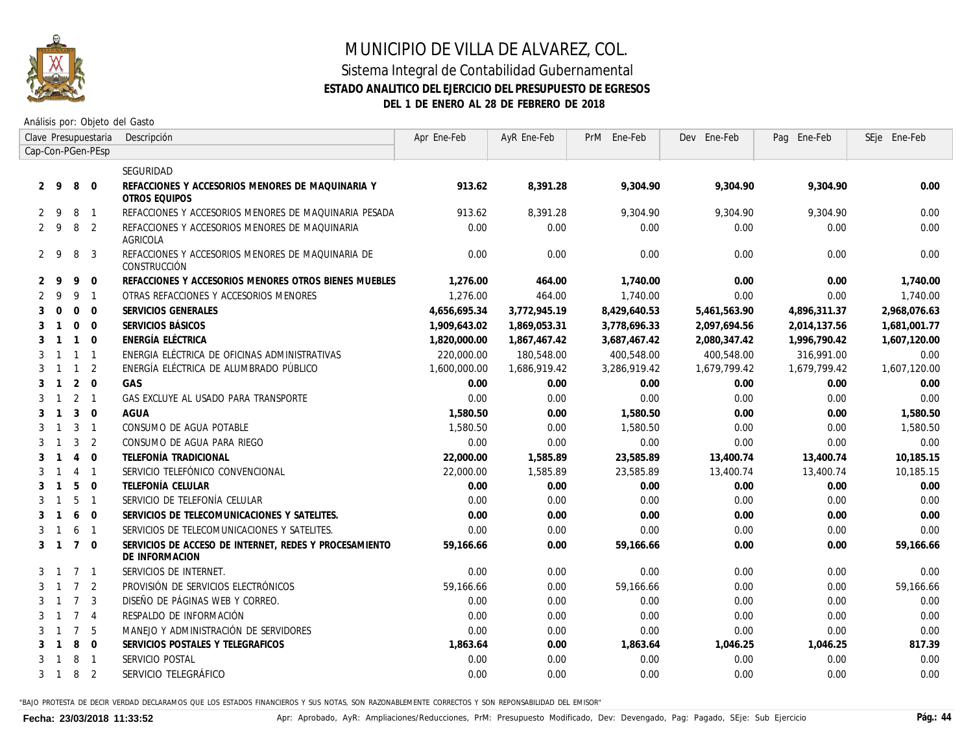

#### Sistema Integral de Contabilidad Gubernamental **ESTADO ANALITICO DEL EJERCICIO DEL PRESUPUESTO DE EGRESOS DEL 1 DE ENERO AL 28 DE FEBRERO DE 2018**

Análisis por: Objeto del Gasto

|                |                  |                 | Clave Presupuestaria | Descripción                                                              | Apr Ene-Feb  | AyR Ene-Feb  | PrM Ene-Feb  | Dev Ene-Feb  | Pag Ene-Feb  | SEje Ene-Feb |
|----------------|------------------|-----------------|----------------------|--------------------------------------------------------------------------|--------------|--------------|--------------|--------------|--------------|--------------|
|                |                  |                 | Cap-Con-PGen-PEsp    |                                                                          |              |              |              |              |              |              |
|                |                  |                 |                      | SEGURIDAD                                                                |              |              |              |              |              |              |
|                | $2 \overline{9}$ | 8               | $\overline{0}$       | REFACCIONES Y ACCESORIOS MENORES DE MAQUINARIA Y<br>OTROS EQUIPOS        | 913.62       | 8,391.28     | 9,304.90     | 9,304.90     | 9,304.90     | 0.00         |
|                | $2 \overline{9}$ | 8               | $\overline{1}$       | REFACCIONES Y ACCESORIOS MENORES DE MAQUINARIA PESADA                    | 913.62       | 8,391.28     | 9,304,90     | 9,304.90     | 9,304,90     | 0.00         |
|                | $2 \overline{9}$ | 8               | 2                    | REFACCIONES Y ACCESORIOS MENORES DE MAQUINARIA<br>AGRICOLA               | 0.00         | 0.00         | 0.00         | 0.00         | 0.00         | 0.00         |
|                | $2 \quad 9$      | 8               | 3                    | REFACCIONES Y ACCESORIOS MENORES DE MAQUINARIA DE<br>CONSTRUCCIÓN        | 0.00         | 0.00         | 0.00         | 0.00         | 0.00         | 0.00         |
| 2              | 9                | 9               | $\overline{0}$       | REFACCIONES Y ACCESORIOS MENORES OTROS BIENES MUEBLES                    | 1,276.00     | 464.00       | 1,740.00     | 0.00         | 0.00         | 1,740.00     |
| $\overline{2}$ | 9                | 9               | $\overline{1}$       | OTRAS REFACCIONES Y ACCESORIOS MENORES                                   | 1,276.00     | 464.00       | 1,740.00     | 0.00         | 0.00         | 1,740.00     |
| 3              | $\mathbf 0$      | $\mathbf 0$     | $\overline{0}$       | SERVICIOS GENERALES                                                      | 4,656,695.34 | 3,772,945.19 | 8,429,640.53 | 5,461,563.90 | 4,896,311.37 | 2,968,076.63 |
| 3              | $\mathbf{1}$     | $\mathbf 0$     | $\Omega$             | SERVICIOS BÁSICOS                                                        | 1.909.643.02 | 1,869,053.31 | 3,778,696.33 | 2,097,694.56 | 2,014,137.56 | 1,681,001.77 |
| 3              | $\mathbf{1}$     | $\overline{1}$  | $\Omega$             | ENERGÍA ELÉCTRICA                                                        | 1,820,000.00 | 1,867,467.42 | 3,687,467.42 | 2,080,347.42 | 1,996,790.42 | 1,607,120.00 |
| 3              | $\mathbf{1}$     | $\overline{1}$  | $\overline{1}$       | ENERGIA ELÉCTRICA DE OFICINAS ADMINISTRATIVAS                            | 220,000,00   | 180,548.00   | 400,548.00   | 400.548.00   | 316,991.00   | 0.00         |
| 3              | $\mathbf{1}$     | $\overline{1}$  | 2                    | ENERGÍA ELÉCTRICA DE ALUMBRADO PÚBLICO                                   | 1,600,000.00 | 1,686,919.42 | 3,286,919.42 | 1,679,799.42 | 1,679,799.42 | 1,607,120.00 |
| 3              | $\mathbf{1}$     | 2               | $\overline{0}$       | <b>GAS</b>                                                               | 0.00         | 0.00         | 0.00         | 0.00         | 0.00         | 0.00         |
| 3              | $\mathbf{1}$     | $2 \quad 1$     |                      | GAS EXCLUYE AL USADO PARA TRANSPORTE                                     | 0.00         | 0.00         | 0.00         | 0.00         | 0.00         | 0.00         |
| 3              | $\mathbf{1}$     | 3               | $\Omega$             | <b>AGUA</b>                                                              | 1,580.50     | 0.00         | 1,580.50     | 0.00         | 0.00         | 1,580.50     |
| 3              | $\mathbf{1}$     | 3               | $\overline{1}$       | CONSUMO DE AGUA POTABLE                                                  | 1,580.50     | 0.00         | 1,580.50     | 0.00         | 0.00         | 1,580.50     |
| 3              | $\mathbf{1}$     | 3               | 2                    | CONSUMO DE AGUA PARA RIEGO                                               | 0.00         | 0.00         | 0.00         | 0.00         | 0.00         | 0.00         |
| 3              | $\mathbf{1}$     | $\overline{4}$  | $\Omega$             | TELEFONÍA TRADICIONAL                                                    | 22,000.00    | 1,585.89     | 23,585.89    | 13,400.74    | 13,400.74    | 10,185.15    |
|                | $\mathbf{1}$     | $\overline{4}$  | $\overline{1}$       | SERVICIO TELEFÓNICO CONVENCIONAL                                         | 22,000.00    | 1,585.89     | 23,585.89    | 13,400.74    | 13,400.74    | 10,185.15    |
| 3              | $\overline{1}$   | 5               | $\overline{0}$       | TELEFONÍA CELULAR                                                        | 0.00         | 0.00         | 0.00         | 0.00         | 0.00         | 0.00         |
| 3              | $\mathbf{1}$     | 5               | $\overline{1}$       | SERVICIO DE TELEFONÍA CELULAR                                            | 0.00         | 0.00         | 0.00         | 0.00         | 0.00         | 0.00         |
| 3              | $\mathbf{1}$     | 6               | $\Omega$             | SERVICIOS DE TELECOMUNICACIONES Y SATELITES.                             | 0.00         | 0.00         | 0.00         | 0.00         | 0.00         | 0.00         |
| 3              | $\mathbf{1}$     | 6               | $\overline{1}$       | SERVICIOS DE TELECOMUNICACIONES Y SATELITES.                             | 0.00         | 0.00         | 0.00         | 0.00         | 0.00         | 0.00         |
|                | $3-1$            | $\overline{7}$  | $\Omega$             | SERVICIOS DE ACCESO DE INTERNET. REDES Y PROCESAMIENTO<br>DE INFORMACION | 59,166.66    | 0.00         | 59,166.66    | 0.00         | 0.00         | 59,166.66    |
|                | 3 1              | 7 1             |                      | SERVICIOS DE INTERNET.                                                   | 0.00         | 0.00         | 0.00         | 0.00         | 0.00         | 0.00         |
| 3              | $\mathbf{1}$     | $7\overline{ }$ | $\overline{2}$       | PROVISIÓN DE SERVICIOS ELECTRÓNICOS                                      | 59.166.66    | 0.00         | 59,166.66    | 0.00         | 0.00         | 59,166.66    |
| 3              | $\overline{1}$   | $7\overline{ }$ | 3                    | DISEÑO DE PÁGINAS WEB Y CORREO.                                          | 0.00         | 0.00         | 0.00         | 0.00         | 0.00         | 0.00         |
| 3              | $\mathbf{1}$     | $7\overline{ }$ | $\overline{4}$       | RESPALDO DE INFORMACIÓN                                                  | 0.00         | 0.00         | 0.00         | 0.00         | 0.00         | 0.00         |
| 3              |                  | $\overline{7}$  | -5                   | MANEJO Y ADMINISTRACIÓN DE SERVIDORES                                    | 0.00         | 0.00         | 0.00         | 0.00         | 0.00         | 0.00         |
|                |                  | 8               | $\overline{0}$       | SERVICIOS POSTALES Y TELEGRAFICOS                                        | 1,863.64     | 0.00         | 1,863.64     | 1,046.25     | 1,046.25     | 817.39       |
|                |                  | 8               | $\overline{1}$       | SERVICIO POSTAL                                                          | 0.00         | 0.00         | 0.00         | 0.00         | 0.00         | 0.00         |
|                | 3 1              | 8 2             |                      | SERVICIO TELEGRÁFICO                                                     | 0.00         | 0.00         | 0.00         | 0.00         | 0.00         | 0.00         |
|                |                  |                 |                      |                                                                          |              |              |              |              |              |              |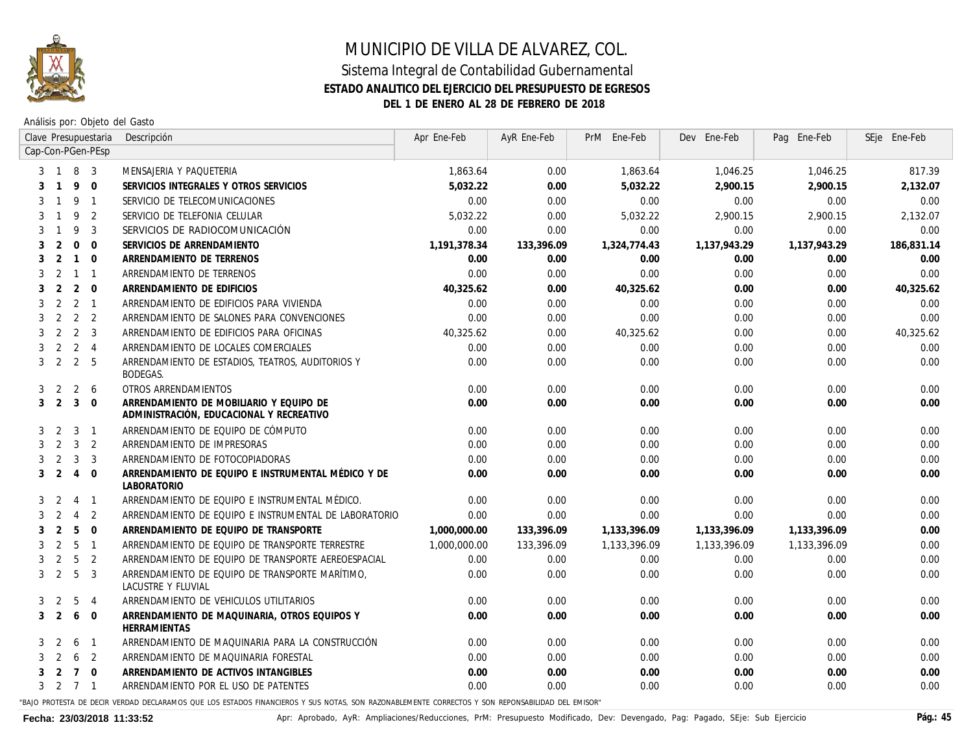

### Sistema Integral de Contabilidad Gubernamental **ESTADO ANALITICO DEL EJERCICIO DEL PRESUPUESTO DE EGRESOS DEL 1 DE ENERO AL 28 DE FEBRERO DE 2018**

Análisis por: Objeto del Gasto

| Clave Presupuestaria           | Descripción                                                                                                                                      | Apr Ene-Feb  | AyR Ene-Feb | PrM Ene-Feb  | Dev Ene-Feb  | Pag Ene-Feb  | SEje Ene-Feb |
|--------------------------------|--------------------------------------------------------------------------------------------------------------------------------------------------|--------------|-------------|--------------|--------------|--------------|--------------|
| Cap-Con-PGen-PEsp              |                                                                                                                                                  |              |             |              |              |              |              |
| 8 3<br>$\overline{1}$          | MENSAJERIA Y PAQUETERIA                                                                                                                          | 1,863.64     | 0.00        | 1,863.64     | 1,046.25     | 1,046.25     | 817.39       |
| 9 0<br>$\mathbf{1}$            | SERVICIOS INTEGRALES Y OTROS SERVICIOS                                                                                                           | 5,032.22     | 0.00        | 5,032.22     | 2,900.15     | 2,900.15     | 2,132.07     |
| 9 1<br>$\mathbf{1}$<br>3       | SERVICIO DE TELECOMUNICACIONES                                                                                                                   | 0.00         | 0.00        | 0.00         | 0.00         | 0.00         | 0.00         |
| 9 2<br>$\mathbf{1}$            | SERVICIO DE TELEFONIA CELULAR                                                                                                                    | 5.032.22     | 0.00        | 5.032.22     | 2,900.15     | 2,900,15     | 2.132.07     |
| 9 <sup>3</sup><br>$\mathbf{1}$ | SERVICIOS DE RADIOCOMUNICACIÓN                                                                                                                   | 0.00         | 0.00        | 0.00         | 0.00         | 0.00         | 0.00         |
| 2<br>$0\quad 0$                | SERVICIOS DE ARRENDAMIENTO                                                                                                                       | 1,191,378.34 | 133,396.09  | 1,324,774.43 | 1,137,943.29 | 1,137,943.29 | 186,831.14   |
| 2<br>$1\quad 0$<br>3           | ARRENDAMIENTO DE TERRENOS                                                                                                                        | 0.00         | 0.00        | 0.00         | 0.00         | 0.00         | 0.00         |
| 2<br>$1\quad1$<br>3            | ARRENDAMIENTO DE TERRENOS                                                                                                                        | 0.00         | 0.00        | 0.00         | 0.00         | 0.00         | 0.00         |
| 2<br>2 0<br>3                  | ARRENDAMIENTO DE EDIFICIOS                                                                                                                       | 40.325.62    | 0.00        | 40,325.62    | 0.00         | 0.00         | 40,325.62    |
| $2 \quad 1$<br>2<br>3          | ARRENDAMIENTO DE EDIFICIOS PARA VIVIENDA                                                                                                         | 0.00         | 0.00        | 0.00         | 0.00         | 0.00         | 0.00         |
| 2 <sub>2</sub><br>2<br>3       | ARRENDAMIENTO DE SALONES PARA CONVENCIONES                                                                                                       | 0.00         | 0.00        | 0.00         | 0.00         | 0.00         | 0.00         |
| $2 \quad 3$<br>2<br>3          | ARRENDAMIENTO DE EDIFICIOS PARA OFICINAS                                                                                                         | 40,325.62    | 0.00        | 40,325.62    | 0.00         | 0.00         | 40,325.62    |
| $2 \quad 4$<br>2<br>3          | ARRENDAMIENTO DE LOCALES COMERCIALES                                                                                                             | 0.00         | 0.00        | 0.00         | 0.00         | 0.00         | 0.00         |
| 2 5<br>2<br>3                  | ARRENDAMIENTO DE ESTADIOS, TEATROS, AUDITORIOS Y<br><b>BODEGAS.</b>                                                                              | 0.00         | 0.00        | 0.00         | 0.00         | 0.00         | 0.00         |
| 2<br>2 6<br>3                  | OTROS ARRENDAMIENTOS                                                                                                                             | 0.00         | 0.00        | 0.00         | 0.00         | 0.00         | 0.00         |
| $3 \quad 0$<br>2<br>3          | ARRENDAMIENTO DE MOBILIARIO Y EQUIPO DE<br>ADMINISTRACIÓN, EDUCACIONAL Y RECREATIVO                                                              | 0.00         | 0.00        | 0.00         | 0.00         | 0.00         | 0.00         |
| $3 \quad 1$<br>2<br>3          | ARRENDAMIENTO DE EQUIPO DE CÓMPUTO                                                                                                               | 0.00         | 0.00        | 0.00         | 0.00         | 0.00         | 0.00         |
| 3 <sub>2</sub><br>2            | ARRENDAMIENTO DE IMPRESORAS                                                                                                                      | 0.00         | 0.00        | 0.00         | 0.00         | 0.00         | 0.00         |
| 2<br>3 <sup>3</sup>            | ARRENDAMIENTO DE FOTOCOPIADORAS                                                                                                                  | 0.00         | 0.00        | 0.00         | 0.00         | 0.00         | 0.00         |
| 2<br>$4\quad 0$<br>3           | ARRENDAMIENTO DE EQUIPO E INSTRUMENTAL MÉDICO Y DE<br>LABORATORIO                                                                                | 0.00         | 0.00        | 0.00         | 0.00         | 0.00         | 0.00         |
| 2<br>$4 \quad 1$<br>3          | ARRENDAMIENTO DE EQUIPO E INSTRUMENTAL MÉDICO.                                                                                                   | 0.00         | 0.00        | 0.00         | 0.00         | 0.00         | 0.00         |
| 2<br>$4\quad 2$<br>3           | ARRENDAMIENTO DE EQUIPO E INSTRUMENTAL DE LABORATORIO                                                                                            | 0.00         | 0.00        | 0.00         | 0.00         | 0.00         | 0.00         |
| 2<br>5 0<br>3                  | ARRENDAMIENTO DE EQUIPO DE TRANSPORTE                                                                                                            | 1,000,000.00 | 133,396.09  | 1,133,396.09 | 1,133,396.09 | 1,133,396.09 | 0.00         |
| 5 <sub>1</sub><br>2<br>3       | ARRENDAMIENTO DE EQUIPO DE TRANSPORTE TERRESTRE                                                                                                  | 1,000,000.00 | 133,396.09  | 1,133,396.09 | 1,133,396.09 | 1,133,396.09 | 0.00         |
| 5 <sub>2</sub><br>2<br>3       | ARRENDAMIENTO DE EQUIPO DE TRANSPORTE AEREOESPACIAL                                                                                              | 0.00         | 0.00        | 0.00         | 0.00         | 0.00         | 0.00         |
| 2<br>5 <sup>3</sup><br>3       | ARRENDAMIENTO DE EQUIPO DE TRANSPORTE MARÍTIMO.<br>LACUSTRE Y FLUVIAL                                                                            | 0.00         | 0.00        | 0.00         | 0.00         | 0.00         | 0.00         |
| 5<br>2<br>3<br>$\overline{4}$  | ARRENDAMIENTO DE VEHICULOS UTILITARIOS                                                                                                           | 0.00         | 0.00        | 0.00         | 0.00         | 0.00         | 0.00         |
| 2<br>6<br>$\overline{0}$<br>3  | ARRENDAMIENTO DE MAQUINARIA, OTROS EQUIPOS Y<br><b>HERRAMIENTAS</b>                                                                              | 0.00         | 0.00        | 0.00         | 0.00         | 0.00         | 0.00         |
| 2<br>6 <sub>1</sub><br>3       | ARRENDAMIENTO DE MAQUINARIA PARA LA CONSTRUCCIÓN                                                                                                 | 0.00         | 0.00        | 0.00         | 0.00         | 0.00         | 0.00         |
| 2<br>6 <sub>2</sub>            | ARRENDAMIENTO DE MAQUINARIA FORESTAL                                                                                                             | 0.00         | 0.00        | 0.00         | 0.00         | 0.00         | 0.00         |
| 7 0<br>2<br>3                  | ARRENDAMIENTO DE ACTIVOS INTANGIBLES                                                                                                             | 0.00         | 0.00        | 0.00         | 0.00         | 0.00         | 0.00         |
| 3 2 7 1                        | ARRENDAMIENTO POR EL USO DE PATENTES                                                                                                             | 0.00         | 0.00        | 0.00         | 0.00         | 0.00         | 0.00         |
|                                | "BAJO PROTESTA DE DECIR VERDAD DECLARAMOS QUE LOS ESTADOS FINANCIEROS Y SUS NOTAS. SON RAZONABLEMENTE CORRECTOS Y SON REPONSABILIDAD DEL EMISOR" |              |             |              |              |              |              |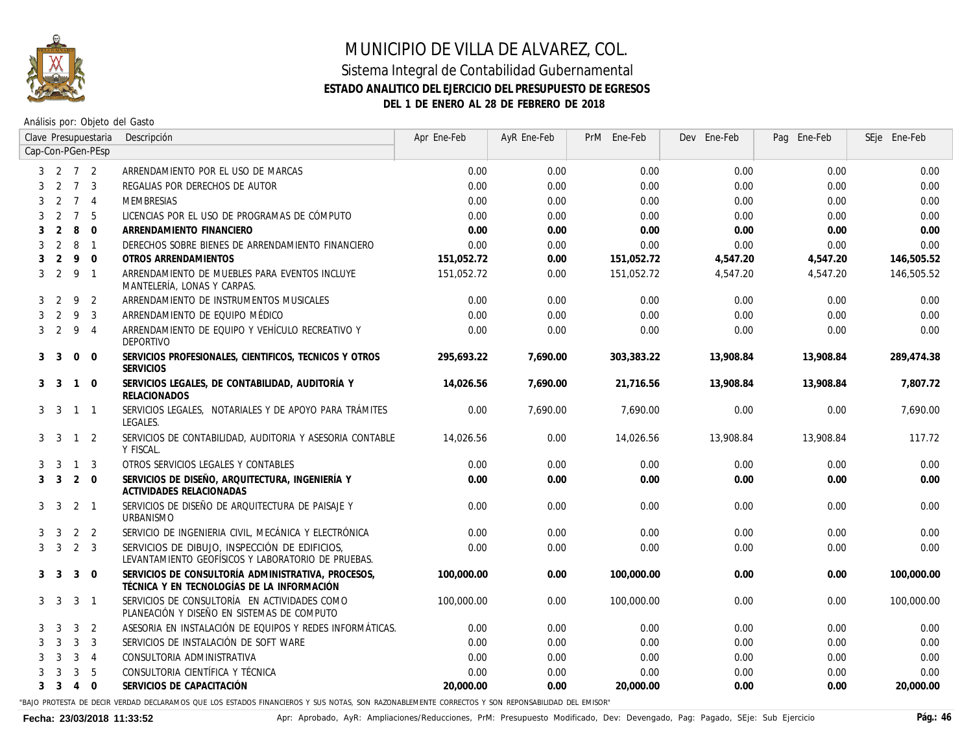

### Sistema Integral de Contabilidad Gubernamental **ESTADO ANALITICO DEL EJERCICIO DEL PRESUPUESTO DE EGRESOS DEL 1 DE ENERO AL 28 DE FEBRERO DE 2018**

Análisis por: Objeto del Gasto

|                |                |                | Clave Presupuestaria | Descripción                                                                                         | Apr Ene-Feb | AyR Ene-Feb | PrM Ene-Feb | Dev Ene-Feb | Pag Ene-Feb | SEje Ene-Feb |
|----------------|----------------|----------------|----------------------|-----------------------------------------------------------------------------------------------------|-------------|-------------|-------------|-------------|-------------|--------------|
|                |                |                | Cap-Con-PGen-PEsp    |                                                                                                     |             |             |             |             |             |              |
|                | 3 2 7 2        |                |                      | ARRENDAMIENTO POR EL USO DE MARCAS                                                                  | 0.00        | 0.00        | 0.00        | 0.00        | 0.00        | 0.00         |
| 3              | 2              | $\overline{7}$ | 3                    | REGALIAS POR DERECHOS DE AUTOR                                                                      | 0.00        | 0.00        | 0.00        | 0.00        | 0.00        | 0.00         |
| 3              | 2              | $\overline{7}$ | $\overline{4}$       | <b>MEMBRESIAS</b>                                                                                   | 0.00        | 0.00        | 0.00        | 0.00        | 0.00        | 0.00         |
| 3              | 2              | $\overline{7}$ | 5                    | LICENCIAS POR EL USO DE PROGRAMAS DE CÓMPUTO                                                        | 0.00        | 0.00        | 0.00        | 0.00        | 0.00        | 0.00         |
|                | 2              | 8              | $\Omega$             | ARRENDAMIENTO FINANCIERO                                                                            | 0.00        | 0.00        | 0.00        | 0.00        | 0.00        | 0.00         |
| 3              | 2              | 8              | $\overline{1}$       | DERECHOS SOBRE BIENES DE ARRENDAMIENTO FINANCIERO                                                   | 0.00        | 0.00        | 0.00        | 0.00        | 0.00        | 0.00         |
| 3              | 2              | 9              | $\Omega$             | OTROS ARRENDAMIENTOS                                                                                | 151,052.72  | 0.00        | 151,052.72  | 4,547.20    | 4,547.20    | 146,505.52   |
| 3              | 2              | 9              | $\overline{1}$       | ARRENDAMIENTO DE MUEBLES PARA EVENTOS INCLUYE<br>MANTELERÍA, LONAS Y CARPAS.                        | 151,052.72  | 0.00        | 151,052.72  | 4,547.20    | 4,547.20    | 146,505.52   |
| 3              | 2              | 9              | 2                    | ARRENDAMIENTO DE INSTRUMENTOS MUSICALES                                                             | 0.00        | 0.00        | 0.00        | 0.00        | 0.00        | 0.00         |
| 3              | 2              | 9              | 3                    | ARRENDAMIENTO DE EQUIPO MÉDICO                                                                      | 0.00        | 0.00        | 0.00        | 0.00        | 0.00        | 0.00         |
| 3              | 2              | 9              | $\overline{4}$       | ARRENDAMIENTO DE EQUIPO Y VEHÍCULO RECREATIVO Y<br>DEPORTIVO                                        | 0.00        | 0.00        | 0.00        | 0.00        | 0.00        | 0.00         |
| 3              | 3              | $\mathbf 0$    | $\mathbf 0$          | SERVICIOS PROFESIONALES, CIENTIFICOS, TECNICOS Y OTROS<br><b>SERVICIOS</b>                          | 295.693.22  | 7.690.00    | 303,383.22  | 13,908.84   | 13,908.84   | 289.474.38   |
| 3              | 3              | $\mathbf{1}$   | $\overline{0}$       | SERVICIOS LEGALES, DE CONTABILIDAD, AUDITORÍA Y<br><b>RELACIONADOS</b>                              | 14,026.56   | 7,690.00    | 21,716.56   | 13,908.84   | 13,908.84   | 7,807.72     |
|                | 3 <sup>3</sup> | $\mathbf{1}$   | $\overline{1}$       | SERVICIOS LEGALES. NOTARIALES Y DE APOYO PARA TRÁMITES<br><b>LEGALES.</b>                           | 0.00        | 7,690,00    | 7,690,00    | 0.00        | 0.00        | 7.690.00     |
| 3              | 3              | $1\quad 2$     |                      | SERVICIOS DE CONTABILIDAD, AUDITORIA Y ASESORIA CONTABLE<br>Y FISCAL.                               | 14,026.56   | 0.00        | 14,026.56   | 13,908.84   | 13,908.84   | 117.72       |
| 3              | 3              | $\mathbf{1}$   | 3                    | OTROS SERVICIOS LEGALES Y CONTABLES                                                                 | 0.00        | 0.00        | 0.00        | 0.00        | 0.00        | 0.00         |
| 3 <sup>1</sup> | $\overline{3}$ | $\overline{2}$ | $\mathbf{0}$         | SERVICIOS DE DISEÑO, ARQUITECTURA, INGENIERÍA Y<br>ACTIVIDADES RELACIONADAS                         | 0.00        | 0.00        | 0.00        | 0.00        | 0.00        | 0.00         |
| 3              | 3              | 2              | $\overline{1}$       | SERVICIOS DE DISEÑO DE ARQUITECTURA DE PAISAJE Y<br>URBANISMO                                       | 0.00        | 0.00        | 0.00        | 0.00        | 0.00        | 0.00         |
| 3              | 3              | 2              | 2                    | SERVICIO DE INGENIERIA CIVIL, MECÁNICA Y ELECTRÓNICA                                                | 0.00        | 0.00        | 0.00        | 0.00        | 0.00        | 0.00         |
| 3              | 3              | 2              | $\overline{3}$       | SERVICIOS DE DIBUJO, INSPECCIÓN DE EDIFICIOS,<br>LEVANTAMIENTO GEOFÍSICOS Y LABORATORIO DE PRUEBAS. | 0.00        | 0.00        | 0.00        | 0.00        | 0.00        | 0.00         |
| 3              | 3              | 3              | $\Omega$             | SERVICIOS DE CONSULTORÍA ADMINISTRATIVA, PROCESOS,<br>TÉCNICA Y EN TECNOLOGÍAS DE LA INFORMACIÓN    | 100,000.00  | 0.00        | 100,000.00  | 0.00        | 0.00        | 100,000.00   |
| 3              | 3              | 3              | $\overline{1}$       | SERVICIOS DE CONSULTORÍA EN ACTIVIDADES COMO<br>PLANEACIÓN Y DISEÑO EN SISTEMAS DE COMPUTO          | 100,000.00  | 0.00        | 100,000.00  | 0.00        | 0.00        | 100,000.00   |
|                | 3              | 3              | 2                    | ASESORIA EN INSTALACIÓN DE EOUIPOS Y REDES INFORMÁTICAS.                                            | 0.00        | 0.00        | 0.00        | 0.00        | 0.00        | 0.00         |
|                | 3              | 3              | 3                    | SERVICIOS DE INSTALACIÓN DE SOFT WARE                                                               | 0.00        | 0.00        | 0.00        | 0.00        | 0.00        | 0.00         |
|                | 3              | 3              | $\overline{4}$       | CONSULTORIA ADMINISTRATIVA                                                                          | 0.00        | 0.00        | 0.00        | 0.00        | 0.00        | 0.00         |
|                | 3              | 3              | 5                    | CONSULTORIA CIENTÍFICA Y TÉCNICA                                                                    | 0.00        | 0.00        | 0.00        | 0.00        | 0.00        | 0.00         |
| 3              | 3              | $\overline{4}$ | $\Omega$             | SERVICIOS DE CAPACITACIÓN                                                                           | 20,000.00   | 0.00        | 20,000.00   | 0.00        | 0.00        | 20,000.00    |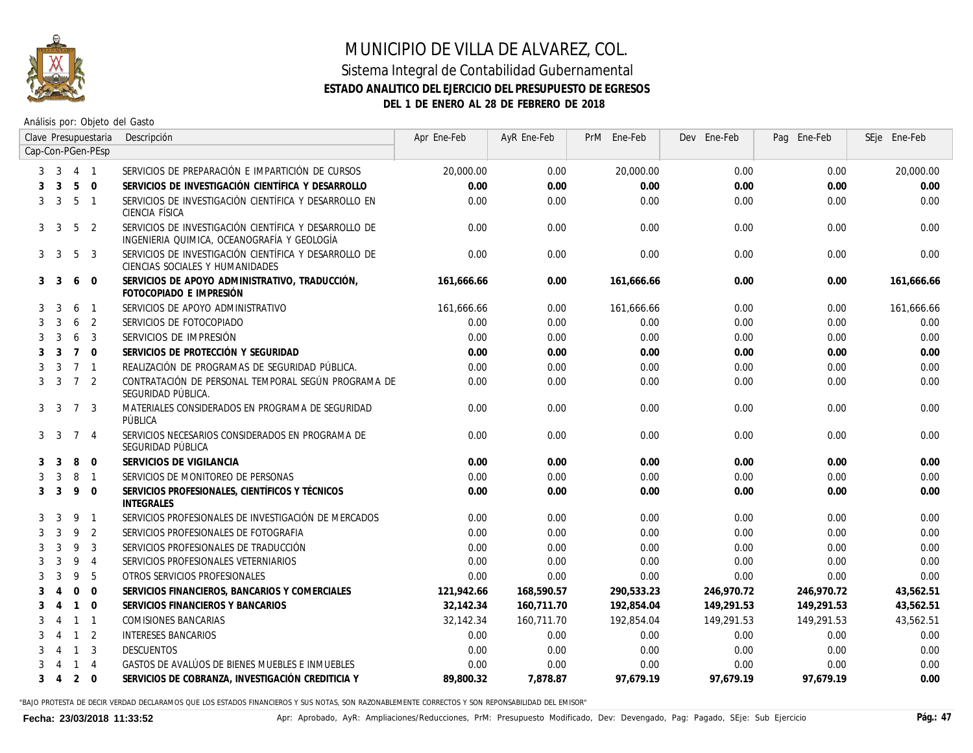

### Sistema Integral de Contabilidad Gubernamental **ESTADO ANALITICO DEL EJERCICIO DEL PRESUPUESTO DE EGRESOS DEL 1 DE ENERO AL 28 DE FEBRERO DE 2018**

Análisis por: Objeto del Gasto

|   |                |                 | Clave Presupuestaria | Descripción                                                                                          | Apr Ene-Feb | AyR Ene-Feb | PrM Ene-Feb | Dev Ene-Feb | Pag Ene-Feb | SEje Ene-Feb |
|---|----------------|-----------------|----------------------|------------------------------------------------------------------------------------------------------|-------------|-------------|-------------|-------------|-------------|--------------|
|   |                |                 | Cap-Con-PGen-PEsp    |                                                                                                      |             |             |             |             |             |              |
| 3 | 3              | 4 1             |                      | SERVICIOS DE PREPARACIÓN E IMPARTICIÓN DE CURSOS                                                     | 20,000.00   | 0.00        | 20,000.00   | 0.00        | 0.00        | 20,000.00    |
| 3 | 3              | $5\overline{)}$ | $\Omega$             | SERVICIOS DE INVESTIGACIÓN CIENTÍFICA Y DESARROLLO                                                   | 0.00        | 0.00        | 0.00        | 0.00        | 0.00        | 0.00         |
| 3 | 3              | -5              | $\overline{1}$       | SERVICIOS DE INVESTIGACIÓN CIENTÍFICA Y DESARROLLO EN<br>CIENCIA FÍSICA                              | 0.00        | 0.00        | 0.00        | 0.00        | 0.00        | 0.00         |
|   | 3 <sup>3</sup> | 5               | 2                    | SERVICIOS DE INVESTIGACIÓN CIENTÍFICA Y DESARROLLO DE<br>INGENIERIA QUIMICA, OCEANOGRAFÍA Y GEOLOGÍA | 0.00        | 0.00        | 0.00        | 0.00        | 0.00        | 0.00         |
|   | 3 <sup>3</sup> | 5               | 3                    | SERVICIOS DE INVESTIGACIÓN CIENTÍFICA Y DESARROLLO DE<br>CIENCIAS SOCIALES Y HUMANIDADES             | 0.00        | 0.00        | 0.00        | 0.00        | 0.00        | 0.00         |
| 3 | -3             | 6               | $\mathbf 0$          | SERVICIOS DE APOYO ADMINISTRATIVO. TRADUCCIÓN.<br>FOTOCOPIADO E IMPRESIÓN                            | 161.666.66  | 0.00        | 161,666.66  | 0.00        | 0.00        | 161,666.66   |
| 3 | 3              | 6               | $\mathbf{1}$         | SERVICIOS DE APOYO ADMINISTRATIVO                                                                    | 161,666.66  | 0.00        | 161,666.66  | 0.00        | 0.00        | 161,666.66   |
| 3 | 3              | 6               | 2                    | SERVICIOS DE FOTOCOPIADO                                                                             | 0.00        | 0.00        | 0.00        | 0.00        | 0.00        | 0.00         |
| 3 | 3              | 6               | 3                    | SERVICIOS DE IMPRESIÓN                                                                               | 0.00        | 0.00        | 0.00        | 0.00        | 0.00        | 0.00         |
| 3 | 3              | $\overline{7}$  | $\Omega$             | SERVICIOS DE PROTECCIÓN Y SEGURIDAD                                                                  | 0.00        | 0.00        | 0.00        | 0.00        | 0.00        | 0.00         |
| 3 | -3             | $7\overline{ }$ | $\overline{1}$       | REALIZACIÓN DE PROGRAMAS DE SEGURIDAD PÚBLICA.                                                       | 0.00        | 0.00        | 0.00        | 0.00        | 0.00        | 0.00         |
| 3 | 3              | $7\overline{ }$ | 2                    | CONTRATACIÓN DE PERSONAL TEMPORAL SEGÚN PROGRAMA DE<br>SEGURIDAD PÚBLICA.                            | 0.00        | 0.00        | 0.00        | 0.00        | 0.00        | 0.00         |
| 3 | -3             | $\overline{7}$  | 3                    | MATERIALES CONSIDERADOS EN PROGRAMA DE SEGURIDAD<br>PÚBLICA                                          | 0.00        | 0.00        | 0.00        | 0.00        | 0.00        | 0.00         |
|   | 3 <sup>3</sup> | $\overline{7}$  | $\overline{4}$       | SERVICIOS NECESARIOS CONSIDERADOS EN PROGRAMA DE<br>SEGURIDAD PÚBLICA                                | 0.00        | 0.00        | 0.00        | 0.00        | 0.00        | 0.00         |
| 3 | 3              | 8               | $\mathbf 0$          | SERVICIOS DE VIGILANCIA                                                                              | 0.00        | 0.00        | 0.00        | 0.00        | 0.00        | 0.00         |
| 3 | 3              | 8               | $\overline{1}$       | SERVICIOS DE MONITOREO DE PERSONAS                                                                   | 0.00        | 0.00        | 0.00        | 0.00        | 0.00        | 0.00         |
| 3 | -3             | 9               | $\mathbf 0$          | SERVICIOS PROFESIONALES, CIENTÍFICOS Y TÉCNICOS<br><b>INTEGRALES</b>                                 | 0.00        | 0.00        | 0.00        | 0.00        | 0.00        | 0.00         |
| 3 | 3              | 9               | $\overline{1}$       | SERVICIOS PROFESIONALES DE INVESTIGACIÓN DE MERCADOS                                                 | 0.00        | 0.00        | 0.00        | 0.00        | 0.00        | 0.00         |
| 3 | 3              | 9               | $\overline{2}$       | SERVICIOS PROFESIONALES DE FOTOGRAFIA                                                                | 0.00        | 0.00        | 0.00        | 0.00        | 0.00        | 0.00         |
| 3 | 3              | 9               | 3                    | SERVICIOS PROFESIONALES DE TRADUCCIÓN                                                                | 0.00        | 0.00        | 0.00        | 0.00        | 0.00        | 0.00         |
| 3 | 3              | 9               | $\overline{4}$       | SERVICIOS PROFESIONALES VETERNIARIOS                                                                 | 0.00        | 0.00        | 0.00        | 0.00        | 0.00        | 0.00         |
| 3 | 3              | 9               | 5                    | OTROS SERVICIOS PROFESIONALES                                                                        | 0.00        | 0.00        | 0.00        | 0.00        | 0.00        | 0.00         |
| 3 | 4              | $\mathbf{0}$    | $\mathbf 0$          | SERVICIOS FINANCIEROS, BANCARIOS Y COMERCIALES                                                       | 121,942.66  | 168,590.57  | 290,533.23  | 246,970.72  | 246,970.72  | 43,562.51    |
| 3 | 4              | $\overline{1}$  | $\Omega$             | SERVICIOS FINANCIEROS Y BANCARIOS                                                                    | 32,142.34   | 160,711.70  | 192,854.04  | 149,291.53  | 149,291.53  | 43,562.51    |
| 3 |                | $\overline{1}$  | $\overline{1}$       | COMISIONES BANCARIAS                                                                                 | 32,142.34   | 160,711.70  | 192,854.04  | 149,291.53  | 149,291.53  | 43,562.51    |
| 3 |                | $\overline{1}$  | 2                    | <b>INTERESES BANCARIOS</b>                                                                           | 0.00        | 0.00        | 0.00        | 0.00        | 0.00        | 0.00         |
| 3 | 4              | $\overline{1}$  | 3                    | DESCUENTOS                                                                                           | 0.00        | 0.00        | 0.00        | 0.00        | 0.00        | 0.00         |
|   | 4              | $\overline{1}$  | $\overline{4}$       | GASTOS DE AVALÚOS DE BIENES MUEBLES E INMUEBLES                                                      | 0.00        | 0.00        | 0.00        | 0.00        | 0.00        | 0.00         |
| 3 | $\overline{4}$ | 2               | $\overline{0}$       | SERVICIOS DE COBRANZA. INVESTIGACIÓN CREDITICIA Y                                                    | 89,800.32   | 7.878.87    | 97.679.19   | 97.679.19   | 97.679.19   | 0.00         |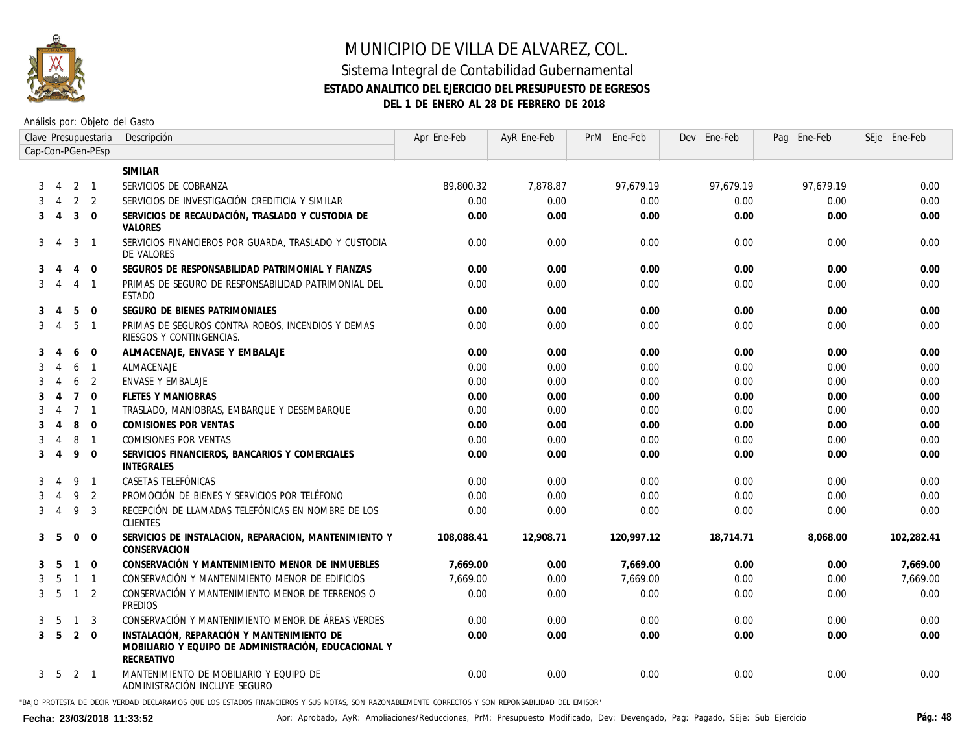

### Sistema Integral de Contabilidad Gubernamental **ESTADO ANALITICO DEL EJERCICIO DEL PRESUPUESTO DE EGRESOS DEL 1 DE ENERO AL 28 DE FEBRERO DE 2018**

Análisis por: Objeto del Gasto

|   |                |                | Clave Presupuestaria | Descripción                                                                                                             | Apr Ene-Feb | AyR Ene-Feb | PrM Ene-Feb | Dev Ene-Feb | Pag Ene-Feb | SEje Ene-Feb |
|---|----------------|----------------|----------------------|-------------------------------------------------------------------------------------------------------------------------|-------------|-------------|-------------|-------------|-------------|--------------|
|   |                |                | Cap-Con-PGen-PEsp    |                                                                                                                         |             |             |             |             |             |              |
|   |                |                |                      | SIMILAR                                                                                                                 |             |             |             |             |             |              |
| 3 | $\overline{4}$ | $2 \quad 1$    |                      | SERVICIOS DE COBRANZA                                                                                                   | 89.800.32   | 7.878.87    | 97.679.19   | 97.679.19   | 97.679.19   | 0.00         |
| 3 |                | 2              | 2                    | SERVICIOS DE INVESTIGACIÓN CREDITICIA Y SIMILAR                                                                         | 0.00        | 0.00        | 0.00        | 0.00        | 0.00        | 0.00         |
| 3 | $\overline{4}$ | $\overline{3}$ | $\Omega$             | SERVICIOS DE RECAUDACIÓN, TRASLADO Y CUSTODIA DE<br>VALORES                                                             | 0.00        | 0.00        | 0.00        | 0.00        | 0.00        | 0.00         |
| 3 | -4             | 3              | $\overline{1}$       | SERVICIOS FINANCIEROS POR GUARDA, TRASLADO Y CUSTODIA<br>DE VALORES                                                     | 0.00        | 0.00        | 0.00        | 0.00        | 0.00        | 0.00         |
| 3 | 4              | 4              | $\overline{0}$       | SEGUROS DE RESPONSABILIDAD PATRIMONIAL Y FIANZAS                                                                        | 0.00        | 0.00        | 0.00        | 0.00        | 0.00        | 0.00         |
| 3 | $\overline{4}$ | $\overline{4}$ | $\overline{1}$       | PRIMAS DE SEGURO DE RESPONSABILIDAD PATRIMONIAL DEL<br>ESTADO                                                           | 0.00        | 0.00        | 0.00        | 0.00        | 0.00        | 0.00         |
| 3 | $\overline{4}$ | 5              | $\Omega$             | SEGURO DE BIENES PATRIMONIALES                                                                                          | 0.00        | 0.00        | 0.00        | 0.00        | 0.00        | 0.00         |
| 3 | $\overline{4}$ | 5              | $\overline{1}$       | PRIMAS DE SEGUROS CONTRA ROBOS, INCENDIOS Y DEMAS<br>RIESGOS Y CONTINGENCIAS.                                           | 0.00        | 0.00        | 0.00        | 0.00        | 0.00        | 0.00         |
| 3 |                | 6              | $\overline{0}$       | ALMACENAJE, ENVASE Y EMBALAJE                                                                                           | 0.00        | 0.00        | 0.00        | 0.00        | 0.00        | 0.00         |
|   |                | 6              | $\overline{1}$       | <b>ALMACENAJE</b>                                                                                                       | 0.00        | 0.00        | 0.00        | 0.00        | 0.00        | 0.00         |
|   | 4              | 6              | $\overline{2}$       | ENVASE Y EMBALAJE                                                                                                       | 0.00        | 0.00        | 0.00        | 0.00        | 0.00        | 0.00         |
| 3 | -4             | $7\quad$ 0     |                      | <b>FLETES Y MANIOBRAS</b>                                                                                               | 0.00        | 0.00        | 0.00        | 0.00        | 0.00        | 0.00         |
| 3 | 4              | $\overline{7}$ | $\overline{1}$       | TRASLADO, MANIOBRAS, EMBARQUE Y DESEMBARQUE                                                                             | 0.00        | 0.00        | 0.00        | 0.00        | 0.00        | 0.00         |
|   |                | 8              | $\Omega$             | <b>COMISIONES POR VENTAS</b>                                                                                            | 0.00        | 0.00        | 0.00        | 0.00        | 0.00        | 0.00         |
|   |                | 8              | $\overline{1}$       | COMISIONES POR VENTAS                                                                                                   | 0.00        | 0.00        | 0.00        | 0.00        | 0.00        | 0.00         |
| 3 | 4              | 9              | $\Omega$             | SERVICIOS FINANCIEROS, BANCARIOS Y COMERCIALES<br><b>INTEGRALES</b>                                                     | 0.00        | 0.00        | 0.00        | 0.00        | 0.00        | 0.00         |
| 3 | 4              | 9              | $\overline{1}$       | CASETAS TELEFÓNICAS                                                                                                     | 0.00        | 0.00        | 0.00        | 0.00        | 0.00        | 0.00         |
|   | 4              | 9              | 2                    | PROMOCIÓN DE BIENES Y SERVICIOS POR TELÉFONO                                                                            | 0.00        | 0.00        | 0.00        | 0.00        | 0.00        | 0.00         |
| 3 | $\overline{4}$ | 9              | 3                    | RECEPCIÓN DE LLAMADAS TELEFÓNICAS EN NOMBRE DE LOS<br><b>CLIENTES</b>                                                   | 0.00        | 0.00        | 0.00        | 0.00        | 0.00        | 0.00         |
| 3 | 5              | $\mathbf 0$    | $\mathbf 0$          | SERVICIOS DE INSTALACION, REPARACION, MANTENIMIENTO Y<br>CONSERVACION                                                   | 108,088.41  | 12,908.71   | 120,997.12  | 18,714.71   | 8,068.00    | 102,282.41   |
| 3 | -5             | $\mathbf{1}$   | $\Omega$             | CONSERVACIÓN Y MANTENIMIENTO MENOR DE INMUEBLES                                                                         | 7.669.00    | 0.00        | 7.669.00    | 0.00        | 0.00        | 7.669.00     |
| 3 | -5             | $\mathbf{1}$   | $\overline{1}$       | CONSERVACIÓN Y MANTENIMIENTO MENOR DE EDIFICIOS                                                                         | 7.669.00    | 0.00        | 7.669.00    | 0.00        | 0.00        | 7,669.00     |
|   | 3 <sub>5</sub> | $\mathbf{1}$   | $\overline{2}$       | CONSERVACIÓN Y MANTENIMIENTO MENOR DE TERRENOS O<br>PREDIOS                                                             | 0.00        | 0.00        | 0.00        | 0.00        | 0.00        | 0.00         |
| 3 | -5             | $\overline{1}$ | -3                   | CONSERVACIÓN Y MANTENIMIENTO MENOR DE ÁREAS VERDES                                                                      | 0.00        | 0.00        | 0.00        | 0.00        | 0.00        | 0.00         |
|   | 3 <sub>5</sub> | $\overline{2}$ | $\overline{0}$       | INSTALACIÓN, REPARACIÓN Y MANTENIMIENTO DE<br>MOBILIARIO Y EQUIPO DE ADMINISTRACIÓN, EDUCACIONAL Y<br><b>RECREATIVO</b> | 0.00        | 0.00        | 0.00        | 0.00        | 0.00        | 0.00         |
|   | 3 5            | 2 1            |                      | MANTENIMIENTO DE MOBILIARIO Y EQUIPO DE<br>ADMINISTRACIÓN INCLUYE SEGURO                                                | 0.00        | 0.00        | 0.00        | 0.00        | 0.00        | 0.00         |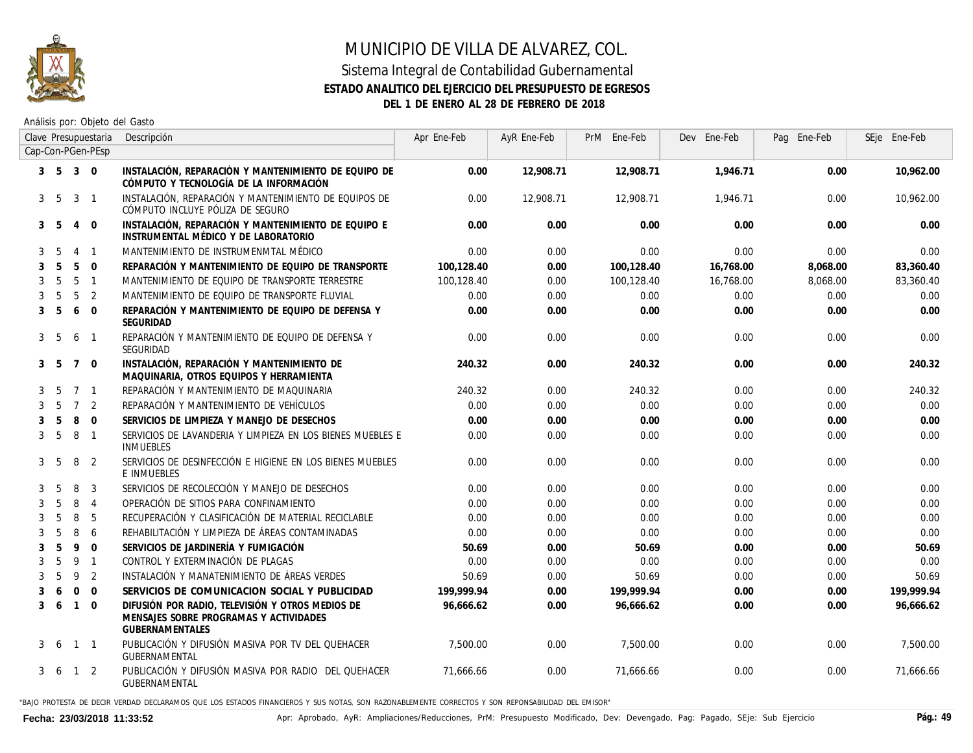

### Sistema Integral de Contabilidad Gubernamental **ESTADO ANALITICO DEL EJERCICIO DEL PRESUPUESTO DE EGRESOS DEL 1 DE ENERO AL 28 DE FEBRERO DE 2018**

Análisis por: Objeto del Gasto

|   |                |                | Clave Presupuestaria | Descripción                                                                                                          | Apr Ene-Feb | AyR Ene-Feb | PrM Ene-Feb | Dev Ene-Feb | Pag Ene-Feb | SEje Ene-Feb |
|---|----------------|----------------|----------------------|----------------------------------------------------------------------------------------------------------------------|-------------|-------------|-------------|-------------|-------------|--------------|
|   |                |                | Cap-Con-PGen-PEsp    |                                                                                                                      |             |             |             |             |             |              |
|   | 3 <sub>5</sub> | $3 \quad 0$    |                      | INSTALACIÓN, REPARACIÓN Y MANTENIMIENTO DE EQUIPO DE<br>CÓMPUTO Y TECNOLOGÍA DE LA INFORMACIÓN                       | 0.00        | 12,908.71   | 12,908.71   | 1,946.71    | 0.00        | 10,962.00    |
| 3 | -5             | 3              | $\overline{1}$       | INSTALACIÓN, REPARACIÓN Y MANTENIMIENTO DE EQUIPOS DE<br>CÓMPUTO INCLUYE PÓLIZA DE SEGURO                            | 0.00        | 12,908.71   | 12,908.71   | 1,946.71    | 0.00        | 10,962.00    |
| 3 | -5             | $\overline{4}$ | $\Omega$             | INSTALACIÓN, REPARACIÓN Y MANTENIMIENTO DE EQUIPO E<br>INSTRUMENTAL MÉDICO Y DE LABORATORIO                          | 0.00        | 0.00        | 0.00        | 0.00        | 0.00        | 0.00         |
| 3 | .5             | $\overline{4}$ | $\overline{1}$       | MANTENIMIENTO DE INSTRUMENMTAL MÉDICO                                                                                | 0.00        | 0.00        | 0.00        | 0.00        | 0.00        | 0.00         |
| 3 | 5              | 5              | $\Omega$             | REPARACIÓN Y MANTENIMIENTO DE EQUIPO DE TRANSPORTE                                                                   | 100.128.40  | 0.00        | 100,128.40  | 16,768.00   | 8,068.00    | 83,360.40    |
| 3 | 5              | 5              | $\overline{1}$       | MANTENIMIENTO DE EQUIPO DE TRANSPORTE TERRESTRE                                                                      | 100, 128.40 | 0.00        | 100,128.40  | 16,768.00   | 8,068.00    | 83,360.40    |
| 3 | 5              | 5              | 2                    | MANTENIMIENTO DE EQUIPO DE TRANSPORTE FLUVIAL                                                                        | 0.00        | 0.00        | 0.00        | 0.00        | 0.00        | 0.00         |
| 3 | 5              | 6              | $\mathbf{0}$         | REPARACIÓN Y MANTENIMIENTO DE EQUIPO DE DEFENSA Y<br><b>SEGURIDAD</b>                                                | 0.00        | 0.00        | 0.00        | 0.00        | 0.00        | 0.00         |
| 3 | $5^{\circ}$    | 6              | $\overline{1}$       | REPARACIÓN Y MANTENIMIENTO DE EQUIPO DE DEFENSA Y<br>SEGURIDAD                                                       | 0.00        | 0.00        | 0.00        | 0.00        | 0.00        | 0.00         |
| 3 | -5             | $\overline{7}$ | $\Omega$             | INSTALACIÓN, REPARACIÓN Y MANTENIMIENTO DE<br>MAQUINARIA, OTROS EQUIPOS Y HERRAMIENTA                                | 240.32      | 0.00        | 240.32      | 0.00        | 0.00        | 240.32       |
| 3 | -5             | $\overline{7}$ | $\overline{1}$       | REPARACIÓN Y MANTENIMIENTO DE MAQUINARIA                                                                             | 240.32      | 0.00        | 240.32      | 0.00        | 0.00        | 240.32       |
| 3 | 5              | $\overline{7}$ | 2                    | REPARACIÓN Y MANTENIMIENTO DE VEHÍCULOS                                                                              | 0.00        | 0.00        | 0.00        | 0.00        | 0.00        | 0.00         |
| 3 | 5              | 8              | $\mathbf{0}$         | SERVICIOS DE LIMPIEZA Y MANEJO DE DESECHOS                                                                           | 0.00        | 0.00        | 0.00        | 0.00        | 0.00        | 0.00         |
| 3 | 5              | 8              | $\overline{1}$       | SERVICIOS DE LAVANDERIA Y LIMPIEZA EN LOS BIENES MUEBLES E<br><b>INMUEBLES</b>                                       | 0.00        | 0.00        | 0.00        | 0.00        | 0.00        | 0.00         |
| 3 | -5             | 8              | 2                    | SERVICIOS DE DESINFECCIÓN E HIGIENE EN LOS BIENES MUEBLES<br>E INMUEBLES                                             | 0.00        | 0.00        | 0.00        | 0.00        | 0.00        | 0.00         |
|   | 5              | 8              | 3                    | SERVICIOS DE RECOLECCIÓN Y MANEJO DE DESECHOS                                                                        | 0.00        | 0.00        | 0.00        | 0.00        | 0.00        | 0.00         |
|   | .5             | 8              | $\overline{4}$       | OPERACIÓN DE SITIOS PARA CONFINAMIENTO                                                                               | 0.00        | 0.00        | 0.00        | 0.00        | 0.00        | 0.00         |
|   | 5              | 8              | 5                    | RECUPERACIÓN Y CLASIFICACIÓN DE MATERIAL RECICLABLE                                                                  | 0.00        | 0.00        | 0.00        | 0.00        | 0.00        | 0.00         |
|   | -5             | 8              | 6                    | REHABILITACIÓN Y LIMPIEZA DE ÁREAS CONTAMINADAS                                                                      | 0.00        | 0.00        | 0.00        | 0.00        | 0.00        | 0.00         |
| 3 | 5              | 9              | $\mathbf 0$          | SERVICIOS DE JARDINERÍA Y FUMIGACIÓN                                                                                 | 50.69       | 0.00        | 50.69       | 0.00        | 0.00        | 50.69        |
|   | 5              | 9              | $\overline{1}$       | CONTROL Y EXTERMINACIÓN DE PLAGAS                                                                                    | 0.00        | 0.00        | 0.00        | 0.00        | 0.00        | 0.00         |
|   | 5              | 9              | $\overline{2}$       | INSTALACIÓN Y MANATENIMIENTO DE ÁREAS VERDES                                                                         | 50.69       | 0.00        | 50.69       | 0.00        | 0.00        | 50.69        |
|   | 6              | $\mathbf 0$    | $\mathbf 0$          | SERVICIOS DE COMUNICACION SOCIAL Y PUBLICIDAD                                                                        | 199,999.94  | 0.00        | 199,999.94  | 0.00        | 0.00        | 199,999.94   |
| 3 | -6             | $\mathbf{1}$   | $\Omega$             | DIFUSIÓN POR RADIO. TELEVISIÓN Y OTROS MEDIOS DE<br>MENSAJES SOBRE PROGRAMAS Y ACTIVIDADES<br><b>GUBERNAMENTALES</b> | 96,666.62   | 0.00        | 96,666.62   | 0.00        | 0.00        | 96,666.62    |
| 3 | -6             | $\mathbf{1}$   | $\mathbf{1}$         | PUBLICACIÓN Y DIFUSIÓN MASIVA POR TV DEL QUEHACER<br>GUBERNAMENTAL                                                   | 7,500.00    | 0.00        | 7,500.00    | 0.00        | 0.00        | 7,500.00     |
| 3 | 6              | $\mathbf{1}$   | 2                    | PUBLICACIÓN Y DIFUSIÓN MASIVA POR RADIO  DEL QUEHACER<br><b>GUBERNAMENTAL</b>                                        | 71,666.66   | 0.00        | 71,666.66   | 0.00        | 0.00        | 71,666.66    |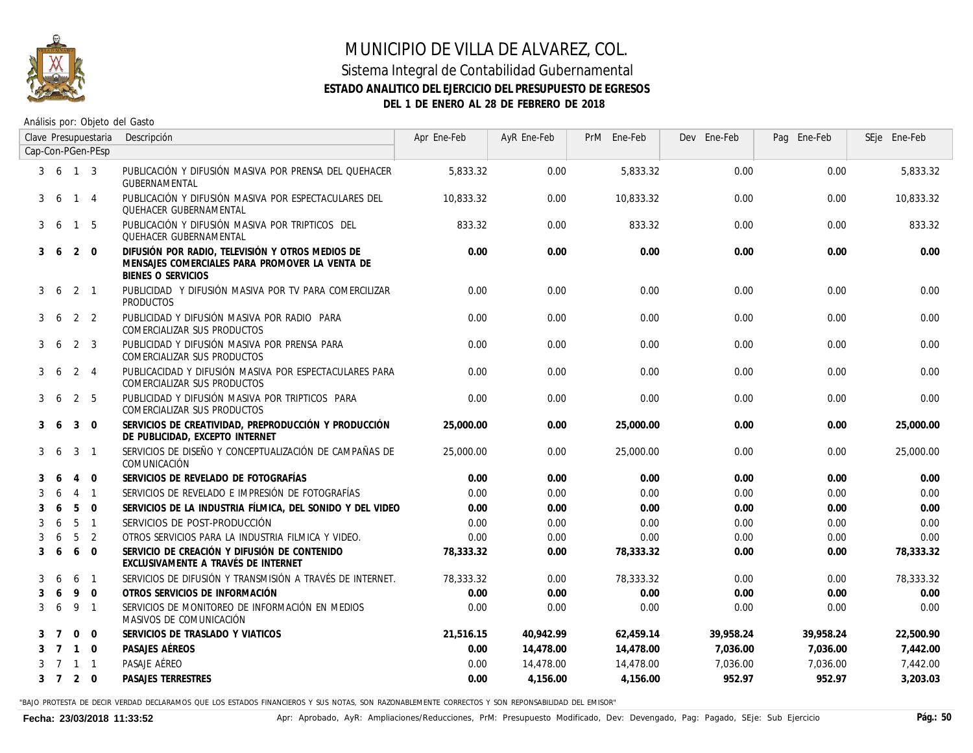

### Sistema Integral de Contabilidad Gubernamental **ESTADO ANALITICO DEL EJERCICIO DEL PRESUPUESTO DE EGRESOS DEL 1 DE ENERO AL 28 DE FEBRERO DE 2018**

Análisis por: Objeto del Gasto

|   |     |                | Clave Presupuestaria | Descripción                                                                                                              | Apr Ene-Feb | AyR Ene-Feb | PrM Ene-Feb | Dev Ene-Feb | Pag Ene-Feb | SEje Ene-Feb |
|---|-----|----------------|----------------------|--------------------------------------------------------------------------------------------------------------------------|-------------|-------------|-------------|-------------|-------------|--------------|
|   |     |                | Cap-Con-PGen-PEsp    |                                                                                                                          |             |             |             |             |             |              |
|   |     | 3 6 1 3        |                      | PUBLICACIÓN Y DIFUSIÓN MASIVA POR PRENSA DEL QUEHACER<br>GUBERNAMENTAL                                                   | 5,833,32    | 0.00        | 5,833.32    | 0.00        | 0.00        | 5,833.32     |
|   | 36  | $\overline{1}$ | $\overline{4}$       | PUBLICACIÓN Y DIFUSIÓN MASIVA POR ESPECTACULARES DEL<br><b>QUEHACER GUBERNAMENTAL</b>                                    | 10.833.32   | 0.00        | 10,833.32   | 0.00        | 0.00        | 10,833.32    |
|   | 3 6 | $\mathbf{1}$   | 5                    | PUBLICACIÓN Y DIFUSIÓN MASIVA POR TRIPTICOS DEL<br><b>QUEHACER GUBERNAMENTAL</b>                                         | 833.32      | 0.00        | 833.32      | 0.00        | 0.00        | 833.32       |
| 3 | -6  | 2              | $\overline{0}$       | DIFUSIÓN POR RADIO, TELEVISIÓN Y OTROS MEDIOS DE<br>MENSAJES COMERCIALES PARA PROMOVER LA VENTA DE<br>BIENES O SERVICIOS | 0.00        | 0.00        | 0.00        | 0.00        | 0.00        | 0.00         |
| 3 | 6   | $2 \quad 1$    |                      | PUBLICIDAD Y DIFUSIÓN MASIVA POR TV PARA COMERCILIZAR<br>PRODUCTOS                                                       | 0.00        | 0.00        | 0.00        | 0.00        | 0.00        | 0.00         |
|   | 3 6 | 2 <sub>2</sub> |                      | PUBLICIDAD Y DIFUSIÓN MASIVA POR RADIO PARA<br>COMERCIALIZAR SUS PRODUCTOS                                               | 0.00        | 0.00        | 0.00        | 0.00        | 0.00        | 0.00         |
|   | 3 6 | 2 <sup>3</sup> |                      | PUBLICIDAD Y DIFUSIÓN MASIVA POR PRENSA PARA<br>COMERCIALIZAR SUS PRODUCTOS                                              | 0.00        | 0.00        | 0.00        | 0.00        | 0.00        | 0.00         |
| 3 | -6  | 2              | $\overline{4}$       | PUBLICACIDAD Y DIFUSIÓN MASIVA POR ESPECTACULARES PARA<br>COMERCIALIZAR SUS PRODUCTOS                                    | 0.00        | 0.00        | 0.00        | 0.00        | 0.00        | 0.00         |
| 3 | -6  | 2              | -5                   | PUBLICIDAD Y DIFUSIÓN MASIVA POR TRIPTICOS PARA<br>COMERCIALIZAR SUS PRODUCTOS                                           | 0.00        | 0.00        | 0.00        | 0.00        | 0.00        | 0.00         |
|   | 3 6 | 3              | $\overline{0}$       | SERVICIOS DE CREATIVIDAD, PREPRODUCCIÓN Y PRODUCCIÓN<br>DE PUBLICIDAD, EXCEPTO INTERNET                                  | 25,000.00   | 0.00        | 25,000.00   | 0.00        | 0.00        | 25,000.00    |
| 3 | -6  | 3              | $\overline{1}$       | SERVICIOS DE DISEÑO Y CONCEPTUALIZACIÓN DE CAMPAÑAS DE<br>COMUNICACIÓN                                                   | 25,000.00   | 0.00        | 25,000.00   | 0.00        | 0.00        | 25,000.00    |
| 3 | -6  | 4              | $\Omega$             | SERVICIOS DE REVELADO DE FOTOGRAFÍAS                                                                                     | 0.00        | 0.00        | 0.00        | 0.00        | 0.00        | 0.00         |
| 3 | -6  | $\overline{4}$ | $\overline{1}$       | SERVICIOS DE REVELADO E IMPRESIÓN DE FOTOGRAFÍAS                                                                         | 0.00        | 0.00        | 0.00        | 0.00        | 0.00        | 0.00         |
|   | -6  | 5              | $\Omega$             | SERVICIOS DE LA INDUSTRIA FÍLMICA, DEL SONIDO Y DEL VIDEO                                                                | 0.00        | 0.00        | 0.00        | 0.00        | 0.00        | 0.00         |
| 3 | -6  | 5              | $\overline{1}$       | SERVICIOS DE POST-PRODUCCIÓN                                                                                             | 0.00        | 0.00        | 0.00        | 0.00        | 0.00        | 0.00         |
|   | 6   | 5              | 2                    | OTROS SERVICIOS PARA LA INDUSTRIA FILMICA Y VIDEO.                                                                       | 0.00        | 0.00        | 0.00        | 0.00        | 0.00        | 0.00         |
| 3 | 6   | 6              | $\overline{0}$       | SERVICIO DE CREACIÓN Y DIFUSIÓN DE CONTENIDO<br>EXCLUSIVAMENTE A TRAVÉS DE INTERNET                                      | 78,333.32   | 0.00        | 78,333.32   | 0.00        | 0.00        | 78,333.32    |
| 3 | -6  | 6              | $\overline{1}$       | SERVICIOS DE DIFUSIÓN Y TRANSMISIÓN A TRAVÉS DE INTERNET.                                                                | 78.333.32   | 0.00        | 78,333.32   | 0.00        | 0.00        | 78,333.32    |
| 3 | 6   | 9              | $\Omega$             | OTROS SERVICIOS DE INFORMACIÓN                                                                                           | 0.00        | 0.00        | 0.00        | 0.00        | 0.00        | 0.00         |
| 3 | 6   | 9              | $\overline{1}$       | SERVICIOS DE MONITOREO DE INFORMACIÓN EN MEDIOS<br>MASIVOS DE COMUNICACIÓN                                               | 0.00        | 0.00        | 0.00        | 0.00        | 0.00        | 0.00         |
|   |     | $\Omega$       | $\Omega$             | SERVICIOS DE TRASLADO Y VIATICOS                                                                                         | 21,516.15   | 40,942.99   | 62,459.14   | 39,958.24   | 39,958.24   | 22.500.90    |
|   |     | $\mathbf{1}$   | $\Omega$             | PASAJES AÉREOS                                                                                                           | 0.00        | 14,478.00   | 14,478.00   | 7,036.00    | 7,036.00    | 7,442.00     |
|   | 7   | $\mathbf{1}$   | $\overline{1}$       | PASAJE AÉREO                                                                                                             | 0.00        | 14,478.00   | 14,478.00   | 7,036.00    | 7,036.00    | 7,442.00     |
|   |     | 3 7 2 0        |                      | PASAJES TERRESTRES                                                                                                       | 0.00        | 4.156.00    | 4,156.00    | 952.97      | 952.97      | 3,203.03     |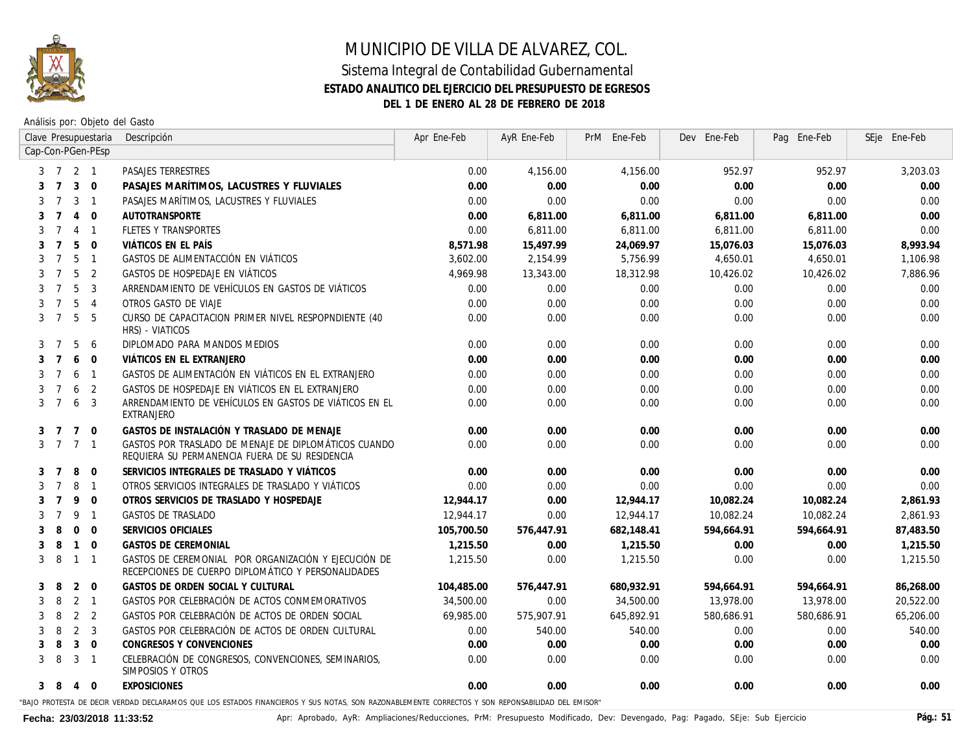

### Sistema Integral de Contabilidad Gubernamental **ESTADO ANALITICO DEL EJERCICIO DEL PRESUPUESTO DE EGRESOS DEL 1 DE ENERO AL 28 DE FEBRERO DE 2018**

Análisis por: Objeto del Gasto

| Clave Presupuestaria                       | Descripción                                                                                                                                      | Apr Ene-Feb | AyR Ene-Feb | PrM Ene-Feb | Dev Ene-Feb | Pag Ene-Feb | SEje Ene-Feb |
|--------------------------------------------|--------------------------------------------------------------------------------------------------------------------------------------------------|-------------|-------------|-------------|-------------|-------------|--------------|
| Cap-Con-PGen-PEsp                          |                                                                                                                                                  |             |             |             |             |             |              |
| $3 \t7 \t2 \t1$                            | <b>PASAJES TERRESTRES</b>                                                                                                                        | 0.00        | 4,156.00    | 4,156.00    | 952.97      | 952.97      | 3,203.03     |
| $3 \quad 0$<br>3<br>$\overline{7}$         | PASAJES MARÍTIMOS, LACUSTRES Y FLUVIALES                                                                                                         | 0.00        | 0.00        | 0.00        | 0.00        | 0.00        | 0.00         |
| 3 <sub>1</sub><br>3<br>7                   | PASAJES MARÍTIMOS, LACUSTRES Y FLUVIALES                                                                                                         | 0.00        | 0.00        | 0.00        | 0.00        | 0.00        | 0.00         |
| $4\quad 0$<br>$\overline{7}$<br>3          | <b>AUTOTRANSPORTE</b>                                                                                                                            | 0.00        | 6,811.00    | 6,811.00    | 6,811.00    | 6,811.00    | 0.00         |
| $\overline{7}$<br>$4 \quad 1$<br>3         | FLETES Y TRANSPORTES                                                                                                                             | 0.00        | 6,811,00    | 6,811.00    | 6,811.00    | 6,811.00    | 0.00         |
| 5<br>$\overline{0}$<br>$\overline{7}$<br>3 | VIÁTICOS EN EL PAÍS                                                                                                                              | 8,571.98    | 15.497.99   | 24,069.97   | 15,076.03   | 15,076.03   | 8,993.94     |
| 5<br>$\overline{7}$<br>3<br>$\overline{1}$ | GASTOS DE ALIMENTACCIÓN EN VIÁTICOS                                                                                                              | 3.602.00    | 2,154.99    | 5,756,99    | 4,650.01    | 4,650.01    | 1,106.98     |
| 5<br>$\overline{2}$<br>3<br>$\overline{7}$ | GASTOS DE HOSPEDAJE EN VIÁTICOS                                                                                                                  | 4,969.98    | 13,343.00   | 18,312.98   | 10,426.02   | 10,426.02   | 7,886.96     |
| 5<br>$\overline{3}$<br>$\overline{7}$<br>3 | ARRENDAMIENTO DE VEHÍCULOS EN GASTOS DE VIÁTICOS                                                                                                 | 0.00        | 0.00        | 0.00        | 0.00        | 0.00        | 0.00         |
| 5<br>$\overline{4}$<br>3<br>7              | OTROS GASTO DE VIAJE                                                                                                                             | 0.00        | 0.00        | 0.00        | 0.00        | 0.00        | 0.00         |
| 5<br>- 5<br>3<br>$\overline{7}$            | CURSO DE CAPACITACION PRIMER NIVEL RESPOPNDIENTE (40<br>HRS) - VIATICOS                                                                          | 0.00        | 0.00        | 0.00        | 0.00        | 0.00        | 0.00         |
| 5<br>7<br>- 6<br>3                         | DIPLOMADO PARA MANDOS MEDIOS                                                                                                                     | 0.00        | 0.00        | 0.00        | 0.00        | 0.00        | 0.00         |
| $\overline{7}$<br>6<br>$\overline{0}$<br>3 | VIÁTICOS EN EL EXTRANJERO                                                                                                                        | 0.00        | 0.00        | 0.00        | 0.00        | 0.00        | 0.00         |
| $\overline{7}$<br>6 <sub>1</sub><br>3      | GASTOS DE ALIMENTACIÓN EN VIÁTICOS EN EL EXTRANJERO                                                                                              | 0.00        | 0.00        | 0.00        | 0.00        | 0.00        | 0.00         |
| 6 <sub>2</sub><br>$\overline{7}$<br>3      | GASTOS DE HOSPEDAJE EN VIÁTICOS EN EL EXTRANJERO                                                                                                 | 0.00        | 0.00        | 0.00        | 0.00        | 0.00        | 0.00         |
| 6 3<br>3<br>$\overline{7}$                 | ARRENDAMIENTO DE VEHÍCULOS EN GASTOS DE VIÁTICOS EN EL<br>EXTRANJERO                                                                             | 0.00        | 0.00        | 0.00        | 0.00        | 0.00        | 0.00         |
| $\overline{7}$<br>$\overline{0}$<br>7<br>3 | GASTOS DE INSTALACIÓN Y TRASLADO DE MENAJE                                                                                                       | 0.00        | 0.00        | 0.00        | 0.00        | 0.00        | 0.00         |
| 3<br>$\overline{7}$<br>7 <sub>1</sub>      | GASTOS POR TRASLADO DE MENAJE DE DIPLOMÁTICOS CUANDO<br>REQUIERA SU PERMANENCIA FUERA DE SU RESIDENCIA                                           | 0.00        | 0.00        | 0.00        | 0.00        | 0.00        | 0.00         |
| 8<br>7<br>$\overline{0}$<br>3              | SERVICIOS INTEGRALES DE TRASLADO Y VIÁTICOS                                                                                                      | 0.00        | 0.00        | 0.00        | 0.00        | 0.00        | 0.00         |
| 8<br>3<br>7<br>$\overline{1}$              | OTROS SERVICIOS INTEGRALES DE TRASLADO Y VIÁTICOS                                                                                                | 0.00        | 0.00        | 0.00        | 0.00        | 0.00        | 0.00         |
| 9<br>3<br>$\overline{7}$<br>$\overline{0}$ | OTROS SERVICIOS DE TRASLADO Y HOSPEDAJE                                                                                                          | 12,944.17   | 0.00        | 12,944.17   | 10,082.24   | 10,082.24   | 2,861.93     |
| 9 1<br>$\overline{7}$<br>3                 | GASTOS DE TRASLADO                                                                                                                               | 12,944.17   | 0.00        | 12,944.17   | 10,082.24   | 10,082.24   | 2,861.93     |
| 8<br>$0\quad 0$<br>3                       | SERVICIOS OFICIALES                                                                                                                              | 105,700.50  | 576,447.91  | 682,148.41  | 594,664.91  | 594,664.91  | 87,483.50    |
| $1 \quad 0$<br>3<br>8                      | <b>GASTOS DE CEREMONIAL</b>                                                                                                                      | 1.215.50    | 0.00        | 1,215.50    | 0.00        | 0.00        | 1.215.50     |
| 3<br>8<br>$1 \quad 1$                      | GASTOS DE CEREMONIAL POR ORGANIZACIÓN Y EJECUCIÓN DE<br>RECEPCIONES DE CUERPO DIPLOMÁTICO Y PERSONALIDADES                                       | 1,215.50    | 0.00        | 1,215.50    | 0.00        | 0.00        | 1,215.50     |
| 8<br>$2 \quad 0$<br>3                      | GASTOS DE ORDEN SOCIAL Y CULTURAL                                                                                                                | 104,485.00  | 576,447.91  | 680,932.91  | 594,664.91  | 594,664.91  | 86,268.00    |
| $2 \quad 1$<br>8<br>3                      | GASTOS POR CELEBRACIÓN DE ACTOS CONMEMORATIVOS                                                                                                   | 34,500.00   | 0.00        | 34,500.00   | 13,978.00   | 13,978.00   | 20,522.00    |
| 2 <sub>2</sub><br>3<br>8                   | GASTOS POR CELEBRACIÓN DE ACTOS DE ORDEN SOCIAL                                                                                                  | 69,985.00   | 575,907.91  | 645,892.91  | 580,686.91  | 580.686.91  | 65,206.00    |
| 2 <sup>3</sup><br>8<br>3                   | GASTOS POR CELEBRACIÓN DE ACTOS DE ORDEN CULTURAL                                                                                                | 0.00        | 540.00      | 540.00      | 0.00        | 0.00        | 540.00       |
| 8<br>3<br>$\overline{0}$<br>3              | CONGRESOS Y CONVENCIONES                                                                                                                         | 0.00        | 0.00        | 0.00        | 0.00        | 0.00        | 0.00         |
| 8<br>3<br>3<br>$\overline{1}$              | CELEBRACIÓN DE CONGRESOS, CONVENCIONES, SEMINARIOS,<br>SIMPOSIOS Y OTROS                                                                         | 0.00        | 0.00        | 0.00        | 0.00        | 0.00        | 0.00         |
| $\overline{0}$<br>3<br>- 8<br>4            | <b>EXPOSICIONES</b>                                                                                                                              | 0.00        | 0.00        | 0.00        | 0.00        | 0.00        | 0.00         |
|                                            | "BAJO PROTESTA DE DECIR VERDAD DECLARAMOS QUE LOS ESTADOS FINANCIEROS Y SUS NOTAS, SON RAZONABLEMENTE CORRECTOS Y SON REPONSABILIDAD DEL EMISOR" |             |             |             |             |             |              |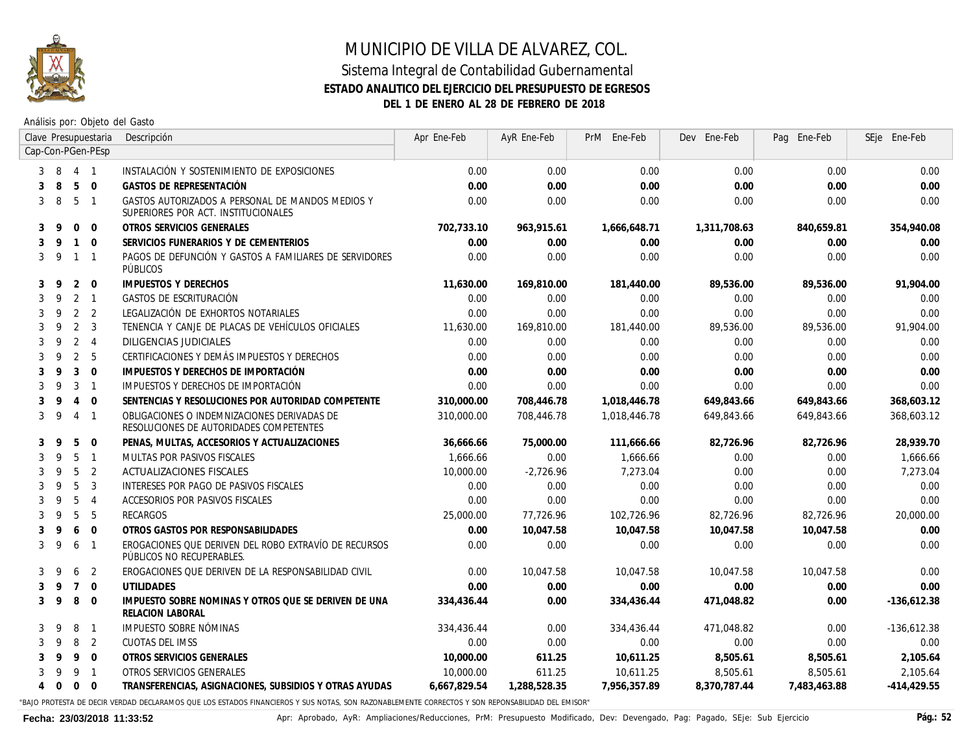

### Sistema Integral de Contabilidad Gubernamental **ESTADO ANALITICO DEL EJERCICIO DEL PRESUPUESTO DE EGRESOS DEL 1 DE ENERO AL 28 DE FEBRERO DE 2018**

Análisis por: Objeto del Gasto

|   |                |                | Clave Presupuestaria | Descripción                                                                                                                                          | Apr Ene-Feb  | AyR Ene-Feb  | PrM Ene-Feb  | Dev Ene-Feb  | Pag Ene-Feb  | SEje Ene-Feb  |
|---|----------------|----------------|----------------------|------------------------------------------------------------------------------------------------------------------------------------------------------|--------------|--------------|--------------|--------------|--------------|---------------|
|   |                |                | Cap-Con-PGen-PEsp    |                                                                                                                                                      |              |              |              |              |              |               |
| 3 | 8              |                | $4 \quad 1$          | INSTALACIÓN Y SOSTENIMIENTO DE EXPOSICIONES                                                                                                          | 0.00         | 0.00         | 0.00         | 0.00         | 0.00         | 0.00          |
|   | 8              | 5              | $\Omega$             | GASTOS DE REPRESENTACIÓN                                                                                                                             | 0.00         | 0.00         | 0.00         | 0.00         | 0.00         | 0.00          |
| 3 | -8             | 5              | $\overline{1}$       | GASTOS AUTORIZADOS A PERSONAL DE MANDOS MEDIOS Y<br>SUPERIORES POR ACT. INSTITUCIONALES                                                              | 0.00         | 0.00         | 0.00         | 0.00         | 0.00         | 0.00          |
| 3 | 9              | $\overline{0}$ | $\overline{0}$       | OTROS SERVICIOS GENERALES                                                                                                                            | 702,733.10   | 963,915.61   | 1,666,648.71 | 1,311,708.63 | 840,659.81   | 354,940.08    |
|   | 9              | $\mathbf{1}$   | $\overline{0}$       | SERVICIOS FUNERARIOS Y DE CEMENTERIOS                                                                                                                | 0.00         | 0.00         | 0.00         | 0.00         | 0.00         | 0.00          |
|   | $3 \quad 9$    | $\mathbf{1}$   | $\overline{1}$       | PAGOS DE DEFUNCIÓN Y GASTOS A FAMILIARES DE SERVIDORES<br>PÜBLICOS                                                                                   | 0.00         | 0.00         | 0.00         | 0.00         | 0.00         | 0.00          |
| 3 | 9              | 2              | $\mathbf{0}$         | IMPUESTOS Y DERECHOS                                                                                                                                 | 11,630.00    | 169,810.00   | 181,440.00   | 89,536.00    | 89,536.00    | 91,904.00     |
| 3 | -9             | 2              | $\overline{1}$       | GASTOS DE ESCRITURACIÓN                                                                                                                              | 0.00         | 0.00         | 0.00         | 0.00         | 0.00         | 0.00          |
| 3 | 9              | 2              | $\overline{2}$       | LEGALIZACIÓN DE EXHORTOS NOTARIALES                                                                                                                  | 0.00         | 0.00         | 0.00         | 0.00         | 0.00         | 0.00          |
| 3 | 9              | $\overline{2}$ | -3                   | TENENCIA Y CANJE DE PLACAS DE VEHÍCULOS OFICIALES                                                                                                    | 11,630.00    | 169.810.00   | 181,440.00   | 89,536.00    | 89.536.00    | 91,904.00     |
| 3 | 9              | 2              | $\overline{4}$       | DILIGENCIAS JUDICIALES                                                                                                                               | 0.00         | 0.00         | 0.00         | 0.00         | 0.00         | 0.00          |
|   | -9             | 2              | - 5                  | CERTIFICACIONES Y DEMÁS IMPUESTOS Y DERECHOS                                                                                                         | 0.00         | 0.00         | 0.00         | 0.00         | 0.00         | 0.00          |
|   | 9              | 3              | $\overline{0}$       | IMPUESTOS Y DERECHOS DE IMPORTACIÓN                                                                                                                  | 0.00         | 0.00         | 0.00         | 0.00         | 0.00         | 0.00          |
|   | -9             | 3              | $\overline{1}$       | IMPUESTOS Y DERECHOS DE IMPORTACIÓN                                                                                                                  | 0.00         | 0.00         | 0.00         | 0.00         | 0.00         | 0.00          |
| 3 | -9             | 4              | $\Omega$             | SENTENCIAS Y RESOLUCIONES POR AUTORIDAD COMPETENTE                                                                                                   | 310,000.00   | 708,446.78   | 1,018,446.78 | 649,843.66   | 649.843.66   | 368,603.12    |
| 3 | 9              | 4              | $\overline{1}$       | OBLIGACIONES O INDEMNIZACIONES DERIVADAS DE<br>RESOLUCIONES DE AUTORIDADES COMPETENTES                                                               | 310,000,00   | 708.446.78   | 1,018,446.78 | 649,843.66   | 649,843.66   | 368,603.12    |
| 3 | -9             | 5              | $\mathbf 0$          | PENAS, MULTAS, ACCESORIOS Y ACTUALIZACIONES                                                                                                          | 36,666.66    | 75,000.00    | 111,666.66   | 82,726.96    | 82,726.96    | 28,939.70     |
| 3 | 9              | 5              | $\overline{1}$       | MULTAS POR PASIVOS FISCALES                                                                                                                          | 1,666.66     | 0.00         | 1,666.66     | 0.00         | 0.00         | 1,666.66      |
| 3 | 9              | 5              | $\overline{2}$       | <b>ACTUALIZACIONES FISCALES</b>                                                                                                                      | 10,000.00    | $-2,726.96$  | 7,273.04     | 0.00         | 0.00         | 7,273.04      |
|   | 9              | $\overline{5}$ | $\overline{3}$       | INTERESES POR PAGO DE PASIVOS FISCALES                                                                                                               | 0.00         | 0.00         | 0.00         | 0.00         | 0.00         | 0.00          |
|   | 9              | 5              | $\overline{4}$       | ACCESORIOS POR PASIVOS FISCALES                                                                                                                      | 0.00         | 0.00         | 0.00         | 0.00         | 0.00         | 0.00          |
| 3 | -9             | 5              | 5                    | RECARGOS                                                                                                                                             | 25,000.00    | 77,726.96    | 102,726.96   | 82,726.96    | 82,726.96    | 20,000.00     |
| 3 | 9              | 6              | $\overline{0}$       | OTROS GASTOS POR RESPONSABILIDADES                                                                                                                   | 0.00         | 10,047.58    | 10,047.58    | 10,047.58    | 10,047.58    | 0.00          |
| 3 | 9              | 6              | $\overline{1}$       | EROGACIONES QUE DERIVEN DEL ROBO EXTRAVÍO DE RECURSOS<br>PÚBLICOS NO RECUPERABLES.                                                                   | 0.00         | 0.00         | 0.00         | 0.00         | 0.00         | 0.00          |
| 3 | 9              | 6              | 2                    | EROGACIONES QUE DERIVEN DE LA RESPONSABILIDAD CIVIL                                                                                                  | 0.00         | 10.047.58    | 10.047.58    | 10.047.58    | 10.047.58    | 0.00          |
| 3 | 9              | $\overline{7}$ | $\overline{0}$       | <b>UTILIDADES</b>                                                                                                                                    | 0.00         | 0.00         | 0.00         | 0.00         | 0.00         | 0.00          |
| 3 | $\overline{9}$ | 8              | $\Omega$             | IMPUESTO SOBRE NOMINAS Y OTROS QUE SE DERIVEN DE UNA<br>RELACION LABORAL                                                                             | 334,436.44   | 0.00         | 334,436.44   | 471,048.82   | 0.00         | $-136,612.38$ |
| 3 | 9              | 8              | $\overline{1}$       | <b>IMPUESTO SOBRE NÓMINAS</b>                                                                                                                        | 334,436.44   | 0.00         | 334,436.44   | 471,048.82   | 0.00         | $-136,612.38$ |
|   | 9              | 8              | 2                    | CUOTAS DEL IMSS                                                                                                                                      | 0.00         | 0.00         | 0.00         | 0.00         | 0.00         | 0.00          |
|   | 9              | 9              | $\mathbf 0$          | OTROS SERVICIOS GENERALES                                                                                                                            | 10,000.00    | 611.25       | 10,611.25    | 8,505.61     | 8,505.61     | 2,105.64      |
| 3 | -9             | 9              | $\overline{1}$       | OTROS SERVICIOS GENERALES                                                                                                                            | 10,000.00    | 611.25       | 10,611.25    | 8,505.61     | 8,505.61     | 2,105.64      |
| 4 | $\overline{0}$ | $\overline{0}$ | $\overline{0}$       | TRANSFERENCIAS, ASIGNACIONES, SUBSIDIOS Y OTRAS AYUDAS                                                                                               | 6,667,829.54 | 1,288,528.35 | 7,956,357.89 | 8,370,787.44 | 7,483,463.88 | $-414,429.55$ |
|   |                |                |                      | BAJO BROTECTA DE DEGID UERDAD DEGIADALIOS QUE LOS ESTADOS FILIALOIEDOS VIGUA HOTAS, SON DATOLLADIE AFUTE CORDESTOS VIGONI DEDOLIGADU IDAD DEL ELHODU |              |              |              |              |              |               |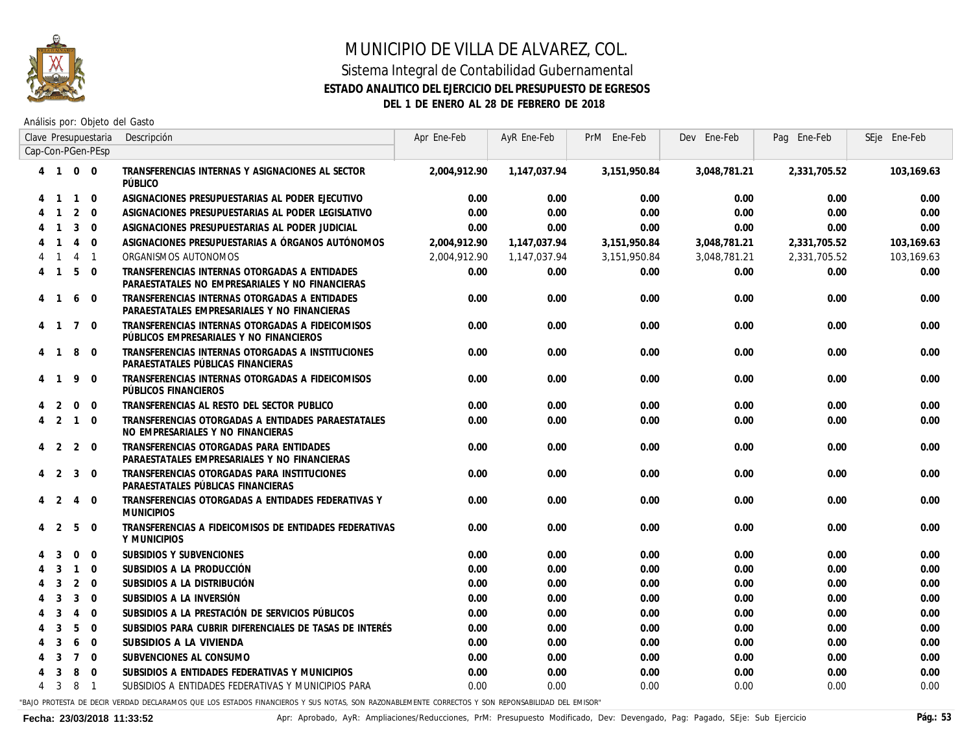

### Sistema Integral de Contabilidad Gubernamental **ESTADO ANALITICO DEL EJERCICIO DEL PRESUPUESTO DE EGRESOS DEL 1 DE ENERO AL 28 DE FEBRERO DE 2018**

Análisis por: Objeto del Gasto

|                   |                |                | Clave Presupuestaria     | Descripción                                                                                      | Apr Ene-Feb  | AyR Ene-Feb  | PrM Ene-Feb  | Dev Ene-Feb  | Pag Ene-Feb  | SEje Ene-Feb |
|-------------------|----------------|----------------|--------------------------|--------------------------------------------------------------------------------------------------|--------------|--------------|--------------|--------------|--------------|--------------|
| Cap-Con-PGen-PEsp |                |                |                          |                                                                                                  |              |              |              |              |              |              |
|                   |                | 4 1 0 0        |                          | TRANSFERENCIAS INTERNAS Y ASIGNACIONES AL SECTOR<br>PÚBLICO                                      | 2,004,912.90 | 1,147,037.94 | 3,151,950.84 | 3,048,781.21 | 2,331,705.52 | 103,169.63   |
|                   | $\overline{1}$ | $\mathbf{1}$   | $\overline{0}$           | ASIGNACIONES PRESUPUESTARIAS AL PODER EJECUTIVO                                                  | 0.00         | 0.00         | 0.00         | 0.00         | 0.00         | 0.00         |
|                   |                | 2              | $\Omega$                 | ASIGNACIONES PRESUPUESTARIAS AL PODER LEGISLATIVO                                                | 0.00         | 0.00         | 0.00         | 0.00         | 0.00         | 0.00         |
|                   |                | 3              | $\overline{0}$           | ASIGNACIONES PRESUPUESTARIAS AL PODER JUDICIAL                                                   | 0.00         | 0.00         | 0.00         | 0.00         | 0.00         | 0.00         |
|                   |                | $\overline{4}$ | $\Omega$                 | ASIGNACIONES PRESUPUESTARIAS A ÓRGANOS AUTÓNOMOS                                                 | 2,004,912.90 | 1,147,037.94 | 3,151,950.84 | 3,048,781.21 | 2,331,705.52 | 103,169.63   |
|                   |                | $\overline{4}$ | $\overline{1}$           | ORGANISMOS AUTONOMOS                                                                             | 2,004,912.90 | 1,147,037.94 | 3,151,950.84 | 3,048,781.21 | 2,331,705.52 | 103,169.63   |
|                   | $\overline{1}$ | 5              | $\overline{0}$           | TRANSFERENCIAS INTERNAS OTORGADAS A ENTIDADES<br>PARAESTATALES NO EMPRESARIALES Y NO FINANCIERAS | 0.00         | 0.00         | 0.00         | 0.00         | 0.00         | 0.00         |
|                   | $\overline{1}$ | 6              | $\Omega$                 | TRANSFERENCIAS INTERNAS OTORGADAS A ENTIDADES<br>PARAESTATALES EMPRESARIALES Y NO FINANCIERAS    | 0.00         | 0.00         | 0.00         | 0.00         | 0.00         | 0.00         |
|                   | $\overline{1}$ | $7^{\circ}$    | $\overline{0}$           | TRANSFERENCIAS INTERNAS OTORGADAS A FIDEICOMISOS<br>PÚBLICOS EMPRESARIALES Y NO FINANCIEROS      | 0.00         | 0.00         | 0.00         | 0.00         | 0.00         | 0.00         |
|                   | $\overline{1}$ | 8              | $\overline{0}$           | TRANSFERENCIAS INTERNAS OTORGADAS A INSTITUCIONES<br>PARAESTATALES PÚBLICAS FINANCIERAS          | 0.00         | 0.00         | 0.00         | 0.00         | 0.00         | 0.00         |
| 4                 | $\overline{1}$ | 9              | $\overline{0}$           | TRANSFERENCIAS INTERNAS OTORGADAS A FIDEICOMISOS<br>PÚBLICOS FINANCIEROS                         | 0.00         | 0.00         | 0.00         | 0.00         | 0.00         | 0.00         |
|                   | 2              | $\mathbf 0$    | $\mathbf 0$              | TRANSFERENCIAS AL RESTO DEL SECTOR PUBLICO                                                       | 0.00         | 0.00         | 0.00         | 0.00         | 0.00         | 0.00         |
|                   | $4 \quad 2$    | $\mathbf{1}$   | $\Omega$                 | TRANSFERENCIAS OTORGADAS A ENTIDADES PARAESTATALES<br>NO EMPRESARIALES Y NO FINANCIERAS          | 0.00         | 0.00         | 0.00         | 0.00         | 0.00         | 0.00         |
|                   |                | 4 2 2 0        |                          | TRANSFERENCIAS OTORGADAS PARA ENTIDADES<br>PARAESTATALES EMPRESARIALES Y NO FINANCIERAS          | 0.00         | 0.00         | 0.00         | 0.00         | 0.00         | 0.00         |
|                   | 2              | 3              | $\overline{0}$           | TRANSFERENCIAS OTORGADAS PARA INSTITUCIONES<br>PARAESTATALES PÚBLICAS FINANCIERAS                | 0.00         | 0.00         | 0.00         | 0.00         | 0.00         | 0.00         |
| 4                 | 2              | $\overline{4}$ | $\overline{0}$           | TRANSFERENCIAS OTORGADAS A ENTIDADES FEDERATIVAS Y<br><b>MUNICIPIOS</b>                          | 0.00         | 0.00         | 0.00         | 0.00         | 0.00         | 0.00         |
| 4                 | 2              | 5              | $\mathbf 0$              | TRANSFERENCIAS A FIDEICOMISOS DE ENTIDADES FEDERATIVAS<br>Y MUNICIPIOS                           | 0.00         | 0.00         | 0.00         | 0.00         | 0.00         | 0.00         |
|                   | 3              | $\Omega$       | $\Omega$                 | SUBSIDIOS Y SUBVENCIONES                                                                         | 0.00         | 0.00         | 0.00         | 0.00         | 0.00         | 0.00         |
|                   | 3              | $\mathbf{1}$   | $\overline{0}$           | SUBSIDIOS A LA PRODUCCIÓN                                                                        | 0.00         | 0.00         | 0.00         | 0.00         | 0.00         | 0.00         |
|                   | 3              | $\overline{2}$ | $\overline{0}$           | SUBSIDIOS A LA DISTRIBUCIÓN                                                                      | 0.00         | 0.00         | 0.00         | 0.00         | 0.00         | 0.00         |
|                   | 3              | $\mathbf{3}$   | $\overline{0}$           | SUBSIDIOS A LA INVERSIÓN                                                                         | 0.00         | 0.00         | 0.00         | 0.00         | 0.00         | 0.00         |
|                   | 3              | $\overline{4}$ | $\overline{0}$           | SUBSIDIOS A LA PRESTACIÓN DE SERVICIOS PÚBLICOS                                                  | 0.00         | 0.00         | 0.00         | 0.00         | 0.00         | 0.00         |
|                   | 3              | 5              | $\overline{0}$           | SUBSIDIOS PARA CUBRIR DIFERENCIALES DE TASAS DE INTERÉS                                          | 0.00         | 0.00         | 0.00         | 0.00         | 0.00         | 0.00         |
|                   |                | 6              | $\Omega$                 | SUBSIDIOS A LA VIVIENDA                                                                          | 0.00         | 0.00         | 0.00         | 0.00         | 0.00         | 0.00         |
|                   | 3              | $7^{\circ}$    | $\overline{\phantom{0}}$ | SUBVENCIONES AL CONSUMO                                                                          | 0.00         | 0.00         | 0.00         | 0.00         | 0.00         | 0.00         |
|                   | 3              | 8              | $\overline{0}$           | SUBSIDIOS A ENTIDADES FEDERATIVAS Y MUNICIPIOS                                                   | 0.00         | 0.00         | 0.00         | 0.00         | 0.00         | 0.00         |
| 4                 | 3              | 8              | $\overline{1}$           | SUBSIDIOS A ENTIDADES FEDERATIVAS Y MUNICIPIOS PARA                                              | 0.00         | 0.00         | 0.00         | 0.00         | 0.00         | 0.00         |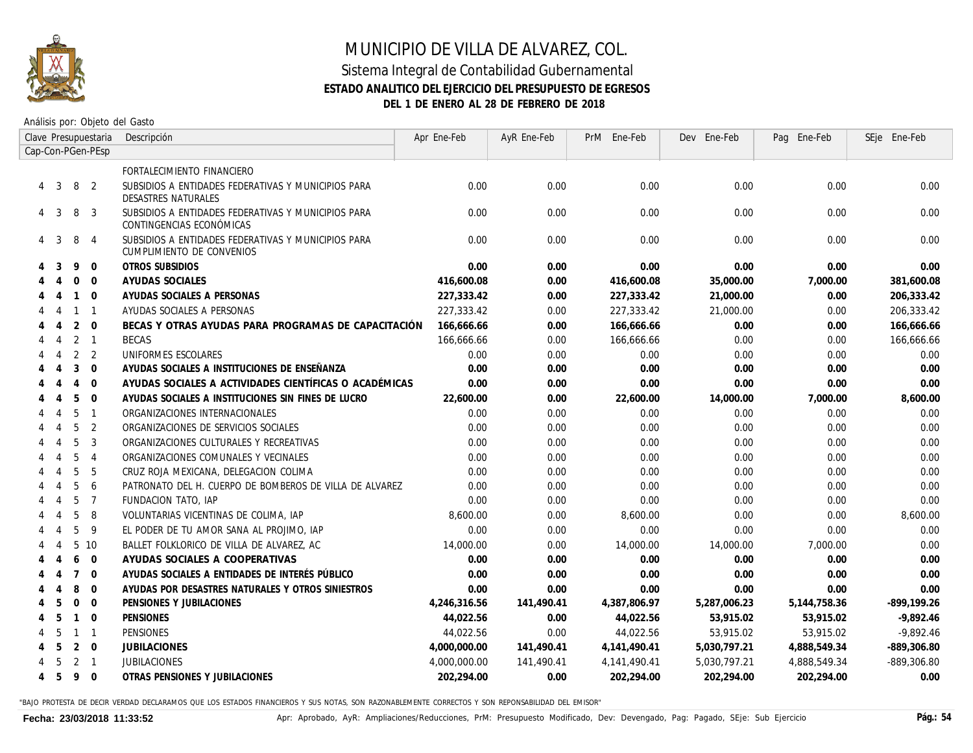

### Sistema Integral de Contabilidad Gubernamental **ESTADO ANALITICO DEL EJERCICIO DEL PRESUPUESTO DE EGRESOS DEL 1 DE ENERO AL 28 DE FEBRERO DE 2018**

Análisis por: Objeto del Gasto

| Clave Presupuestaria        |                                | Descripción                                                                      | Apr Ene-Feb  | AyR Ene-Feb | PrM Ene-Feb  | Dev Ene-Feb  | Pag Ene-Feb  | SEje Ene-Feb  |
|-----------------------------|--------------------------------|----------------------------------------------------------------------------------|--------------|-------------|--------------|--------------|--------------|---------------|
| Cap-Con-PGen-PEsp           |                                |                                                                                  |              |             |              |              |              |               |
|                             |                                | FORTALECIMIENTO FINANCIERO                                                       |              |             |              |              |              |               |
| 3<br>4                      | $\overline{2}$<br>8            | SUBSIDIOS A ENTIDADES FEDERATIVAS Y MUNICIPIOS PARA<br>DESASTRES NATURALES       | 0.00         | 0.00        | 0.00         | 0.00         | 0.00         | 0.00          |
| 3<br>4                      | 8<br>3                         | SUBSIDIOS A ENTIDADES FEDERATIVAS Y MUNICIPIOS PARA<br>CONTINGENCIAS ECONÓMICAS  | 0.00         | 0.00        | 0.00         | 0.00         | 0.00         | 0.00          |
| 3<br>4                      | 8<br>$\overline{4}$            | SUBSIDIOS A ENTIDADES FEDERATIVAS Y MUNICIPIOS PARA<br>CUMPLIMIENTO DE CONVENIOS | 0.00         | 0.00        | 0.00         | 0.00         | 0.00         | 0.00          |
| 3                           | 9<br>$\mathbf 0$               | OTROS SUBSIDIOS                                                                  | 0.00         | 0.00        | 0.00         | 0.00         | 0.00         | 0.00          |
|                             | $\Omega$<br>$\Omega$           | <b>AYUDAS SOCIALES</b>                                                           | 416,600.08   | 0.00        | 416,600.08   | 35,000.00    | 7,000.00     | 381,600.08    |
| $\boldsymbol{\vartriangle}$ | $\mathbf{1}$<br>$\Omega$       | AYUDAS SOCIALES A PERSONAS                                                       | 227,333.42   | 0.00        | 227,333.42   | 21,000.00    | 0.00         | 206,333.42    |
| $\boldsymbol{\vartriangle}$ | $\mathbf{1}$<br>$\overline{1}$ | AYUDAS SOCIALES A PERSONAS                                                       | 227,333.42   | 0.00        | 227,333.42   | 21,000.00    | 0.00         | 206, 333.42   |
|                             | 2<br>$\mathbf 0$               | BECAS Y OTRAS AYUDAS PARA PROGRAMAS DE CAPACITACIÓN                              | 166,666.66   | 0.00        | 166,666.66   | 0.00         | 0.00         | 166,666.66    |
| $\boldsymbol{\varDelta}$    | 2<br>$\overline{1}$            | BECAS                                                                            | 166,666.66   | 0.00        | 166,666.66   | 0.00         | 0.00         | 166,666.66    |
| $\boldsymbol{\vartriangle}$ | 2<br>2                         | UNIFORMES ESCOLARES                                                              | 0.00         | 0.00        | 0.00         | 0.00         | 0.00         | 0.00          |
| 4                           | 3<br>$\mathbf{0}$              | AYUDAS SOCIALES A INSTITUCIONES DE ENSEÑANZA                                     | 0.00         | 0.00        | 0.00         | 0.00         | 0.00         | 0.00          |
|                             | $\mathbf{0}$<br>$\overline{4}$ | AYUDAS SOCIALES A ACTIVIDADES CIENTÍFICAS O ACADÉMICAS                           | 0.00         | 0.00        | 0.00         | 0.00         | 0.00         | 0.00          |
|                             | 5<br>$\mathbf{0}$              | AYUDAS SOCIALES A INSTITUCIONES SIN FINES DE LUCRO                               | 22,600.00    | 0.00        | 22,600.00    | 14,000.00    | 7,000.00     | 8,600.00      |
| $\overline{A}$              | 5<br>$\overline{1}$            | ORGANIZACIONES INTERNACIONALES                                                   | 0.00         | 0.00        | 0.00         | 0.00         | 0.00         | 0.00          |
| $\boldsymbol{\varDelta}$    | 5<br>2                         | ORGANIZACIONES DE SERVICIOS SOCIALES                                             | 0.00         | 0.00        | 0.00         | 0.00         | 0.00         | 0.00          |
| $\boldsymbol{\varLambda}$   | 5<br>3                         | ORGANIZACIONES CULTURALES Y RECREATIVAS                                          | 0.00         | 0.00        | 0.00         | 0.00         | 0.00         | 0.00          |
| Δ                           | 5<br>$\overline{4}$            | ORGANIZACIONES COMUNALES Y VECINALES                                             | 0.00         | 0.00        | 0.00         | 0.00         | 0.00         | 0.00          |
| $\boldsymbol{\varLambda}$   | 5<br>5                         | CRUZ ROJA MEXICANA, DELEGACION COLIMA                                            | 0.00         | 0.00        | 0.00         | 0.00         | 0.00         | 0.00          |
| $\overline{A}$              | 5<br>6                         | PATRONATO DEL H. CUERPO DE BOMBEROS DE VILLA DE ALVAREZ                          | 0.00         | 0.00        | 0.00         | 0.00         | 0.00         | 0.00          |
| $\overline{4}$              | 5<br>$\overline{7}$            | FUNDACION TATO, IAP                                                              | 0.00         | 0.00        | 0.00         | 0.00         | 0.00         | 0.00          |
| $\overline{A}$              | 5<br>8                         | VOLUNTARIAS VICENTINAS DE COLIMA, IAP                                            | 8,600.00     | 0.00        | 8,600.00     | 0.00         | 0.00         | 8,600.00      |
| 4                           | 5<br>9                         | EL PODER DE TU AMOR SANA AL PROJIMO, IAP                                         | 0.00         | 0.00        | 0.00         | 0.00         | 0.00         | 0.00          |
| 4<br>4                      | 5<br>10                        | BALLET FOLKLORICO DE VILLA DE ALVAREZ, AC                                        | 14,000.00    | 0.00        | 14,000.00    | 14,000.00    | 7,000.00     | 0.00          |
| 4                           | $\overline{0}$<br>6            | AYUDAS SOCIALES A COOPERATIVAS                                                   | 0.00         | 0.00        | 0.00         | 0.00         | 0.00         | 0.00          |
| 4                           | $\overline{7}$<br>$\Omega$     | AYUDAS SOCIALES A ENTIDADES DE INTERÉS PÚBLICO                                   | 0.00         | 0.00        | 0.00         | 0.00         | 0.00         | 0.00          |
| Δ                           | 8<br>$\Omega$                  | AYUDAS POR DESASTRES NATURALES Y OTROS SINIESTROS                                | 0.00         | 0.00        | 0.00         | 0.00         | 0.00         | 0.00          |
| 5                           | $\mathbf{0}$<br>$\mathbf 0$    | PENSIONES Y JUBILACIONES                                                         | 4,246,316.56 | 141,490.41  | 4,387,806.97 | 5,287,006.23 | 5,144,758.36 | $-899,199.26$ |
| 5                           | $\Omega$<br>$\mathbf{1}$       | <b>PENSIONES</b>                                                                 | 44,022.56    | 0.00        | 44,022.56    | 53,915.02    | 53,915.02    | $-9,892.46$   |
| .5                          | $\overline{1}$<br>$\mathbf{1}$ | <b>PENSIONES</b>                                                                 | 44,022.56    | 0.00        | 44,022.56    | 53,915.02    | 53,915.02    | $-9,892.46$   |
| 5                           | 2<br>$\Omega$                  | <b>JUBILACIONES</b>                                                              | 4,000,000.00 | 141,490.41  | 4,141,490.41 | 5,030,797.21 | 4,888,549.34 | $-889,306.80$ |
| 5                           | 2<br>$\overline{1}$            | <b>JUBILACIONES</b>                                                              | 4,000,000.00 | 141,490.41  | 4,141,490.41 | 5,030,797.21 | 4,888,549.34 | -889,306.80   |
| 5<br>4                      | 9<br>$\overline{0}$            | OTRAS PENSIONES Y JUBILACIONES                                                   | 202,294.00   | 0.00        | 202,294.00   | 202.294.00   | 202,294.00   | 0.00          |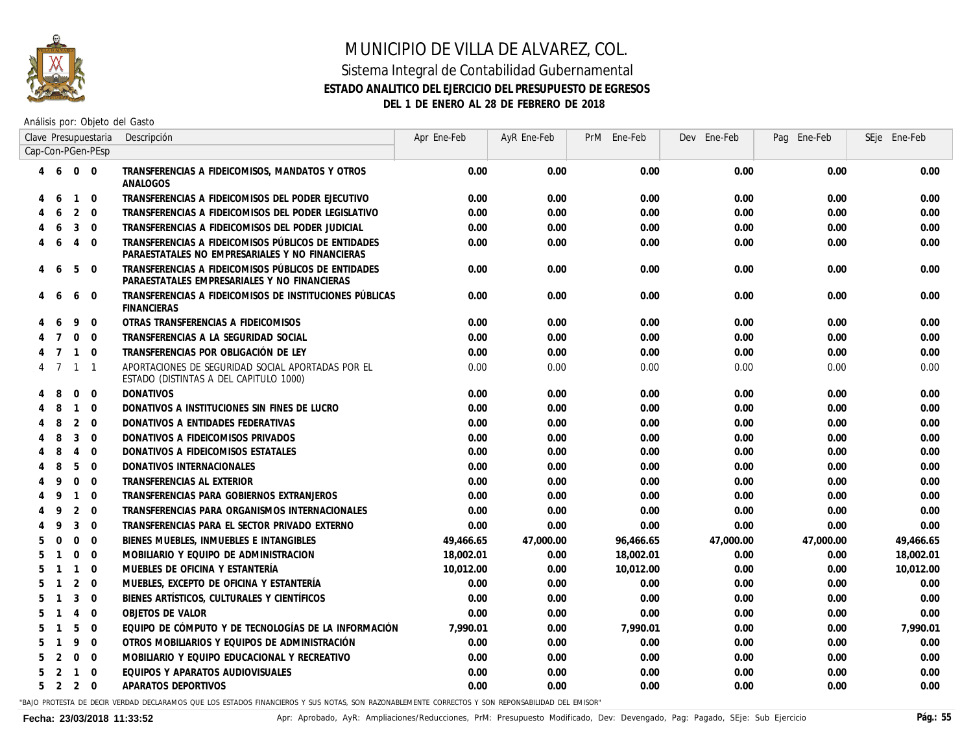

### Sistema Integral de Contabilidad Gubernamental **ESTADO ANALITICO DEL EJERCICIO DEL PRESUPUESTO DE EGRESOS DEL 1 DE ENERO AL 28 DE FEBRERO DE 2018**

Análisis por: Objeto del Gasto

|                   |                |                | Clave Presupuestaria | Descripción                                                                                            | Apr Ene-Feb | AyR Ene-Feb | PrM Ene-Feb | Dev Ene-Feb | Pag Ene-Feb | SEje Ene-Feb |
|-------------------|----------------|----------------|----------------------|--------------------------------------------------------------------------------------------------------|-------------|-------------|-------------|-------------|-------------|--------------|
| Cap-Con-PGen-PEsp |                |                |                      |                                                                                                        |             |             |             |             |             |              |
| 4                 | 6              | $\overline{0}$ | $\overline{0}$       | TRANSFERENCIAS A FIDEICOMISOS, MANDATOS Y OTROS<br>ANALOGOS                                            | 0.00        | 0.00        | 0.00        | 0.00        | 0.00        | 0.00         |
|                   | 6              | $\mathbf{1}$   | $\overline{0}$       | TRANSFERENCIAS A FIDEICOMISOS DEL PODER EJECUTIVO                                                      | 0.00        | 0.00        | 0.00        | 0.00        | 0.00        | 0.00         |
|                   | 6              | 2              | $\overline{0}$       | TRANSFERENCIAS A FIDEICOMISOS DEL PODER LEGISLATIVO                                                    | 0.00        | 0.00        | 0.00        | 0.00        | 0.00        | 0.00         |
|                   | 6              | 3              | $\Omega$             | TRANSFERENCIAS A FIDEICOMISOS DEL PODER JUDICIAL                                                       | 0.00        | 0.00        | 0.00        | 0.00        | 0.00        | 0.00         |
| 4                 | 6              | $\overline{4}$ | $\Omega$             | TRANSFERENCIAS A FIDEICOMISOS PÚBLICOS DE ENTIDADES<br>PARAESTATALES NO EMPRESARIALES Y NO FINANCIERAS | 0.00        | 0.00        | 0.00        | 0.00        | 0.00        | 0.00         |
| 4                 | 6              | 5              | $\mathbf 0$          | TRANSFERENCIAS A FIDEICOMISOS PÚBLICOS DE ENTIDADES<br>PARAESTATALES EMPRESARIALES Y NO FINANCIERAS    | 0.00        | 0.00        | 0.00        | 0.00        | 0.00        | 0.00         |
|                   | 6              | 6              | $\mathbf 0$          | TRANSFERENCIAS A FIDEICOMISOS DE INSTITUCIONES PÚBLICAS<br><b>FINANCIERAS</b>                          | 0.00        | 0.00        | 0.00        | 0.00        | 0.00        | 0.00         |
|                   | 6              | 9              | $\overline{0}$       | OTRAS TRANSFERENCIAS A FIDEICOMISOS                                                                    | 0.00        | 0.00        | 0.00        | 0.00        | 0.00        | 0.00         |
|                   |                | $\Omega$       | $\Omega$             | TRANSFERENCIAS A LA SEGURIDAD SOCIAL                                                                   | 0.00        | 0.00        | 0.00        | 0.00        | 0.00        | 0.00         |
|                   |                | $\mathbf{1}$   | $\Omega$             | TRANSFERENCIAS POR OBLIGACIÓN DE LEY                                                                   | 0.00        | 0.00        | 0.00        | 0.00        | 0.00        | 0.00         |
|                   | $\overline{7}$ | $\mathbf{1}$   | $\overline{1}$       | APORTACIONES DE SEGURIDAD SOCIAL APORTADAS POR EL<br>ESTADO (DISTINTAS A DEL CAPITULO 1000)            | 0.00        | 0.00        | 0.00        | 0.00        | 0.00        | 0.00         |
|                   | 8              | $\mathbf 0$    | $\mathbf 0$          | <b>DONATIVOS</b>                                                                                       | 0.00        | 0.00        | 0.00        | 0.00        | 0.00        | 0.00         |
|                   | 8              | $\mathbf{1}$   | $\Omega$             | DONATIVOS A INSTITUCIONES SIN FINES DE LUCRO                                                           | 0.00        | 0.00        | 0.00        | 0.00        | 0.00        | 0.00         |
|                   | 8              | $\overline{2}$ | $\overline{0}$       | DONATIVOS A ENTIDADES FEDERATIVAS                                                                      | 0.00        | 0.00        | 0.00        | 0.00        | 0.00        | 0.00         |
|                   | 8              | $\mathbf{3}$   | $\Omega$             | DONATIVOS A FIDEICOMISOS PRIVADOS                                                                      | 0.00        | 0.00        | 0.00        | 0.00        | 0.00        | 0.00         |
|                   | 8              | $\overline{4}$ | $\overline{0}$       | DONATIVOS A FIDEICOMISOS ESTATALES                                                                     | 0.00        | 0.00        | 0.00        | 0.00        | 0.00        | 0.00         |
|                   | 8              | 5              | $\Omega$             | DONATIVOS INTERNACIONALES                                                                              | 0.00        | 0.00        | 0.00        | 0.00        | 0.00        | 0.00         |
|                   | q              | $\mathbf 0$    | $\Omega$             | TRANSFERENCIAS AL EXTERIOR                                                                             | 0.00        | 0.00        | 0.00        | 0.00        | 0.00        | 0.00         |
|                   | 9              | $\mathbf{1}$   | $\overline{0}$       | TRANSFERENCIAS PARA GOBIERNOS EXTRANJEROS                                                              | 0.00        | 0.00        | 0.00        | 0.00        | 0.00        | 0.00         |
|                   | 9              | 2              | $\Omega$             | TRANSFERENCIAS PARA ORGANISMOS INTERNACIONALES                                                         | 0.00        | 0.00        | 0.00        | 0.00        | 0.00        | 0.00         |
|                   | 9              | 3              | $\overline{0}$       | TRANSFERENCIAS PARA EL SECTOR PRIVADO EXTERNO                                                          | 0.00        | 0.00        | 0.00        | 0.00        | 0.00        | 0.00         |
| 5                 | $\overline{0}$ | $\mathbf{0}$   | $\mathbf{0}$         | BIENES MUEBLES, INMUEBLES E INTANGIBLES                                                                | 49,466.65   | 47,000.00   | 96,466.65   | 47,000.00   | 47,000.00   | 49,466.65    |
| 5                 |                | $\mathbf 0$    | $\overline{0}$       | MOBILIARIO Y EQUIPO DE ADMINISTRACION                                                                  | 18,002.01   | 0.00        | 18,002.01   | 0.00        | 0.00        | 18,002.01    |
| 5                 |                | $\mathbf{1}$   | $\Omega$             | MUEBLES DE OFICINA Y ESTANTERÍA                                                                        | 10,012.00   | 0.00        | 10,012.00   | 0.00        | 0.00        | 10,012.00    |
| 5                 |                | 2              | $\mathbf 0$          | MUEBLES, EXCEPTO DE OFICINA Y ESTANTERÍA                                                               | 0.00        | 0.00        | 0.00        | 0.00        | 0.00        | 0.00         |
| 5                 |                | $\overline{3}$ | $\overline{0}$       | BIENES ARTÍSTICOS, CULTURALES Y CIENTÍFICOS                                                            | 0.00        | 0.00        | 0.00        | 0.00        | 0.00        | 0.00         |
| 5                 |                | $\overline{4}$ | $\mathbf 0$          | OBJETOS DE VALOR                                                                                       | 0.00        | 0.00        | 0.00        | 0.00        | 0.00        | 0.00         |
|                   |                | 5              | $\mathbf 0$          | EQUIPO DE CÓMPUTO Y DE TECNOLOGÍAS DE LA INFORMACIÓN                                                   | 7.990.01    | 0.00        | 7,990.01    | 0.00        | 0.00        | 7,990.01     |
|                   |                | 9              | $\mathbf 0$          | OTROS MOBILIARIOS Y EQUIPOS DE ADMINISTRACIÓN                                                          | 0.00        | 0.00        | 0.00        | 0.00        | 0.00        | 0.00         |
| 5                 | 2              | $\mathbf 0$    | $\mathbf 0$          | MOBILIARIO Y EQUIPO EDUCACIONAL Y RECREATIVO                                                           | 0.00        | 0.00        | 0.00        | 0.00        | 0.00        | 0.00         |
| 5                 |                | $\mathbf{1}$   | $\Omega$             | EQUIPOS Y APARATOS AUDIOVISUALES                                                                       | 0.00        | 0.00        | 0.00        | 0.00        | 0.00        | 0.00         |
| 5                 | 2              | 2 0            |                      | APARATOS DEPORTIVOS                                                                                    | 0.00        | 0.00        | 0.00        | 0.00        | 0.00        | 0.00         |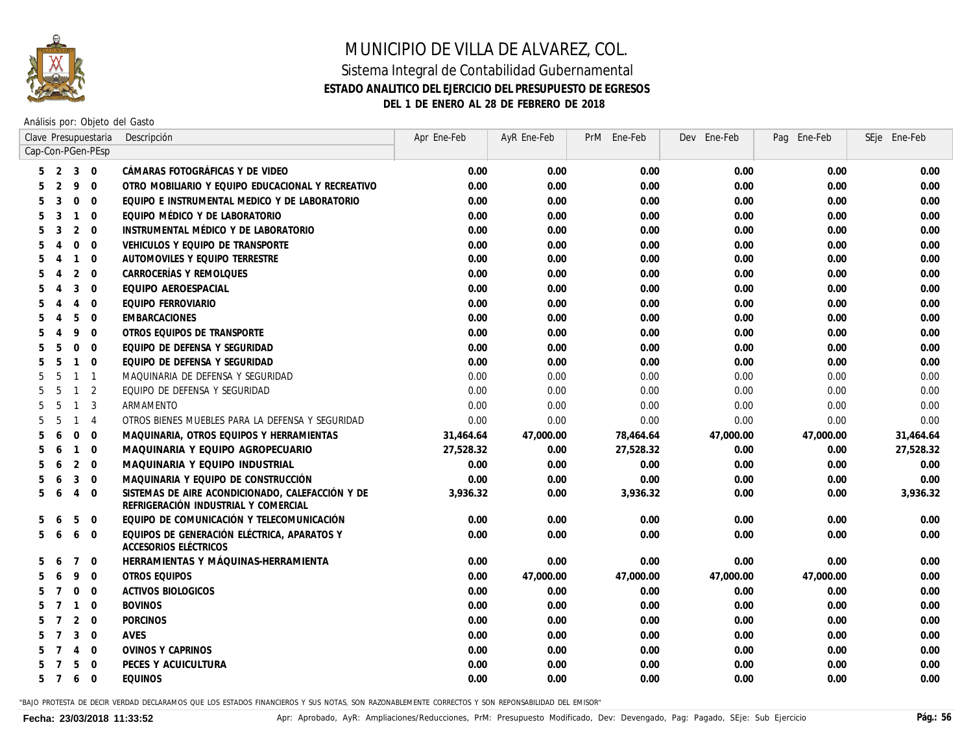

### Sistema Integral de Contabilidad Gubernamental **ESTADO ANALITICO DEL EJERCICIO DEL PRESUPUESTO DE EGRESOS DEL 1 DE ENERO AL 28 DE FEBRERO DE 2018**

Análisis por: Objeto del Gasto

|   |                |                | Clave Presupuestaria    | Descripción                                                                              | Apr Ene-Feb | AyR Ene-Feb | PrM Ene-Feb | Dev Ene-Feb | Pag Ene-Feb | SEje Ene-Feb |
|---|----------------|----------------|-------------------------|------------------------------------------------------------------------------------------|-------------|-------------|-------------|-------------|-------------|--------------|
|   |                |                | Cap-Con-PGen-PEsp       |                                                                                          |             |             |             |             |             |              |
|   | 2              |                | $3 \quad 0$             | CÁMARAS FOTOGRÁFICAS Y DE VIDEO                                                          | 0.00        | 0.00        | 0.00        | 0.00        | 0.00        | 0.00         |
|   | 2              | 9              | $\overline{0}$          | OTRO MOBILIARIO Y EQUIPO EDUCACIONAL Y RECREATIVO                                        | 0.00        | 0.00        | 0.00        | 0.00        | 0.00        | 0.00         |
| 5 | 3              | $\mathbf 0$    | $\overline{0}$          | EQUIPO E INSTRUMENTAL MEDICO Y DE LABORATORIO                                            | 0.00        | 0.00        | 0.00        | 0.00        | 0.00        | 0.00         |
| 5 | 3              | $\mathbf{1}$   | $\overline{0}$          | EQUIPO MÉDICO Y DE LABORATORIO                                                           | 0.00        | 0.00        | 0.00        | 0.00        | 0.00        | 0.00         |
| 5 | 3              | 2              | $\overline{0}$          | INSTRUMENTAL MÉDICO Y DE LABORATORIO                                                     | 0.00        | 0.00        | 0.00        | 0.00        | 0.00        | 0.00         |
| 5 |                | $\mathbf{0}$   | $\overline{0}$          | VEHICULOS Y EQUIPO DE TRANSPORTE                                                         | 0.00        | 0.00        | 0.00        | 0.00        | 0.00        | 0.00         |
| 5 |                | $\mathbf{1}$   | $\overline{0}$          | AUTOMOVILES Y EQUIPO TERRESTRE                                                           | 0.00        | 0.00        | 0.00        | 0.00        | 0.00        | 0.00         |
| 5 |                | 2              | $\overline{0}$          | CARROCERÍAS Y REMOLQUES                                                                  | 0.00        | 0.00        | 0.00        | 0.00        | 0.00        | 0.00         |
| 5 |                | 3              | $\overline{0}$          | EQUIPO AEROESPACIAL                                                                      | 0.00        | 0.00        | 0.00        | 0.00        | 0.00        | 0.00         |
|   |                | $\overline{4}$ | $\overline{0}$          | EQUIPO FERROVIARIO                                                                       | 0.00        | 0.00        | 0.00        | 0.00        | 0.00        | 0.00         |
|   |                | 5              | $\overline{0}$          | <b>EMBARCACIONES</b>                                                                     | 0.00        | 0.00        | 0.00        | 0.00        | 0.00        | 0.00         |
| 5 |                | 9              | $\Omega$                | OTROS EQUIPOS DE TRANSPORTE                                                              | 0.00        | 0.00        | 0.00        | 0.00        | 0.00        | 0.00         |
| 5 | .5             | $\Omega$       | $\overline{0}$          | EQUIPO DE DEFENSA Y SEGURIDAD                                                            | 0.00        | 0.00        | 0.00        | 0.00        | 0.00        | 0.00         |
| 5 | -5             | $\mathbf{1}$   | $\overline{0}$          | EQUIPO DE DEFENSA Y SEGURIDAD                                                            | 0.00        | 0.00        | 0.00        | 0.00        | 0.00        | 0.00         |
| 5 | 5              | $\overline{1}$ | $\overline{1}$          | MAQUINARIA DE DEFENSA Y SEGURIDAD                                                        | 0.00        | 0.00        | 0.00        | 0.00        | 0.00        | 0.00         |
| 5 | 5              | $\mathbf{1}$   | 2                       | EQUIPO DE DEFENSA Y SEGURIDAD                                                            | 0.00        | 0.00        | 0.00        | 0.00        | 0.00        | 0.00         |
| 5 | .5             | $\overline{1}$ | $\overline{3}$          | ARMAMENTO                                                                                | 0.00        | 0.00        | 0.00        | 0.00        | 0.00        | 0.00         |
| 5 | .5             | $\mathbf{1}$   | $\overline{4}$          | OTROS BIENES MUEBLES PARA LA DEFENSA Y SEGURIDAD                                         | 0.00        | 0.00        | 0.00        | 0.00        | 0.00        | 0.00         |
| 5 | 6              | $\Omega$       | $\Omega$                | MAQUINARIA, OTROS EQUIPOS Y HERRAMIENTAS                                                 | 31,464.64   | 47,000.00   | 78,464.64   | 47,000.00   | 47,000.00   | 31,464.64    |
| 5 | 6              | $\mathbf{1}$   | $\overline{0}$          | MAQUINARIA Y EQUIPO AGROPECUARIO                                                         | 27,528.32   | 0.00        | 27,528.32   | 0.00        | 0.00        | 27,528.32    |
| 5 | 6              | 2              | $\overline{0}$          | MAQUINARIA Y EQUIPO INDUSTRIAL                                                           | 0.00        | 0.00        | 0.00        | 0.00        | 0.00        | 0.00         |
| 5 | 6              | 3              | $\overline{0}$          | MAQUINARIA Y EQUIPO DE CONSTRUCCIÓN                                                      | 0.00        | 0.00        | 0.00        | 0.00        | 0.00        | 0.00         |
| 5 | -6             | $\overline{4}$ | $\overline{0}$          | SISTEMAS DE AIRE ACONDICIONADO, CALEFACCIÓN Y DE<br>REFRIGERACIÓN INDUSTRIAL Y COMERCIAL | 3,936.32    | 0.00        | 3,936.32    | 0.00        | 0.00        | 3,936.32     |
| 5 |                | 5              | $\overline{0}$          | EQUIPO DE COMUNICACIÓN Y TELECOMUNICACIÓN                                                | 0.00        | 0.00        | 0.00        | 0.00        | 0.00        | 0.00         |
| 5 | -6             | 6              | $\overline{0}$          | EQUIPOS DE GENERACIÓN ELÉCTRICA, APARATOS Y<br>ACCESORIOS ELÉCTRICOS                     | 0.00        | 0.00        | 0.00        | 0.00        | 0.00        | 0.00         |
| 5 | 6              | $\overline{7}$ | $\overline{0}$          | HERRAMIENTAS Y MÁQUINAS-HERRAMIENTA                                                      | 0.00        | 0.00        | 0.00        | 0.00        | 0.00        | 0.00         |
| 5 | 6              | 9              | $\overline{0}$          | OTROS EQUIPOS                                                                            | 0.00        | 47,000.00   | 47,000.00   | 47,000.00   | 47,000.00   | 0.00         |
| 5 |                | $\mathbf 0$    | $\overline{0}$          | <b>ACTIVOS BIOLOGICOS</b>                                                                | 0.00        | 0.00        | 0.00        | 0.00        | 0.00        | 0.00         |
| 5 |                | $\mathbf{1}$   | $\overline{0}$          | <b>BOVINOS</b>                                                                           | 0.00        | 0.00        | 0.00        | 0.00        | 0.00        | 0.00         |
| 5 |                | 2              | $\overline{0}$          | <b>PORCINOS</b>                                                                          | 0.00        | 0.00        | 0.00        | 0.00        | 0.00        | 0.00         |
|   |                | 3              | $\overline{0}$          | AVES                                                                                     | 0.00        | 0.00        | 0.00        | 0.00        | 0.00        | 0.00         |
|   |                | $\overline{4}$ | $\overline{0}$          | <b>OVINOS Y CAPRINOS</b>                                                                 | 0.00        | 0.00        | 0.00        | 0.00        | 0.00        | 0.00         |
|   |                | 5              | $\overline{0}$          | PECES Y ACUICULTURA                                                                      | 0.00        | 0.00        | 0.00        | 0.00        | 0.00        | 0.00         |
| 5 | $\overline{7}$ | 6              | $\overline{\mathbf{0}}$ | <b>EQUINOS</b>                                                                           | 0.00        | 0.00        | 0.00        | 0.00        | 0.00        | 0.00         |
|   |                |                |                         |                                                                                          |             |             |             |             |             |              |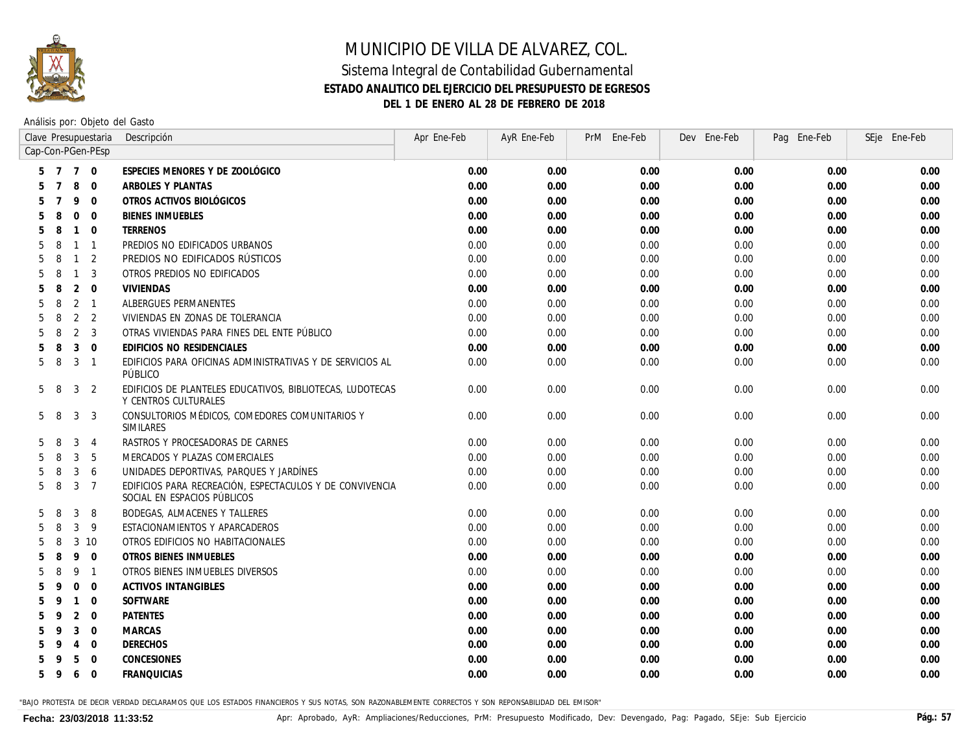

### Sistema Integral de Contabilidad Gubernamental **ESTADO ANALITICO DEL EJERCICIO DEL PRESUPUESTO DE EGRESOS DEL 1 DE ENERO AL 28 DE FEBRERO DE 2018**

Análisis por: Objeto del Gasto

|   |    |                | Clave Presupuestaria | Descripción                                                                             | Apr Ene-Feb | AyR Ene-Feb | PrM Ene-Feb | Dev Ene-Feb | Pag Ene-Feb | SEje Ene-Feb |
|---|----|----------------|----------------------|-----------------------------------------------------------------------------------------|-------------|-------------|-------------|-------------|-------------|--------------|
|   |    |                | Cap-Con-PGen-PEsp    |                                                                                         |             |             |             |             |             |              |
|   |    | 5 7 7 0        |                      | ESPECIES MENORES Y DE ZOOLÓGICO                                                         | 0.00        | 0.00        | 0.00        | 0.00        | 0.00        | 0.00         |
|   |    | 8              | $\overline{0}$       | ARBOLES Y PLANTAS                                                                       | 0.00        | 0.00        | 0.00        | 0.00        | 0.00        | 0.00         |
|   |    | 9              | $\Omega$             | OTROS ACTIVOS BIOLÓGICOS                                                                | 0.00        | 0.00        | 0.00        | 0.00        | 0.00        | 0.00         |
|   |    | $\mathbf 0$    | $\overline{0}$       | <b>BIENES INMUEBLES</b>                                                                 | 0.00        | 0.00        | 0.00        | 0.00        | 0.00        | 0.00         |
|   |    |                | $1 \quad 0$          | <b>TERRENOS</b>                                                                         | 0.00        | 0.00        | 0.00        | 0.00        | 0.00        | 0.00         |
|   |    |                | $1 \quad 1$          | PREDIOS NO EDIFICADOS URBANOS                                                           | 0.00        | 0.00        | 0.00        | 0.00        | 0.00        | 0.00         |
|   |    |                | $1\quad 2$           | PREDIOS NO EDIFICADOS RÚSTICOS                                                          | 0.00        | 0.00        | 0.00        | 0.00        | 0.00        | 0.00         |
|   |    |                | $1 \quad 3$          | OTROS PREDIOS NO EDIFICADOS                                                             | 0.00        | 0.00        | 0.00        | 0.00        | 0.00        | 0.00         |
|   |    | $\overline{2}$ | $\overline{0}$       | <b>VIVIENDAS</b>                                                                        | 0.00        | 0.00        | 0.00        | 0.00        | 0.00        | 0.00         |
|   | 8  |                | $2 \quad 1$          | ALBERGUES PERMANENTES                                                                   | 0.00        | 0.00        | 0.00        | 0.00        | 0.00        | 0.00         |
|   | 8  | $\overline{2}$ | $\overline{2}$       | VIVIENDAS EN ZONAS DE TOLERANCIA                                                        | 0.00        | 0.00        | 0.00        | 0.00        | 0.00        | 0.00         |
|   | 8  | $\overline{2}$ | $\overline{3}$       | OTRAS VIVIENDAS PARA FINES DEL ENTE PÚBLICO                                             | 0.00        | 0.00        | 0.00        | 0.00        | 0.00        | 0.00         |
|   | 8  | 3              | $\overline{0}$       | EDIFICIOS NO RESIDENCIALES                                                              | 0.00        | 0.00        | 0.00        | 0.00        | 0.00        | 0.00         |
| 5 | 8  | 3              | $\overline{1}$       | EDIFICIOS PARA OFICINAS ADMINISTRATIVAS Y DE SERVICIOS AL<br>PÚBLICO                    | 0.00        | 0.00        | 0.00        | 0.00        | 0.00        | 0.00         |
| 5 | -8 | 3              | $\overline{2}$       | EDIFICIOS DE PLANTELES EDUCATIVOS, BIBLIOTECAS, LUDOTECAS<br>Y CENTROS CULTURALES       | 0.00        | 0.00        | 0.00        | 0.00        | 0.00        | 0.00         |
| 5 | -8 | 3              | 3                    | CONSULTORIOS MÉDICOS, COMEDORES COMUNITARIOS Y<br>SIMILARES                             | 0.00        | 0.00        | 0.00        | 0.00        | 0.00        | 0.00         |
| 5 |    | 3              | $\overline{4}$       | RASTROS Y PROCESADORAS DE CARNES                                                        | 0.00        | 0.00        | 0.00        | 0.00        | 0.00        | 0.00         |
|   | 8  | 3              | 5                    | MERCADOS Y PLAZAS COMERCIALES                                                           | 0.00        | 0.00        | 0.00        | 0.00        | 0.00        | 0.00         |
|   | 8  | 3              | 6                    | UNIDADES DEPORTIVAS, PARQUES Y JARDÍNES                                                 | 0.00        | 0.00        | 0.00        | 0.00        | 0.00        | 0.00         |
| 5 | -8 | 3              | $\overline{7}$       | EDIFICIOS PARA RECREACIÓN, ESPECTACULOS Y DE CONVIVENCIA<br>SOCIAL EN ESPACIOS PÚBLICOS | 0.00        | 0.00        | 0.00        | 0.00        | 0.00        | 0.00         |
| 5 | 8  | 3              | 8                    | <b>BODEGAS, ALMACENES Y TALLERES</b>                                                    | 0.00        | 0.00        | 0.00        | 0.00        | 0.00        | 0.00         |
|   | 8  | 3              | - 9                  | ESTACIONAMIENTOS Y APARCADEROS                                                          | 0.00        | 0.00        | 0.00        | 0.00        | 0.00        | 0.00         |
|   | 8  |                | $3 \t10$             | OTROS EDIFICIOS NO HABITACIONALES                                                       | 0.00        | 0.00        | 0.00        | 0.00        | 0.00        | 0.00         |
|   | 8  | 9              | $\overline{0}$       | <b>OTROS BIENES INMUEBLES</b>                                                           | 0.00        | 0.00        | 0.00        | 0.00        | 0.00        | 0.00         |
|   | 8  | 9              | $\overline{1}$       | OTROS BIENES INMUEBLES DIVERSOS                                                         | 0.00        | 0.00        | 0.00        | 0.00        | 0.00        | 0.00         |
|   | q  | $\mathbf 0$    | $\overline{0}$       | <b>ACTIVOS INTANGIBLES</b>                                                              | 0.00        | 0.00        | 0.00        | 0.00        | 0.00        | 0.00         |
|   | q  | $\overline{1}$ | $\overline{0}$       | <b>SOFTWARE</b>                                                                         | 0.00        | 0.00        | 0.00        | 0.00        | 0.00        | 0.00         |
|   | 9  | 2              | $\overline{0}$       | <b>PATENTES</b>                                                                         | 0.00        | 0.00        | 0.00        | 0.00        | 0.00        | 0.00         |
|   |    | 3              | $\overline{0}$       | <b>MARCAS</b>                                                                           | 0.00        | 0.00        | 0.00        | 0.00        | 0.00        | 0.00         |
|   |    | 4              | $\mathbf 0$          | <b>DERECHOS</b>                                                                         | 0.00        | 0.00        | 0.00        | 0.00        | 0.00        | 0.00         |
|   |    | 5              | $\mathbf 0$          | CONCESIONES                                                                             | 0.00        | 0.00        | 0.00        | 0.00        | 0.00        | 0.00         |
| 5 | 9  | 6              | $\overline{0}$       | <b>FRANQUICIAS</b>                                                                      | 0.00        | 0.00        | 0.00        | 0.00        | 0.00        | 0.00         |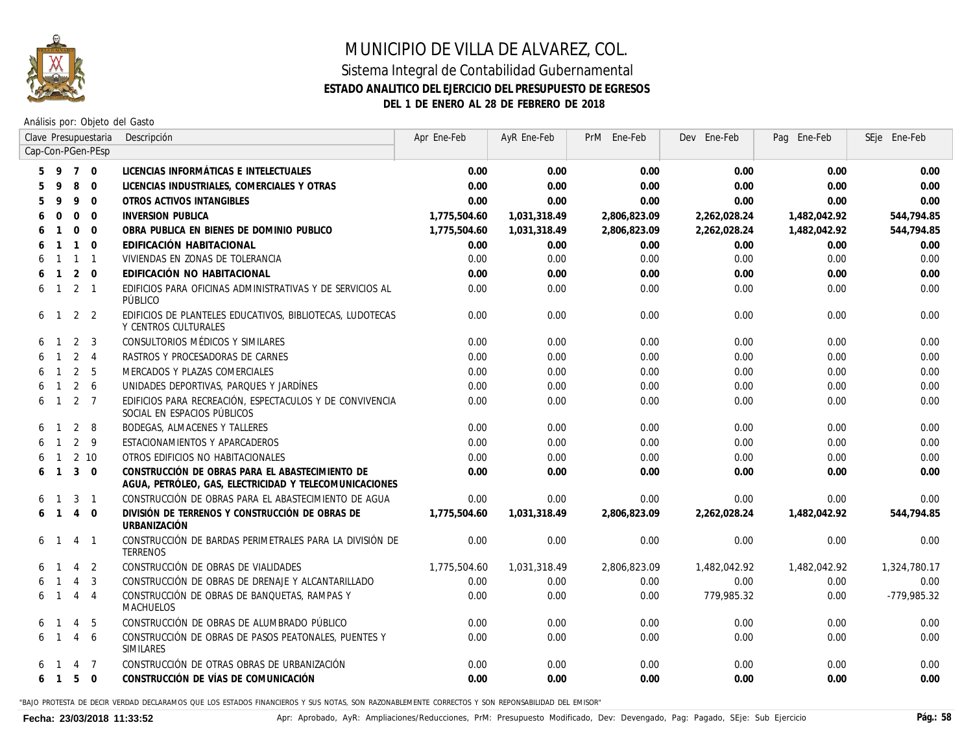

### Sistema Integral de Contabilidad Gubernamental **ESTADO ANALITICO DEL EJERCICIO DEL PRESUPUESTO DE EGRESOS DEL 1 DE ENERO AL 28 DE FEBRERO DE 2018**

Análisis por: Objeto del Gasto

|   |                |                   | Clave Presupuestaria | Descripción                                                                                               | Apr Ene-Feb  | AyR Ene-Feb  | PrM Ene-Feb  | Dev Ene-Feb  | Pag Ene-Feb  | SEje Ene-Feb |
|---|----------------|-------------------|----------------------|-----------------------------------------------------------------------------------------------------------|--------------|--------------|--------------|--------------|--------------|--------------|
|   |                |                   | Cap-Con-PGen-PEsp    |                                                                                                           |              |              |              |              |              |              |
|   | 9              | 7 0               |                      | LICENCIAS INFORMÁTICAS E INTELECTUALES                                                                    | 0.00         | 0.00         | 0.00         | 0.00         | 0.00         | 0.00         |
|   |                | 8                 | $\Omega$             | LICENCIAS INDUSTRIALES, COMERCIALES Y OTRAS                                                               | 0.00         | 0.00         | 0.00         | 0.00         | 0.00         | 0.00         |
|   | 9              | 9                 | $\Omega$             | OTROS ACTIVOS INTANGIBLES                                                                                 | 0.00         | 0.00         | 0.00         | 0.00         | 0.00         | 0.00         |
|   | $\Omega$       | $\mathbf 0$       | $\overline{0}$       | <b>INVERSION PUBLICA</b>                                                                                  | 1,775,504.60 | 1,031,318.49 | 2,806,823.09 | 2,262,028.24 | 1,482,042.92 | 544,794.85   |
|   |                | $\Omega$          | $\Omega$             | OBRA PUBLICA EN BIENES DE DOMINIO PUBLICO                                                                 | 1,775,504.60 | 1,031,318.49 | 2,806,823.09 | 2,262,028.24 | 1,482,042.92 | 544,794.85   |
|   |                | $\mathbf{1}$      | $\Omega$             | EDIFICACIÓN HABITACIONAL                                                                                  | 0.00         | 0.00         | 0.00         | 0.00         | 0.00         | 0.00         |
|   |                | $\mathbf{1}$      | $\overline{1}$       | VIVIENDAS EN ZONAS DE TOLERANCIA                                                                          | 0.00         | 0.00         | 0.00         | 0.00         | 0.00         | 0.00         |
|   |                | 2                 | $\Omega$             | EDIFICACIÓN NO HABITACIONAL                                                                               | 0.00         | 0.00         | 0.00         | 0.00         | 0.00         | 0.00         |
| 6 | $\overline{1}$ | $\overline{2}$    | $\overline{1}$       | EDIFICIOS PARA OFICINAS ADMINISTRATIVAS Y DE SERVICIOS AL<br>PÚBLICO                                      | 0.00         | 0.00         | 0.00         | 0.00         | 0.00         | 0.00         |
| 6 |                | $1\quad 2\quad 2$ |                      | EDIFICIOS DE PLANTELES EDUCATIVOS, BIBLIOTECAS, LUDOTECAS<br>Y CENTROS CULTURALES                         | 0.00         | 0.00         | 0.00         | 0.00         | 0.00         | 0.00         |
|   |                | 2                 | 3                    | CONSULTORIOS MÉDICOS Y SIMILARES                                                                          | 0.00         | 0.00         | 0.00         | 0.00         | 0.00         | 0.00         |
|   |                | $\overline{2}$    | $\overline{4}$       | RASTROS Y PROCESADORAS DE CARNES                                                                          | 0.00         | 0.00         | 0.00         | 0.00         | 0.00         | 0.00         |
|   | $\overline{1}$ | 2                 | 5                    | MERCADOS Y PLAZAS COMERCIALES                                                                             | 0.00         | 0.00         | 0.00         | 0.00         | 0.00         | 0.00         |
|   | $\mathbf{1}$   | 2                 | 6                    | UNIDADES DEPORTIVAS, PARQUES Y JARDÍNES                                                                   | 0.00         | 0.00         | 0.00         | 0.00         | 0.00         | 0.00         |
| 6 | $\overline{1}$ |                   | $2 \overline{7}$     | EDIFICIOS PARA RECREACIÓN. ESPECTACULOS Y DE CONVIVENCIA<br>SOCIAL EN ESPACIOS PÚBLICOS                   | 0.00         | 0.00         | 0.00         | 0.00         | 0.00         | 0.00         |
|   |                | 2                 | 8                    | <b>BODEGAS, ALMACENES Y TALLERES</b>                                                                      | 0.00         | 0.00         | 0.00         | 0.00         | 0.00         | 0.00         |
|   |                | $\overline{2}$    | - 9                  | ESTACIONAMIENTOS Y APARCADEROS                                                                            | 0.00         | 0.00         | 0.00         | 0.00         | 0.00         | 0.00         |
|   | $\mathbf{1}$   |                   | 2 10                 | OTROS EDIFICIOS NO HABITACIONALES                                                                         | 0.00         | 0.00         | 0.00         | 0.00         | 0.00         | 0.00         |
| 6 | $\mathbf{1}$   | 3                 | $\overline{0}$       | CONSTRUCCIÓN DE OBRAS PARA EL ABASTECIMIENTO DE<br>AGUA, PETRÓLEO, GAS, ELECTRICIDAD Y TELECOMUNICACIONES | 0.00         | 0.00         | 0.00         | 0.00         | 0.00         | 0.00         |
|   |                | 3                 | $\overline{1}$       | CONSTRUCCIÓN DE OBRAS PARA EL ABASTECIMIENTO DE AGUA                                                      | 0.00         | 0.00         | 0.00         | 0.00         | 0.00         | 0.00         |
|   |                | $\overline{4}$    | $\Omega$             | DIVISIÓN DE TERRENOS Y CONSTRUCCIÓN DE OBRAS DE<br><b>URBANIZACIÓN</b>                                    | 1,775,504.60 | 1,031,318.49 | 2,806,823.09 | 2,262,028.24 | 1,482,042.92 | 544,794.85   |
| 6 |                | $\overline{4}$    | $\overline{1}$       | CONSTRUCCIÓN DE BARDAS PERIMETRALES PARA LA DIVISIÓN DE<br>TERRENOS                                       | 0.00         | 0.00         | 0.00         | 0.00         | 0.00         | 0.00         |
|   |                | $\overline{4}$    | $\overline{2}$       | CONSTRUCCIÓN DE OBRAS DE VIALIDADES                                                                       | 1,775,504.60 | 1,031,318.49 | 2,806,823.09 | 1,482,042.92 | 1,482,042.92 | 1,324,780.17 |
|   |                | 4                 | 3                    | CONSTRUCCIÓN DE OBRAS DE DRENAJE Y ALCANTARILLADO                                                         | 0.00         | 0.00         | 0.00         | 0.00         | 0.00         | 0.00         |
|   |                | $\overline{4}$    | $\overline{4}$       | CONSTRUCCIÓN DE OBRAS DE BANQUETAS, RAMPAS Y<br>MACHUELOS                                                 | 0.00         | 0.00         | 0.00         | 779,985.32   | 0.00         | -779,985.32  |
|   |                | $\overline{4}$    | 5                    | CONSTRUCCIÓN DE OBRAS DE ALUMBRADO PÚBLICO                                                                | 0.00         | 0.00         | 0.00         | 0.00         | 0.00         | 0.00         |
| 6 | $\mathbf{1}$   | $\overline{4}$    | 6                    | CONSTRUCCIÓN DE OBRAS DE PASOS PEATONALES, PUENTES Y<br>SIMILARES                                         | 0.00         | 0.00         | 0.00         | 0.00         | 0.00         | 0.00         |
|   |                | $\overline{4}$    | $\overline{7}$       | CONSTRUCCIÓN DE OTRAS OBRAS DE URBANIZACIÓN                                                               | 0.00         | 0.00         | 0.00         | 0.00         | 0.00         | 0.00         |
| 6 | $\overline{1}$ | 5                 | $\Omega$             | CONSTRUCCIÓN DE VÍAS DE COMUNICACIÓN                                                                      | 0.00         | 0.00         | 0.00         | 0.00         | 0.00         | 0.00         |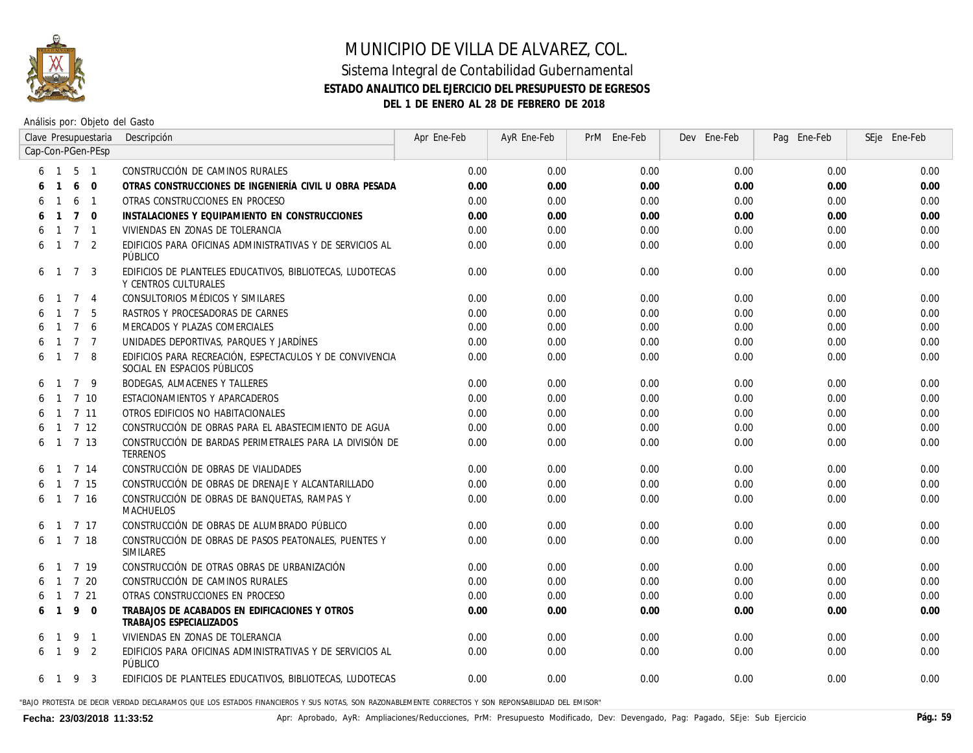

### Sistema Integral de Contabilidad Gubernamental **ESTADO ANALITICO DEL EJERCICIO DEL PRESUPUESTO DE EGRESOS DEL 1 DE ENERO AL 28 DE FEBRERO DE 2018**

Análisis por: Objeto del Gasto

|   |                   |                 | Clave Presupuestaria | Descripción                                                                             | Apr Ene-Feb | AyR Ene-Feb | PrM Ene-Feb | Dev Ene-Feb | Pag Ene-Feb | SEje Ene-Feb |
|---|-------------------|-----------------|----------------------|-----------------------------------------------------------------------------------------|-------------|-------------|-------------|-------------|-------------|--------------|
|   | Cap-Con-PGen-PEsp |                 |                      |                                                                                         |             |             |             |             |             |              |
|   |                   |                 | $1\quad 5\quad 1$    | CONSTRUCCIÓN DE CAMINOS RURALES                                                         | 0.00        | 0.00        | 0.00        | 0.00        | 0.00        | 0.00         |
|   |                   | 6               | $\overline{0}$       | OTRAS CONSTRUCCIONES DE INGENIERÍA CIVIL U OBRA PESADA                                  | 0.00        | 0.00        | 0.00        | 0.00        | 0.00        | 0.00         |
|   |                   | 6               | $\overline{1}$       | OTRAS CONSTRUCCIONES EN PROCESO                                                         | 0.00        | 0.00        | 0.00        | 0.00        | 0.00        | 0.00         |
|   |                   | $\overline{7}$  | $\overline{0}$       | INSTALACIONES Y EQUIPAMIENTO EN CONSTRUCCIONES                                          | 0.00        | 0.00        | 0.00        | 0.00        | 0.00        | 0.00         |
|   |                   | $\overline{7}$  | $\overline{1}$       | VIVIENDAS EN ZONAS DE TOLERANCIA                                                        | 0.00        | 0.00        | 0.00        | 0.00        | 0.00        | 0.00         |
|   | $\overline{1}$    | $\overline{7}$  | 2                    | EDIFICIOS PARA OFICINAS ADMINISTRATIVAS Y DE SERVICIOS AL<br>PÚBLICO                    | 0.00        | 0.00        | 0.00        | 0.00        | 0.00        | 0.00         |
| 6 | $\overline{1}$    | $\overline{7}$  | -3                   | EDIFICIOS DE PLANTELES EDUCATIVOS, BIBLIOTECAS, LUDOTECAS<br>Y CENTROS CULTURALES       | 0.00        | 0.00        | 0.00        | 0.00        | 0.00        | 0.00         |
|   |                   | $7\overline{ }$ | $\overline{4}$       | CONSULTORIOS MÉDICOS Y SIMILARES                                                        | 0.00        | 0.00        | 0.00        | 0.00        | 0.00        | 0.00         |
|   |                   | $\overline{7}$  | -5                   | RASTROS Y PROCESADORAS DE CARNES                                                        | 0.00        | 0.00        | 0.00        | 0.00        | 0.00        | 0.00         |
|   |                   | $\overline{7}$  | -6                   | MERCADOS Y PLAZAS COMERCIALES                                                           | 0.00        | 0.00        | 0.00        | 0.00        | 0.00        | 0.00         |
|   | $\overline{1}$    | $\overline{7}$  | $\overline{7}$       | UNIDADES DEPORTIVAS, PARQUES Y JARDÍNES                                                 | 0.00        | 0.00        | 0.00        | 0.00        | 0.00        | 0.00         |
|   | $\overline{1}$    | $\overline{7}$  | -8                   | EDIFICIOS PARA RECREACIÓN. ESPECTACULOS Y DE CONVIVENCIA<br>SOCIAL EN ESPACIOS PÚBLICOS | 0.00        | 0.00        | 0.00        | 0.00        | 0.00        | 0.00         |
|   | -1                | $\overline{7}$  | - 9                  | BODEGAS, ALMACENES Y TALLERES                                                           | 0.00        | 0.00        | 0.00        | 0.00        | 0.00        | 0.00         |
|   | -1                |                 | 7 10                 | ESTACIONAMIENTOS Y APARCADEROS                                                          | 0.00        | 0.00        | 0.00        | 0.00        | 0.00        | 0.00         |
|   |                   |                 | $1 \t7 \t11$         | OTROS EDIFICIOS NO HABITACIONALES                                                       | 0.00        | 0.00        | 0.00        | 0.00        | 0.00        | 0.00         |
|   |                   |                 | $1 \quad 7 \quad 12$ | CONSTRUCCIÓN DE OBRAS PARA EL ABASTECIMIENTO DE AGUA                                    | 0.00        | 0.00        | 0.00        | 0.00        | 0.00        | 0.00         |
| 6 |                   |                 | $1 \t7 \t13$         | CONSTRUCCIÓN DE BARDAS PERIMETRALES PARA LA DIVISIÓN DE<br>TERRENOS                     | 0.00        | 0.00        | 0.00        | 0.00        | 0.00        | 0.00         |
|   | $\overline{1}$    |                 | 7 14                 | CONSTRUCCIÓN DE OBRAS DE VIALIDADES                                                     | 0.00        | 0.00        | 0.00        | 0.00        | 0.00        | 0.00         |
|   | $\overline{1}$    |                 | 7 15                 | CONSTRUCCIÓN DE OBRAS DE DRENAJE Y ALCANTARILLADO                                       | 0.00        | 0.00        | 0.00        | 0.00        | 0.00        | 0.00         |
|   |                   |                 | 1 7 16               | CONSTRUCCIÓN DE OBRAS DE BANQUETAS, RAMPAS Y<br><b>MACHUELOS</b>                        | 0.00        | 0.00        | 0.00        | 0.00        | 0.00        | 0.00         |
| 6 |                   |                 | $1 \t7 \t17$         | CONSTRUCCIÓN DE OBRAS DE ALUMBRADO PÚBLICO                                              | 0.00        | 0.00        | 0.00        | 0.00        | 0.00        | 0.00         |
| 6 | $\overline{1}$    |                 | 7 18                 | CONSTRUCCIÓN DE OBRAS DE PASOS PEATONALES, PUENTES Y<br>SIMILARES                       | 0.00        | 0.00        | 0.00        | 0.00        | 0.00        | 0.00         |
|   |                   |                 | 7 19                 | CONSTRUCCIÓN DE OTRAS OBRAS DE URBANIZACIÓN                                             | 0.00        | 0.00        | 0.00        | 0.00        | 0.00        | 0.00         |
|   | $\overline{1}$    |                 | 7 20                 | CONSTRUCCIÓN DE CAMINOS RURALES                                                         | 0.00        | 0.00        | 0.00        | 0.00        | 0.00        | 0.00         |
|   | $\overline{1}$    |                 | 7 21                 | OTRAS CONSTRUCCIONES EN PROCESO                                                         | 0.00        | 0.00        | 0.00        | 0.00        | 0.00        | 0.00         |
| 6 | $\overline{1}$    | 9               | $\overline{0}$       | TRABAJOS DE ACABADOS EN EDIFICACIONES Y OTROS<br>TRABAJOS ESPECIALIZADOS                | 0.00        | 0.00        | 0.00        | 0.00        | 0.00        | 0.00         |
|   |                   | 9               | $\overline{1}$       | VIVIENDAS EN ZONAS DE TOLERANCIA                                                        | 0.00        | 0.00        | 0.00        | 0.00        | 0.00        | 0.00         |
| 6 | $\overline{1}$    | 9               | $\overline{2}$       | EDIFICIOS PARA OFICINAS ADMINISTRATIVAS Y DE SERVICIOS AL<br>PÜBLICO                    | 0.00        | 0.00        | 0.00        | 0.00        | 0.00        | 0.00         |
| 6 | $\overline{1}$    |                 | 9 3                  | EDIFICIOS DE PLANTELES EDUCATIVOS, BIBLIOTECAS, LUDOTECAS                               | 0.00        | 0.00        | 0.00        | 0.00        | 0.00        | 0.00         |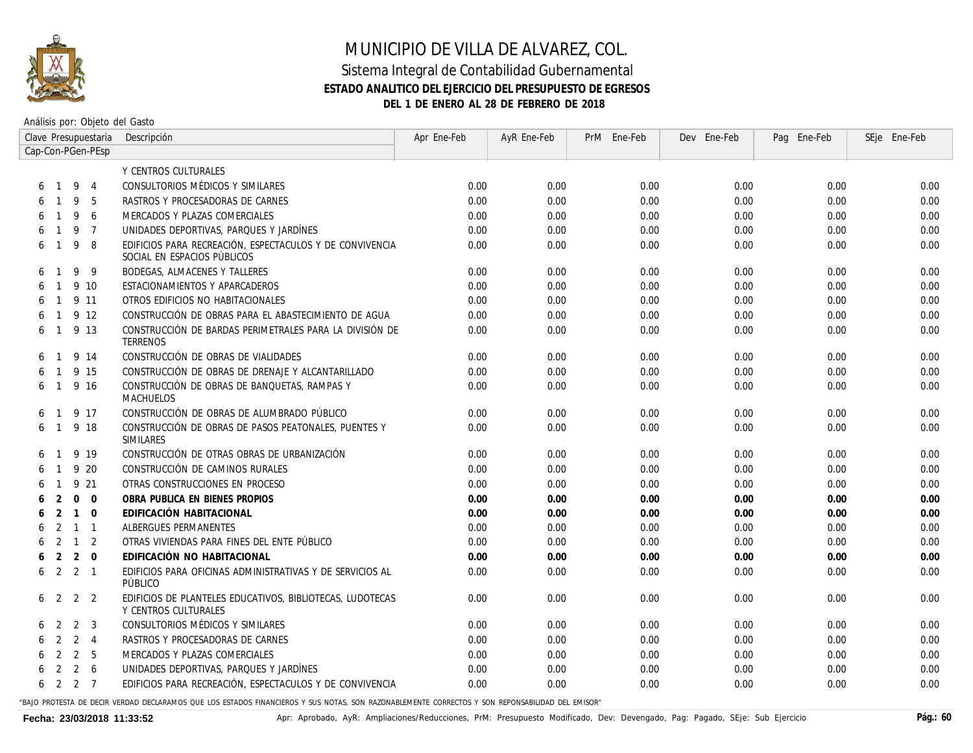

### Sistema Integral de Contabilidad Gubernamental **ESTADO ANALITICO DEL EJERCICIO DEL PRESUPUESTO DE EGRESOS DEL 1 DE ENERO AL 28 DE FEBRERO DE 2018**

Análisis por: Objeto del Gasto

|   |                |                | Clave Presupuestaria | Descripción                                                                             | Apr Ene-Feb | AyR Ene-Feb | PrM Ene-Feb | Dev Ene-Feb | Pag Ene-Feb | SEje Ene-Feb |  |
|---|----------------|----------------|----------------------|-----------------------------------------------------------------------------------------|-------------|-------------|-------------|-------------|-------------|--------------|--|
|   |                |                | Cap-Con-PGen-PEsp    |                                                                                         |             |             |             |             |             |              |  |
|   |                |                |                      | Y CENTROS CULTURALES                                                                    |             |             |             |             |             |              |  |
|   | $\mathbf{1}$   | 9              | $\overline{4}$       | CONSULTORIOS MÉDICOS Y SIMILARES                                                        | 0.00        | 0.00        | 0.00        | 0.00        | 0.00        | 0.00         |  |
|   |                | 9              | -5                   | RASTROS Y PROCESADORAS DE CARNES                                                        | 0.00        | 0.00        | 0.00        | 0.00        | 0.00        | 0.00         |  |
|   |                | 9              | 6                    | MERCADOS Y PLAZAS COMERCIALES                                                           | 0.00        | 0.00        | 0.00        | 0.00        | 0.00        | 0.00         |  |
|   |                | 9              | $\overline{7}$       | UNIDADES DEPORTIVAS, PARQUES Y JARDÍNES                                                 | 0.00        | 0.00        | 0.00        | 0.00        | 0.00        | 0.00         |  |
| 6 | $\overline{1}$ | 9              | -8                   | EDIFICIOS PARA RECREACIÓN, ESPECTACULOS Y DE CONVIVENCIA<br>SOCIAL EN ESPACIOS PÚBLICOS | 0.00        | 0.00        | 0.00        | 0.00        | 0.00        | 0.00         |  |
| 6 |                | 9              | - 9                  | <b>BODEGAS, ALMACENES Y TALLERES</b>                                                    | 0.00        | 0.00        | 0.00        | 0.00        | 0.00        | 0.00         |  |
|   | $\overline{1}$ |                | 9 10                 | ESTACIONAMIENTOS Y APARCADEROS                                                          | 0.00        | 0.00        | 0.00        | 0.00        | 0.00        | 0.00         |  |
| 6 | $\overline{1}$ |                | 9 11                 | OTROS EDIFICIOS NO HABITACIONALES                                                       | 0.00        | 0.00        | 0.00        | 0.00        | 0.00        | 0.00         |  |
|   | $\overline{1}$ |                | 9 12                 | CONSTRUCCIÓN DE OBRAS PARA EL ABASTECIMIENTO DE AGUA                                    | 0.00        | 0.00        | 0.00        | 0.00        | 0.00        | 0.00         |  |
| 6 | $\overline{1}$ |                | 9 13                 | CONSTRUCCIÓN DE BARDAS PERIMETRALES PARA LA DIVISIÓN DE<br>TERRENOS                     | 0.00        | 0.00        | 0.00        | 0.00        | 0.00        | 0.00         |  |
| 6 | $\overline{1}$ |                | 9 14                 | CONSTRUCCIÓN DE OBRAS DE VIALIDADES                                                     | 0.00        | 0.00        | 0.00        | 0.00        | 0.00        | 0.00         |  |
|   | $\mathbf{1}$   |                | 9 15                 | CONSTRUCCIÓN DE OBRAS DE DRENAJE Y ALCANTARILLADO                                       | 0.00        | 0.00        | 0.00        | 0.00        | 0.00        | 0.00         |  |
| 6 | $\mathbf{1}$   |                | 9 16                 | CONSTRUCCIÓN DE OBRAS DE BANQUETAS, RAMPAS Y<br>MACHUELOS                               | 0.00        | 0.00        | 0.00        | 0.00        | 0.00        | 0.00         |  |
| 6 | $\overline{1}$ |                | 9 17                 | CONSTRUCCIÓN DE OBRAS DE ALUMBRADO PÚBLICO                                              | 0.00        | 0.00        | 0.00        | 0.00        | 0.00        | 0.00         |  |
|   | $\overline{1}$ |                | 9 18                 | CONSTRUCCIÓN DE OBRAS DE PASOS PEATONALES, PUENTES Y<br>SIMILARES                       | 0.00        | 0.00        | 0.00        | 0.00        | 0.00        | 0.00         |  |
| 6 | -1             |                | 9 19                 | CONSTRUCCIÓN DE OTRAS OBRAS DE URBANIZACIÓN                                             | 0.00        | 0.00        | 0.00        | 0.00        | 0.00        | 0.00         |  |
|   | $\overline{1}$ |                | 9 20                 | CONSTRUCCIÓN DE CAMINOS RURALES                                                         | 0.00        | 0.00        | 0.00        | 0.00        | 0.00        | 0.00         |  |
| 6 | $\mathbf{1}$   |                | 9 21                 | OTRAS CONSTRUCCIONES EN PROCESO                                                         | 0.00        | 0.00        | 0.00        | 0.00        | 0.00        | 0.00         |  |
| 6 | 2              |                | $0\quad 0$           | OBRA PUBLICA EN BIENES PROPIOS                                                          | 0.00        | 0.00        | 0.00        | 0.00        | 0.00        | 0.00         |  |
| 6 | 2              |                | $1 \quad 0$          | EDIFICACIÓN HABITACIONAL                                                                | 0.00        | 0.00        | 0.00        | 0.00        | 0.00        | 0.00         |  |
|   | 2              |                | $1 \quad 1$          | ALBERGUES PERMANENTES                                                                   | 0.00        | 0.00        | 0.00        | 0.00        | 0.00        | 0.00         |  |
|   | 2              |                | $1\quad 2$           | OTRAS VIVIENDAS PARA FINES DEL ENTE PÚBLICO                                             | 0.00        | 0.00        | 0.00        | 0.00        | 0.00        | 0.00         |  |
|   | 2              | 2              | $\overline{0}$       | EDIFICACIÓN NO HABITACIONAL                                                             | 0.00        | 0.00        | 0.00        | 0.00        | 0.00        | 0.00         |  |
| 6 | 2              |                | 2 <sub>1</sub>       | EDIFICIOS PARA OFICINAS ADMINISTRATIVAS Y DE SERVICIOS AL<br>PÜBLICO                    | 0.00        | 0.00        | 0.00        | 0.00        | 0.00        | 0.00         |  |
| 6 | -2             |                | 2 <sub>2</sub>       | EDIFICIOS DE PLANTELES EDUCATIVOS, BIBLIOTECAS, LUDOTECAS<br>Y CENTROS CULTURALES       | 0.00        | 0.00        | 0.00        | 0.00        | 0.00        | 0.00         |  |
|   |                |                | 2 <sup>3</sup>       | CONSULTORIOS MÉDICOS Y SIMILARES                                                        | 0.00        | 0.00        | 0.00        | 0.00        | 0.00        | 0.00         |  |
|   |                |                | 2 <sub>1</sub>       | RASTROS Y PROCESADORAS DE CARNES                                                        | 0.00        | 0.00        | 0.00        | 0.00        | 0.00        | 0.00         |  |
|   | $\mathcal{P}$  | $\overline{2}$ | 5                    | MERCADOS Y PLAZAS COMERCIALES                                                           | 0.00        | 0.00        | 0.00        | 0.00        | 0.00        | 0.00         |  |
|   |                | 2              | 6                    | UNIDADES DEPORTIVAS. PARQUES Y JARDÍNES                                                 | 0.00        | 0.00        | 0.00        | 0.00        | 0.00        | 0.00         |  |
|   | 2              |                | 2 7                  | EDIFICIOS PARA RECREACIÓN. ESPECTACULOS Y DE CONVIVENCIA                                | 0.00        | 0.00        | 0.00        | 0.00        | 0.00        | 0.00         |  |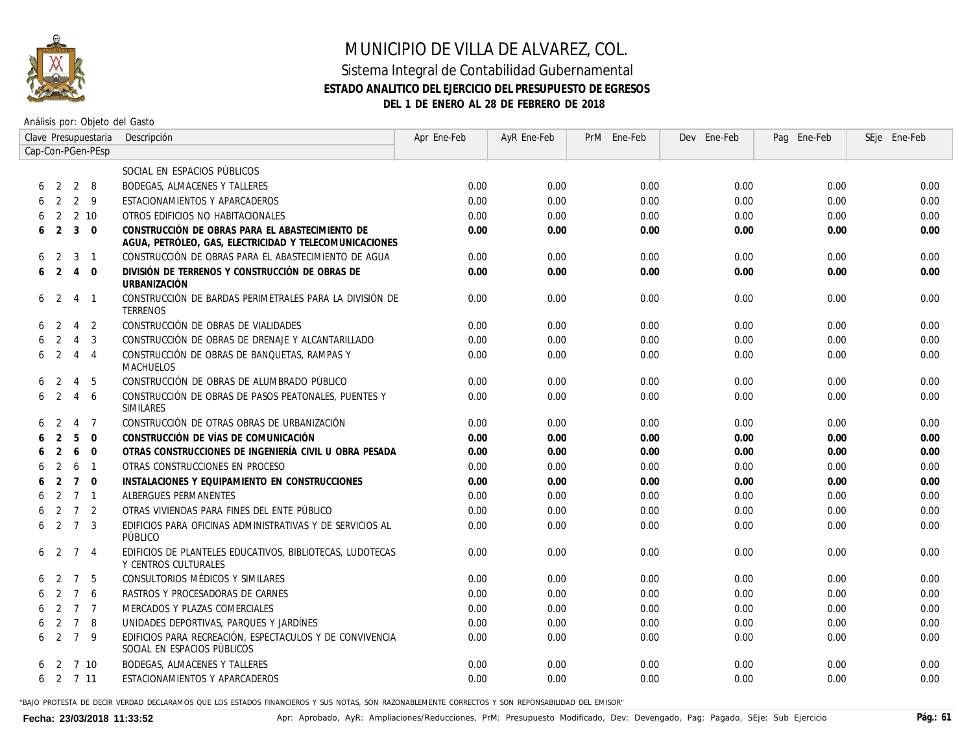

### Sistema Integral de Contabilidad Gubernamental **ESTADO ANALITICO DEL EJERCICIO DEL PRESUPUESTO DE EGRESOS DEL 1 DE ENERO AL 28 DE FEBRERO DE 2018**

Análisis por: Objeto del Gasto

|   | Clave Presupuestaria |                |                   | Descripción                                                                                               | Apr Ene-Feb | AyR Ene-Feb | PrM Ene-Feb | Dev Ene-Feb | Pag Ene-Feb | SEje Ene-Feb |
|---|----------------------|----------------|-------------------|-----------------------------------------------------------------------------------------------------------|-------------|-------------|-------------|-------------|-------------|--------------|
|   |                      |                | Cap-Con-PGen-PEsp |                                                                                                           |             |             |             |             |             |              |
|   |                      |                |                   | SOCIAL EN ESPACIOS PÚBLICOS                                                                               |             |             |             |             |             |              |
|   | 2                    | 2              | - 8               | <b>BODEGAS, ALMACENES Y TALLERES</b>                                                                      | 0.00        | 0.00        | 0.00        | 0.00        | 0.00        | 0.00         |
|   | $\mathcal{P}$        |                | 2 <sup>9</sup>    | ESTACIONAMIENTOS Y APARCADEROS                                                                            | 0.00        | 0.00        | 0.00        | 0.00        | 0.00        | 0.00         |
|   | $\mathcal{P}$        |                | 2 10              | OTROS EDIFICIOS NO HABITACIONALES                                                                         | 0.00        | 0.00        | 0.00        | 0.00        | 0.00        | 0.00         |
| 6 | 2                    |                | $3 \quad 0$       | CONSTRUCCIÓN DE OBRAS PARA EL ABASTECIMIENTO DE<br>AGUA, PETRÓLEO, GAS, ELECTRICIDAD Y TELECOMUNICACIONES | 0.00        | 0.00        | 0.00        | 0.00        | 0.00        | 0.00         |
| 6 | 2                    | 3              | $\overline{1}$    | CONSTRUCCIÓN DE OBRAS PARA EL ABASTECIMIENTO DE AGUA                                                      | 0.00        | 0.00        | 0.00        | 0.00        | 0.00        | 0.00         |
|   | 6 <sub>2</sub>       | $\overline{4}$ | $\overline{0}$    | DIVISIÓN DE TERRENOS Y CONSTRUCCIÓN DE OBRAS DE<br>URBANIZACIÓN                                           | 0.00        | 0.00        | 0.00        | 0.00        | 0.00        | 0.00         |
| 6 | $\overline{2}$       | $\overline{4}$ | $\overline{1}$    | CONSTRUCCIÓN DE BARDAS PERIMETRALES PARA LA DIVISIÓN DE<br>TERRENOS                                       | 0.00        | 0.00        | 0.00        | 0.00        | 0.00        | 0.00         |
| 6 | 2                    | $\overline{4}$ | -2                | CONSTRUCCIÓN DE OBRAS DE VIALIDADES                                                                       | 0.00        | 0.00        | 0.00        | 0.00        | 0.00        | 0.00         |
| 6 | 2                    | $\overline{4}$ | 3                 | CONSTRUCCIÓN DE OBRAS DE DRENAJE Y ALCANTARILLADO                                                         | 0.00        | 0.00        | 0.00        | 0.00        | 0.00        | 0.00         |
| 6 | 2                    | $\overline{4}$ | $\overline{4}$    | CONSTRUCCIÓN DE OBRAS DE BANQUETAS, RAMPAS Y<br><b>MACHUELOS</b>                                          | 0.00        | 0.00        | 0.00        | 0.00        | 0.00        | 0.00         |
| 6 | 2                    | $\overline{4}$ | 5                 | CONSTRUCCIÓN DE OBRAS DE ALUMBRADO PÚBLICO                                                                | 0.00        | 0.00        | 0.00        | 0.00        | 0.00        | 0.00         |
| 6 | 2                    | $\overline{4}$ | 6                 | CONSTRUCCIÓN DE OBRAS DE PASOS PEATONALES, PUENTES Y<br>SIMILARES                                         | 0.00        | 0.00        | 0.00        | 0.00        | 0.00        | 0.00         |
|   | $\mathcal{P}$        | $\overline{4}$ | $\overline{7}$    | CONSTRUCCIÓN DE OTRAS OBRAS DE URBANIZACIÓN                                                               | 0.00        | 0.00        | 0.00        | 0.00        | 0.00        | 0.00         |
|   |                      | 5              | $\overline{0}$    | CONSTRUCCIÓN DE VÍAS DE COMUNICACIÓN                                                                      | 0.00        | 0.00        | 0.00        | 0.00        | 0.00        | 0.00         |
|   | 2                    | 6              | $\overline{0}$    | OTRAS CONSTRUCCIONES DE INGENIERÍA CIVIL U OBRA PESADA                                                    | 0.00        | 0.00        | 0.00        | 0.00        | 0.00        | 0.00         |
|   | 2                    | 6              | $\overline{1}$    | OTRAS CONSTRUCCIONES EN PROCESO                                                                           | 0.00        | 0.00        | 0.00        | 0.00        | 0.00        | 0.00         |
|   | 2                    |                | $7\quad$ 0        | INSTALACIONES Y EQUIPAMIENTO EN CONSTRUCCIONES                                                            | 0.00        | 0.00        | 0.00        | 0.00        | 0.00        | 0.00         |
|   | 2                    |                | 7 <sub>1</sub>    | ALBERGUES PERMANENTES                                                                                     | 0.00        | 0.00        | 0.00        | 0.00        | 0.00        | 0.00         |
|   | 2                    |                | 7 <sub>2</sub>    | OTRAS VIVIENDAS PARA FINES DEL ENTE PÚBLICO                                                               | 0.00        | 0.00        | 0.00        | 0.00        | 0.00        | 0.00         |
|   | $6\quad 2$           | $\overline{7}$ | 3                 | EDIFICIOS PARA OFICINAS ADMINISTRATIVAS Y DE SERVICIOS AL<br>PÚBLICO                                      | 0.00        | 0.00        | 0.00        | 0.00        | 0.00        | 0.00         |
|   | 6 2                  |                | 7 <sub>4</sub>    | EDIFICIOS DE PLANTELES EDUCATIVOS, BIBLIOTECAS, LUDOTECAS<br>Y CENTROS CULTURALES                         | 0.00        | 0.00        | 0.00        | 0.00        | 0.00        | 0.00         |
| 6 | $\overline{2}$       | $\overline{7}$ | -5                | CONSULTORIOS MÉDICOS Y SIMILARES                                                                          | 0.00        | 0.00        | 0.00        | 0.00        | 0.00        | 0.00         |
| 6 | 2                    | $7^{\circ}$    | - 6               | RASTROS Y PROCESADORAS DE CARNES                                                                          | 0.00        | 0.00        | 0.00        | 0.00        | 0.00        | 0.00         |
| 6 | 2                    |                | 7 <sub>7</sub>    | MERCADOS Y PLAZAS COMERCIALES                                                                             | 0.00        | 0.00        | 0.00        | 0.00        | 0.00        | 0.00         |
| 6 | $\overline{2}$       | $\overline{7}$ | - 8               | UNIDADES DEPORTIVAS, PARQUES Y JARDÍNES                                                                   | 0.00        | 0.00        | 0.00        | 0.00        | 0.00        | 0.00         |
|   | 6 <sub>2</sub>       |                | 7 <sup>9</sup>    | EDIFICIOS PARA RECREACIÓN, ESPECTACULOS Y DE CONVIVENCIA<br>SOCIAL EN ESPACIOS PÚBLICOS                   | 0.00        | 0.00        | 0.00        | 0.00        | 0.00        | 0.00         |
| 6 | 2                    |                | 7 10              | <b>BODEGAS, ALMACENES Y TALLERES</b>                                                                      | 0.00        | 0.00        | 0.00        | 0.00        | 0.00        | 0.00         |
|   |                      |                | 62711             | ESTACIONAMIENTOS Y APARCADEROS                                                                            | 0.00        | 0.00        | 0.00        | 0.00        | 0.00        | 0.00         |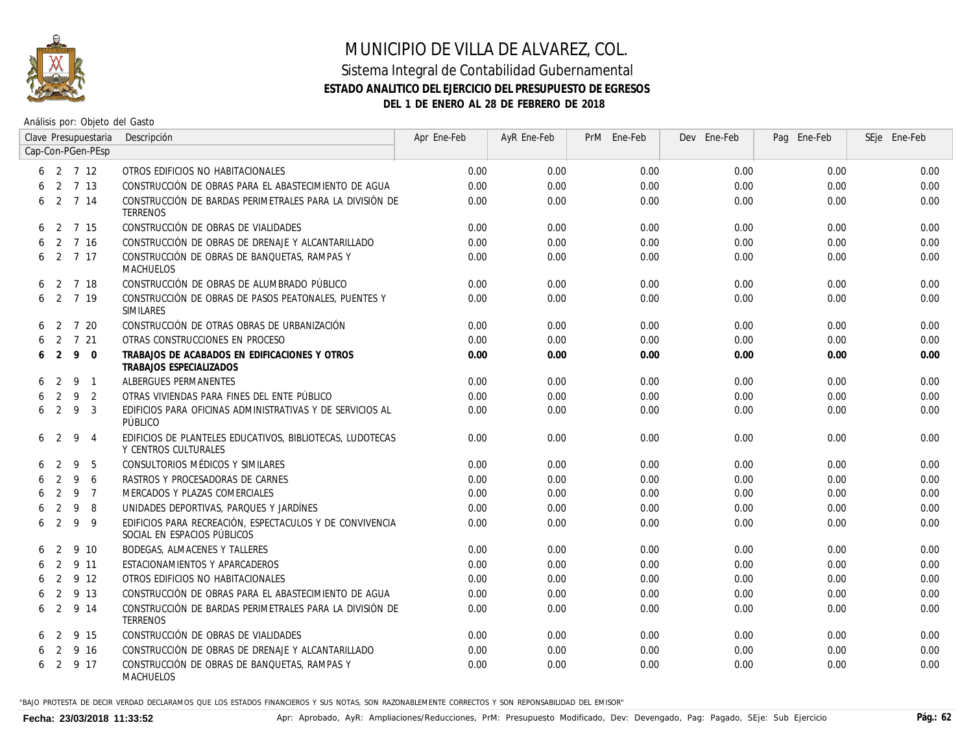

### Sistema Integral de Contabilidad Gubernamental **ESTADO ANALITICO DEL EJERCICIO DEL PRESUPUESTO DE EGRESOS DEL 1 DE ENERO AL 28 DE FEBRERO DE 2018**

Análisis por: Objeto del Gasto

|    |                   |   | Clave Presupuestaria | Descripción                                                                             | Apr Ene-Feb | AyR Ene-Feb | PrM Ene-Feb | Dev Ene-Feb | Pag Ene-Feb | SEje Ene-Feb |
|----|-------------------|---|----------------------|-----------------------------------------------------------------------------------------|-------------|-------------|-------------|-------------|-------------|--------------|
|    | Cap-Con-PGen-PEsp |   |                      |                                                                                         |             |             |             |             |             |              |
|    |                   |   | $6$ 2 7 12           | OTROS EDIFICIOS NO HABITACIONALES                                                       | 0.00        | 0.00        | 0.00        | 0.00        | 0.00        | 0.00         |
|    |                   |   | 2 7 13               | CONSTRUCCIÓN DE OBRAS PARA EL ABASTECIMIENTO DE AGUA                                    | 0.00        | 0.00        | 0.00        | 0.00        | 0.00        | 0.00         |
|    |                   |   | 6 2 7 14             | CONSTRUCCIÓN DE BARDAS PERIMETRALES PARA LA DIVISIÓN DE<br>TERRENOS                     | 0.00        | 0.00        | 0.00        | 0.00        | 0.00        | 0.00         |
| 6  | 2                 |   | 7 15                 | CONSTRUCCIÓN DE OBRAS DE VIALIDADES                                                     | 0.00        | 0.00        | 0.00        | 0.00        | 0.00        | 0.00         |
| 6. | $\overline{2}$    |   | 7 16                 | CONSTRUCCIÓN DE OBRAS DE DRENAJE Y ALCANTARILLADO                                       | 0.00        | 0.00        | 0.00        | 0.00        | 0.00        | 0.00         |
| 6  |                   |   | 2 7 17               | CONSTRUCCIÓN DE OBRAS DE BANQUETAS, RAMPAS Y<br><b>MACHUELOS</b>                        | 0.00        | 0.00        | 0.00        | 0.00        | 0.00        | 0.00         |
| 6  |                   |   | 2 7 18               | CONSTRUCCIÓN DE OBRAS DE ALUMBRADO PÚBLICO                                              | 0.00        | 0.00        | 0.00        | 0.00        | 0.00        | 0.00         |
|    |                   |   | 6 2 7 19             | CONSTRUCCIÓN DE OBRAS DE PASOS PEATONALES, PUENTES Y<br>SIMILARES                       | 0.00        | 0.00        | 0.00        | 0.00        | 0.00        | 0.00         |
| 6  | 2                 |   | 7 20                 | CONSTRUCCIÓN DE OTRAS OBRAS DE URBANIZACIÓN                                             | 0.00        | 0.00        | 0.00        | 0.00        | 0.00        | 0.00         |
|    | $\overline{2}$    |   | 7 21                 | OTRAS CONSTRUCCIONES EN PROCESO                                                         | 0.00        | 0.00        | 0.00        | 0.00        | 0.00        | 0.00         |
| 6  | $\overline{2}$    |   | 9 0                  | TRABAJOS DE ACABADOS EN EDIFICACIONES Y OTROS<br>TRABAJOS ESPECIALIZADOS                | 0.00        | 0.00        | 0.00        | 0.00        | 0.00        | 0.00         |
| 6  | 2                 | 9 | $\overline{1}$       | ALBERGUES PERMANENTES                                                                   | 0.00        | 0.00        | 0.00        | 0.00        | 0.00        | 0.00         |
| 6  | 2                 | 9 | 2                    | OTRAS VIVIENDAS PARA FINES DEL ENTE PÚBLICO                                             | 0.00        | 0.00        | 0.00        | 0.00        | 0.00        | 0.00         |
| 6  | $\overline{2}$    | 9 | 3                    | EDIFICIOS PARA OFICINAS ADMINISTRATIVAS Y DE SERVICIOS AL<br>PÚBLICO                    | 0.00        | 0.00        | 0.00        | 0.00        | 0.00        | 0.00         |
| 6  | 2                 | 9 | $\overline{4}$       | EDIFICIOS DE PLANTELES EDUCATIVOS, BIBLIOTECAS, LUDOTECAS<br>Y CENTROS CULTURALES       | 0.00        | 0.00        | 0.00        | 0.00        | 0.00        | 0.00         |
|    |                   | 9 | -5                   | CONSULTORIOS MÉDICOS Y SIMILARES                                                        | 0.00        | 0.00        | 0.00        | 0.00        | 0.00        | 0.00         |
|    |                   | 9 | 6                    | RASTROS Y PROCESADORAS DE CARNES                                                        | 0.00        | 0.00        | 0.00        | 0.00        | 0.00        | 0.00         |
|    | $\mathcal{P}$     | 9 | $\overline{7}$       | MERCADOS Y PLAZAS COMERCIALES                                                           | 0.00        | 0.00        | 0.00        | 0.00        | 0.00        | 0.00         |
|    | $\mathcal{P}$     | 9 | 8                    | UNIDADES DEPORTIVAS, PARQUES Y JARDÍNES                                                 | 0.00        | 0.00        | 0.00        | 0.00        | 0.00        | 0.00         |
|    | $\mathcal{P}$     | 9 | 9                    | EDIFICIOS PARA RECREACIÓN. ESPECTACULOS Y DE CONVIVENCIA<br>SOCIAL EN ESPACIOS PÚBLICOS | 0.00        | 0.00        | 0.00        | 0.00        | 0.00        | 0.00         |
| 6  | 2                 |   | 9 10                 | BODEGAS, ALMACENES Y TALLERES                                                           | 0.00        | 0.00        | 0.00        | 0.00        | 0.00        | 0.00         |
| 6  | 2                 |   | 9 11                 | ESTACIONAMIENTOS Y APARCADEROS                                                          | 0.00        | 0.00        | 0.00        | 0.00        | 0.00        | 0.00         |
| 6. | 2                 |   | 9 12                 | OTROS EDIFICIOS NO HABITACIONALES                                                       | 0.00        | 0.00        | 0.00        | 0.00        | 0.00        | 0.00         |
| 6  | 2                 |   | 9 13                 | CONSTRUCCIÓN DE OBRAS PARA EL ABASTECIMIENTO DE AGUA                                    | 0.00        | 0.00        | 0.00        | 0.00        | 0.00        | 0.00         |
| 6  | 2                 |   | 9 14                 | CONSTRUCCIÓN DE BARDAS PERIMETRALES PARA LA DIVISIÓN DE<br>TERRENOS                     | 0.00        | 0.00        | 0.00        | 0.00        | 0.00        | 0.00         |
| 6  | 2                 |   | 9 15                 | CONSTRUCCIÓN DE OBRAS DE VIALIDADES                                                     | 0.00        | 0.00        | 0.00        | 0.00        | 0.00        | 0.00         |
| 6  | 2                 |   | 9 16                 | CONSTRUCCIÓN DE OBRAS DE DRENAJE Y ALCANTARILLADO                                       | 0.00        | 0.00        | 0.00        | 0.00        | 0.00        | 0.00         |
|    |                   |   | 6 2 9 17             | CONSTRUCCIÓN DE OBRAS DE BANQUETAS, RAMPAS Y<br>MACHUELOS                               | 0.00        | 0.00        | 0.00        | 0.00        | 0.00        | 0.00         |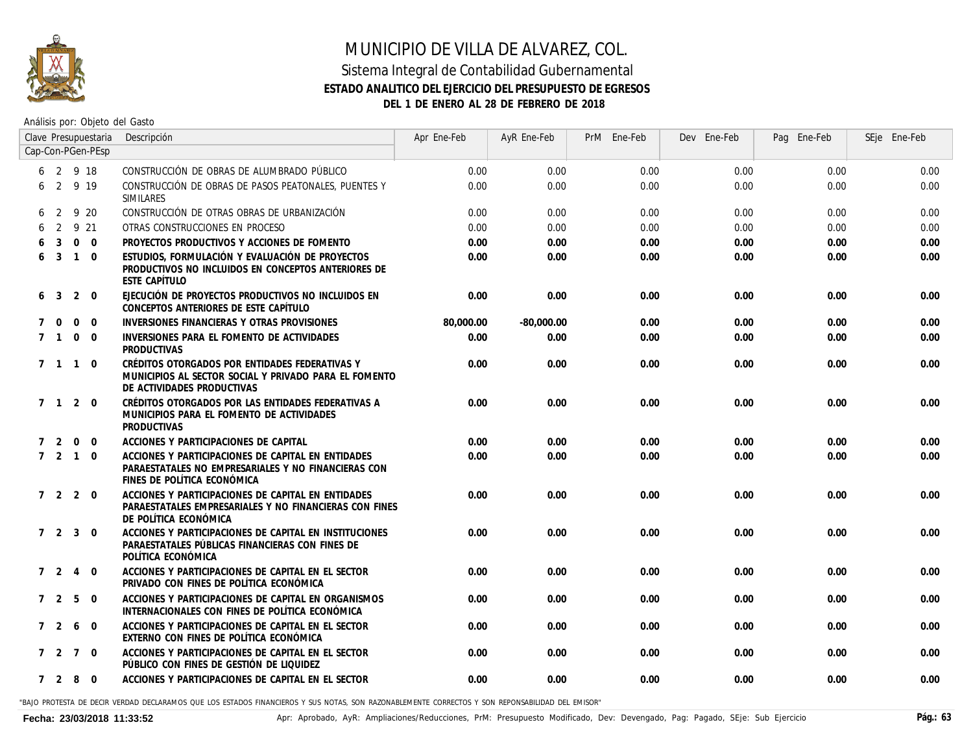

### Sistema Integral de Contabilidad Gubernamental **ESTADO ANALITICO DEL EJERCICIO DEL PRESUPUESTO DE EGRESOS DEL 1 DE ENERO AL 28 DE FEBRERO DE 2018**

Análisis por: Objeto del Gasto

|     | Clave Presupuestaria |                |                   | Descripción                                                                                                                              | Apr Ene-Feb | AyR Ene-Feb  | PrM Ene-Feb | Dev Ene-Feb | Pag Ene-Feb | SEje Ene-Feb |
|-----|----------------------|----------------|-------------------|------------------------------------------------------------------------------------------------------------------------------------------|-------------|--------------|-------------|-------------|-------------|--------------|
|     |                      |                | Cap-Con-PGen-PEsp |                                                                                                                                          |             |              |             |             |             |              |
|     |                      |                | 6 2 9 18          | CONSTRUCCIÓN DE OBRAS DE ALUMBRADO PÚBLICO                                                                                               | 0.00        | 0.00         | 0.00        | 0.00        | 0.00        | 0.00         |
| 6   |                      |                | 2 9 19            | CONSTRUCCIÓN DE OBRAS DE PASOS PEATONALES, PUENTES Y<br>SIMILARES                                                                        | 0.00        | 0.00         | 0.00        | 0.00        | 0.00        | 0.00         |
| 6   | 2                    |                | 9 20              | CONSTRUCCIÓN DE OTRAS OBRAS DE URBANIZACIÓN                                                                                              | 0.00        | 0.00         | 0.00        | 0.00        | 0.00        | 0.00         |
|     | $\overline{2}$       |                | 9 21              | OTRAS CONSTRUCCIONES EN PROCESO                                                                                                          | 0.00        | 0.00         | 0.00        | 0.00        | 0.00        | 0.00         |
|     | 3                    | $\Omega$       | $\Omega$          | PROYECTOS PRODUCTIVOS Y ACCIONES DE FOMENTO                                                                                              | 0.00        | 0.00         | 0.00        | 0.00        | 0.00        | 0.00         |
|     | $\overline{3}$       | $\mathbf{1}$   | $\Omega$          | ESTUDIOS, FORMULACIÓN Y EVALUACIÓN DE PROYECTOS<br>PRODUCTIVOS NO INCLUIDOS EN CONCEPTOS ANTERIORES DE<br><b>ESTE CAPÍTULO</b>           | 0.00        | 0.00         | 0.00        | 0.00        | 0.00        | 0.00         |
| 6   | 3                    | 2              | $\overline{0}$    | EJECUCIÓN DE PROYECTOS PRODUCTIVOS NO INCLUIDOS EN<br>CONCEPTOS ANTERIORES DE ESTE CAPÍTULO                                              | 0.00        | 0.00         | 0.00        | 0.00        | 0.00        | 0.00         |
|     | $\Omega$             | $\mathbf 0$    | $\overline{0}$    | INVERSIONES FINANCIERAS Y OTRAS PROVISIONES                                                                                              | 80,000.00   | $-80,000.00$ | 0.00        | 0.00        | 0.00        | 0.00         |
| 7   | $\overline{1}$       | $\Omega$       | $\Omega$          | INVERSIONES PARA EL FOMENTO DE ACTIVIDADES<br><b>PRODUCTIVAS</b>                                                                         | 0.00        | 0.00         | 0.00        | 0.00        | 0.00        | 0.00         |
| 7 1 |                      | $\overline{1}$ | $\overline{0}$    | CRÉDITOS OTORGADOS POR ENTIDADES FEDERATIVAS Y<br>MUNICIPIOS AL SECTOR SOCIAL Y PRIVADO PARA EL FOMENTO<br>DE ACTIVIDADES PRODUCTIVAS    | 0.00        | 0.00         | 0.00        | 0.00        | 0.00        | 0.00         |
|     |                      |                | 7 1 2 0           | CRÉDITOS OTORGADOS POR LAS ENTIDADES FEDERATIVAS A<br>MUNICIPIOS PARA EL FOMENTO DE ACTIVIDADES<br><b>PRODUCTIVAS</b>                    | 0.00        | 0.00         | 0.00        | 0.00        | 0.00        | 0.00         |
|     | $7\quad2\quad0$      |                | $\mathbf 0$       | ACCIONES Y PARTICIPACIONES DE CAPITAL                                                                                                    | 0.00        | 0.00         | 0.00        | 0.00        | 0.00        | 0.00         |
|     | 7 2 1                |                | $\Omega$          | ACCIONES Y PARTICIPACIONES DE CAPITAL EN ENTIDADES<br>PARAESTATALES NO EMPRESARIALES Y NO FINANCIERAS CON<br>FINES DE POLÍTICA ECONÓMICA | 0.00        | 0.00         | 0.00        | 0.00        | 0.00        | 0.00         |
|     | $7\quad 2\quad 2$    |                | $\Omega$          | ACCIONES Y PARTICIPACIONES DE CAPITAL EN ENTIDADES<br>PARAESTATALES EMPRESARIALES Y NO FINANCIERAS CON FINES<br>DE POLÍTICA ECONÓMICA    | 0.00        | 0.00         | 0.00        | 0.00        | 0.00        | 0.00         |
|     | 7 <sub>2</sub>       | 3              | $\overline{0}$    | ACCIONES Y PARTICIPACIONES DE CAPITAL EN INSTITUCIONES<br>PARAESTATALES PÚBLICAS FINANCIERAS CON FINES DE<br>POLÍTICA ECONÓMICA          | 0.00        | 0.00         | 0.00        | 0.00        | 0.00        | 0.00         |
|     | 7 2                  | 4              | $\mathbf 0$       | ACCIONES Y PARTICIPACIONES DE CAPITAL EN EL SECTOR<br>PRIVADO CON FINES DE POLÍTICA ECONÓMICA                                            | 0.00        | 0.00         | 0.00        | 0.00        | 0.00        | 0.00         |
|     | $7\quad 2$           | 5              | $\mathbf 0$       | ACCIONES Y PARTICIPACIONES DE CAPITAL EN ORGANISMOS<br>INTERNACIONALES CON FINES DE POLÍTICA ECONÓMICA                                   | 0.00        | 0.00         | 0.00        | 0.00        | 0.00        | 0.00         |
| 7   | 2                    | 6              | $\mathbf 0$       | ACCIONES Y PARTICIPACIONES DE CAPITAL EN EL SECTOR<br>EXTERNO CON FINES DE POLÍTICA ECONÓMICA                                            | 0.00        | 0.00         | 0.00        | 0.00        | 0.00        | 0.00         |
|     | $7\quad2$            | $\overline{7}$ | $\Omega$          | ACCIONES Y PARTICIPACIONES DE CAPITAL EN EL SECTOR<br>PÚBLICO CON FINES DE GESTIÓN DE LIQUIDEZ                                           | 0.00        | 0.00         | 0.00        | 0.00        | 0.00        | 0.00         |
|     | 7 2 8                |                | $\overline{0}$    | ACCIONES Y PARTICIPACIONES DE CAPITAL EN EL SECTOR                                                                                       | 0.00        | 0.00         | 0.00        | 0.00        | 0.00        | 0.00         |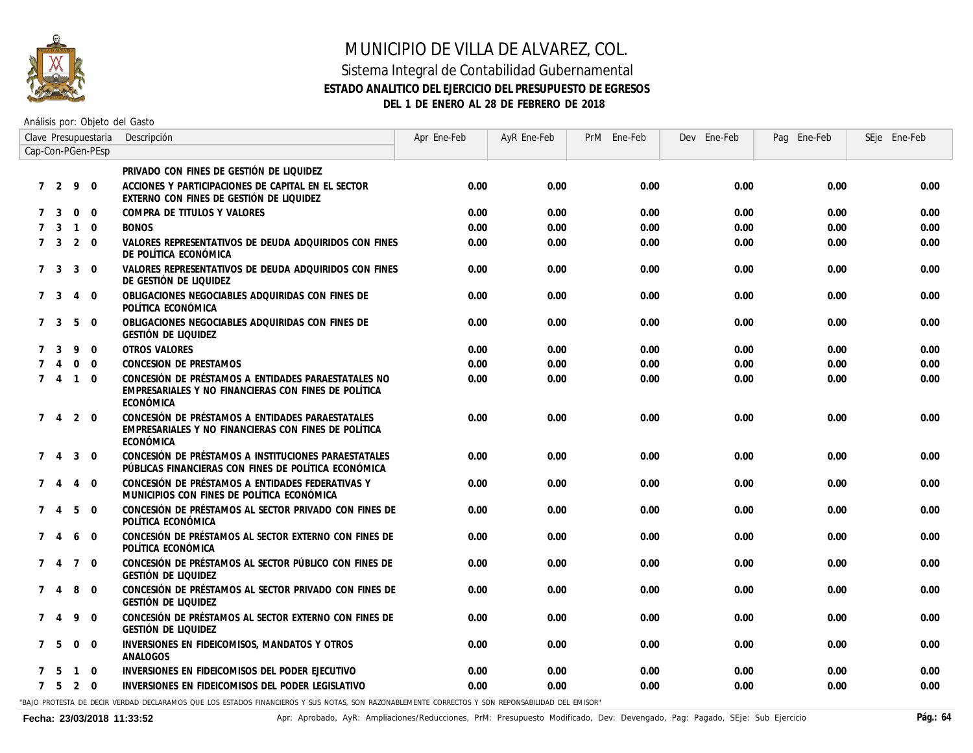

### Sistema Integral de Contabilidad Gubernamental **ESTADO ANALITICO DEL EJERCICIO DEL PRESUPUESTO DE EGRESOS DEL 1 DE ENERO AL 28 DE FEBRERO DE 2018**

Análisis por: Objeto del Gasto

| Clave Presupuestaria                                  | Descripción                                                                                                                                      | Apr Ene-Feb | AyR Ene-Feb | PrM Ene-Feb | Dev Ene-Feb | Pag Ene-Feb | SEje Ene-Feb |
|-------------------------------------------------------|--------------------------------------------------------------------------------------------------------------------------------------------------|-------------|-------------|-------------|-------------|-------------|--------------|
| Cap-Con-PGen-PEsp                                     |                                                                                                                                                  |             |             |             |             |             |              |
|                                                       | PRIVADO CON FINES DE GESTIÓN DE LIQUIDEZ                                                                                                         |             |             |             |             |             |              |
| 7 <sub>2</sub><br>9 0                                 | ACCIONES Y PARTICIPACIONES DE CAPITAL EN EL SECTOR<br>EXTERNO CON FINES DE GESTIÓN DE LIQUIDEZ                                                   | 0.00        | 0.00        | 0.00        | 0.00        | 0.00        | 0.00         |
| $\mathbf{3}$<br>$0\quad 0$<br>7                       | COMPRA DE TITULOS Y VALORES                                                                                                                      | 0.00        | 0.00        | 0.00        | 0.00        | 0.00        | 0.00         |
| $1\quad 0$<br>3                                       | <b>BONOS</b>                                                                                                                                     | 0.00        | 0.00        | 0.00        | 0.00        | 0.00        | 0.00         |
| 7 <sup>3</sup><br>2 0                                 | VALORES REPRESENTATIVOS DE DEUDA ADQUIRIDOS CON FINES<br>DE POLÍTICA ECONÓMICA                                                                   | 0.00        | 0.00        | 0.00        | 0.00        | 0.00        | 0.00         |
| $\overline{\mathbf{3}}$<br>$3 \quad 0$<br>$7^{\circ}$ | VALORES REPRESENTATIVOS DE DEUDA ADQUIRIDOS CON FINES<br>DE GESTIÓN DE LIQUIDEZ                                                                  | 0.00        | 0.00        | 0.00        | 0.00        | 0.00        | 0.00         |
| 7 <sup>3</sup><br>4 0                                 | OBLIGACIONES NEGOCIABLES ADQUIRIDAS CON FINES DE<br>POLÍTICA ECONÓMICA                                                                           | 0.00        | 0.00        | 0.00        | 0.00        | 0.00        | 0.00         |
| 3<br>5<br>$\overline{0}$<br>$\overline{7}$            | OBLIGACIONES NEGOCIABLES ADQUIRIDAS CON FINES DE<br>GESTIÓN DE LIOUIDEZ                                                                          | 0.00        | 0.00        | 0.00        | 0.00        | 0.00        | 0.00         |
| $\mathbf{3}$<br>9<br>$\overline{0}$                   | OTROS VALORES                                                                                                                                    | 0.00        | 0.00        | 0.00        | 0.00        | 0.00        | 0.00         |
| $0\quad 0$<br>$\overline{4}$                          | CONCESION DE PRESTAMOS                                                                                                                           | 0.00        | 0.00        | 0.00        | 0.00        | 0.00        | 0.00         |
| $1\quad 0$<br>7 <sub>4</sub>                          | CONCESIÓN DE PRÉSTAMOS A ENTIDADES PARAESTATALES NO<br>EMPRESARIALES Y NO FINANCIERAS CON FINES DE POLÍTICA<br>ECONÓMICA                         | 0.00        | 0.00        | 0.00        | 0.00        | 0.00        | 0.00         |
| $2 \quad 0$<br>$7^{\circ}$<br>$\overline{4}$          | CONCESIÓN DE PRÉSTAMOS A ENTIDADES PARAESTATALES<br>EMPRESARIALES Y NO FINANCIERAS CON FINES DE POLÍTICA<br>ECONÓMICA                            | 0.00        | 0.00        | 0.00        | 0.00        | 0.00        | 0.00         |
| $3 \quad 0$<br>7 4                                    | CONCESIÓN DE PRÉSTAMOS A INSTITUCIONES PARAESTATALES<br>PÚBLICAS FINANCIERAS CON FINES DE POLÍTICA ECONÓMICA                                     | 0.00        | 0.00        | 0.00        | 0.00        | 0.00        | 0.00         |
| $4\quad 0$<br>$7^{\circ}$<br>$\overline{4}$           | CONCESIÓN DE PRÉSTAMOS A ENTIDADES FEDERATIVAS Y<br>MUNICIPIOS CON FINES DE POLÍTICA ECONÓMICA                                                   | 0.00        | 0.00        | 0.00        | 0.00        | 0.00        | 0.00         |
| 5 0<br>$7\quad 4$                                     | CONCESIÓN DE PRÉSTAMOS AL SECTOR PRIVADO CON FINES DE<br>POLÍTICA ECONÓMICA                                                                      | 0.00        | 0.00        | 0.00        | 0.00        | 0.00        | 0.00         |
| 6 0<br>$7^{\circ}$<br>4                               | CONCESIÓN DE PRÉSTAMOS AL SECTOR EXTERNO CON FINES DE<br>POLÍTICA ECONÓMICA                                                                      | 0.00        | 0.00        | 0.00        | 0.00        | 0.00        | 0.00         |
| $7\quad$ 0<br>7 4                                     | CONCESIÓN DE PRÉSTAMOS AL SECTOR PÚBLICO CON FINES DE<br>GESTIÓN DE LIQUIDEZ                                                                     | 0.00        | 0.00        | 0.00        | 0.00        | 0.00        | 0.00         |
| 8 0<br>$\overline{4}$<br>$7^{\circ}$                  | CONCESIÓN DE PRÉSTAMOS AL SECTOR PRIVADO CON FINES DE<br>GESTIÓN DE LIQUIDEZ                                                                     | 0.00        | 0.00        | 0.00        | 0.00        | 0.00        | 0.00         |
| 9 0<br>$7\quad 4$                                     | CONCESIÓN DE PRÉSTAMOS AL SECTOR EXTERNO CON FINES DE<br>GESTIÓN DE LIQUIDEZ                                                                     | 0.00        | 0.00        | 0.00        | 0.00        | 0.00        | 0.00         |
| 7 5<br>$0\quad 0$                                     | INVERSIONES EN FIDEICOMISOS, MANDATOS Y OTROS<br>ANALOGOS                                                                                        | 0.00        | 0.00        | 0.00        | 0.00        | 0.00        | 0.00         |
| $1\quad 0$<br>-5                                      | INVERSIONES EN FIDEICOMISOS DEL PODER EJECUTIVO                                                                                                  | 0.00        | 0.00        | 0.00        | 0.00        | 0.00        | 0.00         |
| $2 \quad 0$<br>7 <sub>5</sub>                         | INVERSIONES EN FIDEICOMISOS DEL PODER LEGISLATIVO                                                                                                | 0.00        | 0.00        | 0.00        | 0.00        | 0.00        | 0.00         |
|                                                       | "BAJO PROTESTA DE DECIR VERDAD DECLARAMOS QUE LOS ESTADOS FINANCIEROS Y SUS NOTAS, SON RAZONABLEMENTE CORRECTOS Y SON REPONSABILIDAD DEL EMISOR" |             |             |             |             |             |              |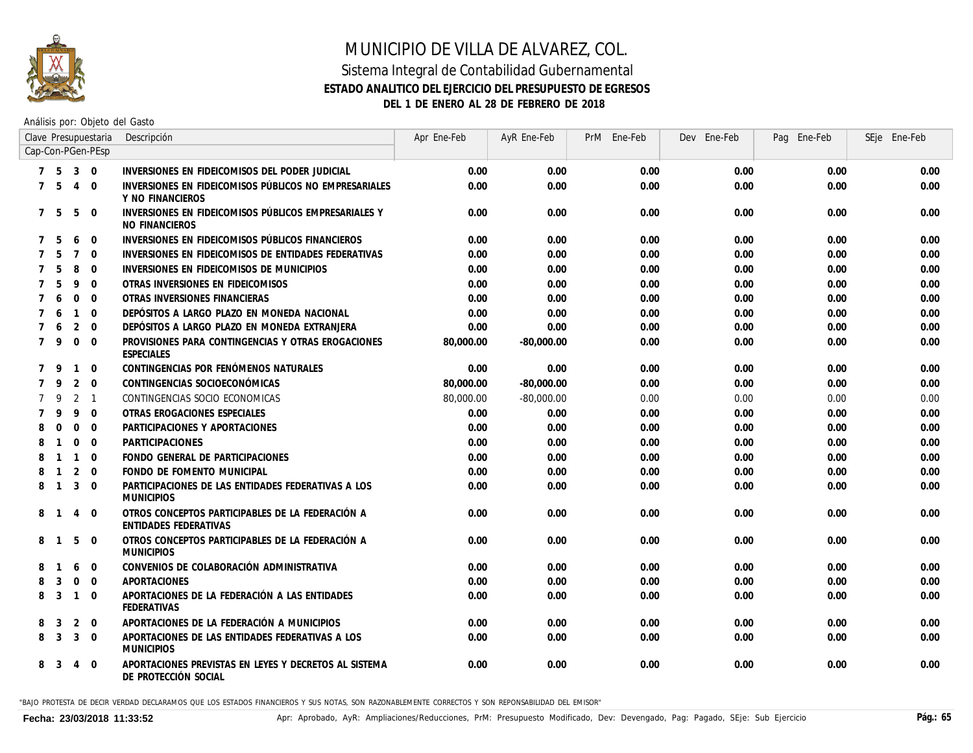

### Sistema Integral de Contabilidad Gubernamental **ESTADO ANALITICO DEL EJERCICIO DEL PRESUPUESTO DE EGRESOS DEL 1 DE ENERO AL 28 DE FEBRERO DE 2018**

Análisis por: Objeto del Gasto

|                   |                |                | Clave Presupuestaria | Descripción                                                                      | Apr Ene-Feb | AyR Ene-Feb  | PrM Ene-Feb | Dev Ene-Feb | Pag Ene-Feb | SEje Ene-Feb |
|-------------------|----------------|----------------|----------------------|----------------------------------------------------------------------------------|-------------|--------------|-------------|-------------|-------------|--------------|
| Cap-Con-PGen-PEsp |                |                |                      |                                                                                  |             |              |             |             |             |              |
|                   | 7 <sub>5</sub> | $3 \quad 0$    |                      | INVERSIONES EN FIDEICOMISOS DEL PODER JUDICIAL                                   | 0.00        | 0.00         | 0.00        | 0.00        | 0.00        | 0.00         |
| $7^{\circ}$       | -5             | $\overline{4}$ | $\Omega$             | INVERSIONES EN FIDEICOMISOS PÚBLICOS NO EMPRESARIALES<br>Y NO FINANCIEROS        | 0.00        | 0.00         | 0.00        | 0.00        | 0.00        | 0.00         |
| $7^{\circ}$       | -5             | 5              | $\overline{0}$       | INVERSIONES EN FIDEICOMISOS PÚBLICOS EMPRESARIALES Y<br><b>NO FINANCIEROS</b>    | 0.00        | 0.00         | 0.00        | 0.00        | 0.00        | 0.00         |
| $\overline{7}$    | .5             | 6              | $\mathbf 0$          | INVERSIONES EN FIDEICOMISOS PÚBLICOS FINANCIEROS                                 | 0.00        | 0.00         | 0.00        | 0.00        | 0.00        | 0.00         |
|                   | .5             | $\overline{7}$ | $\Omega$             | INVERSIONES EN FIDEICOMISOS DE ENTIDADES FEDERATIVAS                             | 0.00        | 0.00         | 0.00        | 0.00        | 0.00        | 0.00         |
|                   | 5              | 8              | $\overline{0}$       | INVERSIONES EN FIDEICOMISOS DE MUNICIPIOS                                        | 0.00        | 0.00         | 0.00        | 0.00        | 0.00        | 0.00         |
|                   | 5              | 9              | $\overline{0}$       | OTRAS INVERSIONES EN FIDEICOMISOS                                                | 0.00        | 0.00         | 0.00        | 0.00        | 0.00        | 0.00         |
|                   | 6              | $\mathbf 0$    | $\overline{0}$       | OTRAS INVERSIONES FINANCIERAS                                                    | 0.00        | 0.00         | 0.00        | 0.00        | 0.00        | 0.00         |
|                   | 6              | $\mathbf{1}$   | $\Omega$             | DEPÓSITOS A LARGO PLAZO EN MONEDA NACIONAL                                       | 0.00        | 0.00         | 0.00        | 0.00        | 0.00        | 0.00         |
|                   | 6              | 2              | $\Omega$             | DEPÓSITOS A LARGO PLAZO EN MONEDA EXTRANJERA                                     | 0.00        | 0.00         | 0.00        | 0.00        | 0.00        | 0.00         |
| $7^{\circ}$       | 9              | $\Omega$       | $\Omega$             | PROVISIONES PARA CONTINGENCIAS Y OTRAS EROGACIONES<br><b>ESPECIALES</b>          | 80,000.00   | $-80.000.00$ | 0.00        | 0.00        | 0.00        | 0.00         |
|                   | 9              |                | $1 \quad 0$          | CONTINGENCIAS POR FENÓMENOS NATURALES                                            | 0.00        | 0.00         | 0.00        | 0.00        | 0.00        | 0.00         |
|                   | 9              | $\overline{2}$ | $\Omega$             | CONTINGENCIAS SOCIOECONÓMICAS                                                    | 80,000.00   | $-80,000.00$ | 0.00        | 0.00        | 0.00        | 0.00         |
|                   | 9              | 2              | $\overline{1}$       | CONTINGENCIAS SOCIO ECONOMICAS                                                   | 80,000.00   | -80,000.00   | 0.00        | 0.00        | 0.00        | 0.00         |
|                   | 9              | 9              | $\Omega$             | OTRAS EROGACIONES ESPECIALES                                                     | 0.00        | 0.00         | 0.00        | 0.00        | 0.00        | 0.00         |
|                   | $\Omega$       | $\mathbf 0$    | $\Omega$             | PARTICIPACIONES Y APORTACIONES                                                   | 0.00        | 0.00         | 0.00        | 0.00        | 0.00        | 0.00         |
|                   |                | $\mathbf 0$    | $\Omega$             | <b>PARTICIPACIONES</b>                                                           | 0.00        | 0.00         | 0.00        | 0.00        | 0.00        | 0.00         |
|                   |                |                | $1 \quad 0$          | FONDO GENERAL DE PARTICIPACIONES                                                 | 0.00        | 0.00         | 0.00        | 0.00        | 0.00        | 0.00         |
|                   |                | 2              | $\Omega$             | FONDO DE FOMENTO MUNICIPAL                                                       | 0.00        | 0.00         | 0.00        | 0.00        | 0.00        | 0.00         |
| 8                 | $\mathbf{1}$   | 3              | $\overline{0}$       | PARTICIPACIONES DE LAS ENTIDADES FEDERATIVAS A LOS<br><b>MUNICIPIOS</b>          | 0.00        | 0.00         | 0.00        | 0.00        | 0.00        | 0.00         |
| 8                 |                | $\overline{4}$ | $\Omega$             | OTROS CONCEPTOS PARTICIPABLES DE LA FEDERACIÓN A<br><b>ENTIDADES FEDERATIVAS</b> | 0.00        | 0.00         | 0.00        | 0.00        | 0.00        | 0.00         |
| 8                 |                | 5              | $\Omega$             | OTROS CONCEPTOS PARTICIPABLES DE LA FEDERACIÓN A<br><b>MUNICIPIOS</b>            | 0.00        | 0.00         | 0.00        | 0.00        | 0.00        | 0.00         |
|                   |                | 6              | $\Omega$             | CONVENIOS DE COLABORACIÓN ADMINISTRATIVA                                         | 0.00        | 0.00         | 0.00        | 0.00        | 0.00        | 0.00         |
|                   | 3              | $\mathbf 0$    | $\Omega$             | <b>APORTACIONES</b>                                                              | 0.00        | 0.00         | 0.00        | 0.00        | 0.00        | 0.00         |
| 8                 | 3              | $\mathbf{1}$   | $\Omega$             | APORTACIONES DE LA FEDERACIÓN A LAS ENTIDADES<br><b>FEDERATIVAS</b>              | 0.00        | 0.00         | 0.00        | 0.00        | 0.00        | 0.00         |
| 8                 | 3              | $\overline{2}$ | $\overline{0}$       | APORTACIONES DE LA FEDERACIÓN A MUNICIPIOS                                       | 0.00        | 0.00         | 0.00        | 0.00        | 0.00        | 0.00         |
| 8                 | 3              | 3              | $\mathbf 0$          | APORTACIONES DE LAS ENTIDADES FEDERATIVAS A LOS<br><b>MUNICIPIOS</b>             | 0.00        | 0.00         | 0.00        | 0.00        | 0.00        | 0.00         |
| 8                 | 3              | 4              | $\mathbf 0$          | APORTACIONES PREVISTAS EN LEYES Y DECRETOS AL SISTEMA<br>DE PROTECCIÓN SOCIAL    | 0.00        | 0.00         | 0.00        | 0.00        | 0.00        | 0.00         |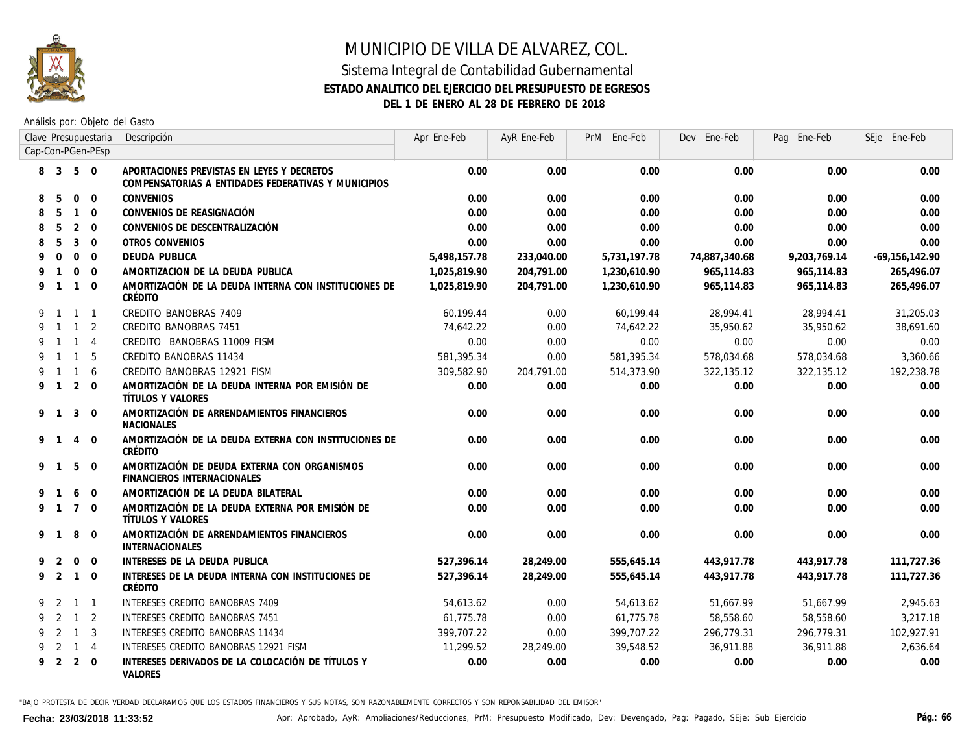

### Sistema Integral de Contabilidad Gubernamental **ESTADO ANALITICO DEL EJERCICIO DEL PRESUPUESTO DE EGRESOS DEL 1 DE ENERO AL 28 DE FEBRERO DE 2018**

Análisis por: Objeto del Gasto

|   |                   |                | Clave Presupuestaria | Descripción                                                                                       | Apr Ene-Feb  | AyR Ene-Feb | PrM Ene-Feb  | Dev Ene-Feb   | Pag Ene-Feb  | SEje Ene-Feb       |
|---|-------------------|----------------|----------------------|---------------------------------------------------------------------------------------------------|--------------|-------------|--------------|---------------|--------------|--------------------|
|   | Cap-Con-PGen-PEsp |                |                      |                                                                                                   |              |             |              |               |              |                    |
|   | 8 3               | 5 0            |                      | APORTACIONES PREVISTAS EN LEYES Y DECRETOS<br>COMPENSATORIAS A ENTIDADES FEDERATIVAS Y MUNICIPIOS | 0.00         | 0.00        | 0.00         | 0.00          | 0.00         | 0.00               |
| 8 | .5                | $\Omega$       | $\Omega$             | <b>CONVENIOS</b>                                                                                  | 0.00         | 0.00        | 0.00         | 0.00          | 0.00         | 0.00               |
| 8 | -5                | $\mathbf{1}$   | $\Omega$             | CONVENIOS DE REASIGNACIÓN                                                                         | 0.00         | 0.00        | 0.00         | 0.00          | 0.00         | 0.00               |
| 8 | 5                 | 2              | $\Omega$             | CONVENIOS DE DESCENTRALIZACIÓN                                                                    | 0.00         | 0.00        | 0.00         | 0.00          | 0.00         | 0.00               |
| 8 | 5                 | 3              | $\Omega$             | <b>OTROS CONVENIOS</b>                                                                            | 0.00         | 0.00        | 0.00         | 0.00          | 0.00         | 0.00               |
| 9 | $\Omega$          | $\Omega$       | $\Omega$             | DEUDA PUBLICA                                                                                     | 5,498,157.78 | 233,040.00  | 5,731,197.78 | 74,887,340.68 | 9,203,769.14 | $-69, 156, 142.90$ |
|   | $\mathbf{1}$      | $\mathbf{0}$   | $\Omega$             | AMORTIZACION DE LA DEUDA PUBLICA                                                                  | 1,025,819.90 | 204,791.00  | 1,230,610.90 | 965,114.83    | 965,114.83   | 265,496.07         |
| 9 | $\mathbf{1}$      | $\mathbf{1}$   | $\Omega$             | AMORTIZACIÓN DE LA DEUDA INTERNA CON INSTITUCIONES DE<br>CRÉDITO                                  | 1,025,819.90 | 204,791.00  | 1,230,610.90 | 965,114.83    | 965.114.83   | 265,496.07         |
|   | 9 1               | $1\quad1$      |                      | CREDITO BANOBRAS 7409                                                                             | 60.199.44    | 0.00        | 60,199.44    | 28,994.41     | 28.994.41    | 31,205.03          |
| 9 | $\overline{1}$    | $\overline{1}$ | 2                    | CREDITO BANOBRAS 7451                                                                             | 74.642.22    | 0.00        | 74,642.22    | 35,950.62     | 35,950.62    | 38.691.60          |
| 9 | $\mathbf{1}$      | $\overline{1}$ | $\overline{4}$       | CREDITO BANOBRAS 11009 FISM                                                                       | 0.00         | 0.00        | 0.00         | 0.00          | 0.00         | 0.00               |
| 9 | $\mathbf{1}$      | $\overline{1}$ | 5                    | CREDITO BANOBRAS 11434                                                                            | 581,395.34   | 0.00        | 581,395.34   | 578,034.68    | 578,034.68   | 3,360.66           |
|   | 9 1               | $\sqrt{1}$     | 6                    | CREDITO BANOBRAS 12921 FISM                                                                       | 309,582.90   | 204,791.00  | 514,373.90   | 322, 135.12   | 322, 135.12  | 192,238.78         |
|   | 9 1               | $\overline{2}$ | $\Omega$             | AMORTIZACIÓN DE LA DEUDA INTERNA POR EMISIÓN DE<br><b>TÍTULOS Y VALORES</b>                       | 0.00         | 0.00        | 0.00         | 0.00          | 0.00         | 0.00               |
|   | 9 1               | $\mathbf{3}$   | $\mathbf 0$          | AMORTIZACIÓN DE ARRENDAMIENTOS FINANCIEROS<br><b>NACIONALES</b>                                   | 0.00         | 0.00        | 0.00         | 0.00          | 0.00         | 0.00               |
|   | 9 1               | $\overline{4}$ | $\mathbf 0$          | AMORTIZACIÓN DE LA DEUDA EXTERNA CON INSTITUCIONES DE<br>CRÉDITO                                  | 0.00         | 0.00        | 0.00         | 0.00          | 0.00         | 0.00               |
|   | 9 1               | 5              | $\mathbf 0$          | AMORTIZACIÓN DE DEUDA EXTERNA CON ORGANISMOS<br><b>FINANCIEROS INTERNACIONALES</b>                | 0.00         | 0.00        | 0.00         | 0.00          | 0.00         | 0.00               |
|   |                   | 6              | $\Omega$             | AMORTIZACIÓN DE LA DEUDA BILATERAL                                                                | 0.00         | 0.00        | 0.00         | 0.00          | 0.00         | 0.00               |
|   | 9 1               | $\overline{7}$ | $\Omega$             | AMORTIZACIÓN DE LA DEUDA EXTERNA POR EMISIÓN DE<br>TÍTULOS Y VALORES                              | 0.00         | 0.00        | 0.00         | 0.00          | 0.00         | 0.00               |
|   | 9 1               | 8              | $\Omega$             | AMORTIZACIÓN DE ARRENDAMIENTOS FINANCIEROS<br><b>INTERNACIONALES</b>                              | 0.00         | 0.00        | 0.00         | 0.00          | 0.00         | 0.00               |
| 9 | 2                 | $\mathbf 0$    | $\Omega$             | INTERESES DE LA DEUDA PUBLICA                                                                     | 527,396.14   | 28,249.00   | 555,645.14   | 443,917.78    | 443,917.78   | 111,727.36         |
|   | 9 2               | $\overline{1}$ | $\mathbf 0$          | INTERESES DE LA DEUDA INTERNA CON INSTITUCIONES DE<br>CRÉDITO                                     | 527.396.14   | 28.249.00   | 555.645.14   | 443.917.78    | 443.917.78   | 111,727.36         |
| 9 | $\overline{2}$    | $1\quad1$      |                      | INTERESES CREDITO BANOBRAS 7409                                                                   | 54,613.62    | 0.00        | 54,613.62    | 51,667.99     | 51,667.99    | 2,945.63           |
| 9 | 2                 | $\overline{1}$ | 2                    | INTERESES CREDITO BANOBRAS 7451                                                                   | 61,775.78    | 0.00        | 61,775.78    | 58,558.60     | 58,558.60    | 3,217.18           |
| 9 | 2                 | $\overline{1}$ | 3                    | INTERESES CREDITO BANOBRAS 11434                                                                  | 399,707.22   | 0.00        | 399,707.22   | 296,779,31    | 296,779,31   | 102.927.91         |
| 9 | 2                 | $\overline{1}$ | $\overline{4}$       | INTERESES CREDITO BANOBRAS 12921 FISM                                                             | 11,299.52    | 28,249.00   | 39,548.52    | 36,911.88     | 36,911.88    | 2,636.64           |
|   | 9 2               | $2 \quad 0$    |                      | INTERESES DERIVADOS DE LA COLOCACIÓN DE TÍTULOS Y<br><b>VALORES</b>                               | 0.00         | 0.00        | 0.00         | 0.00          | 0.00         | 0.00               |